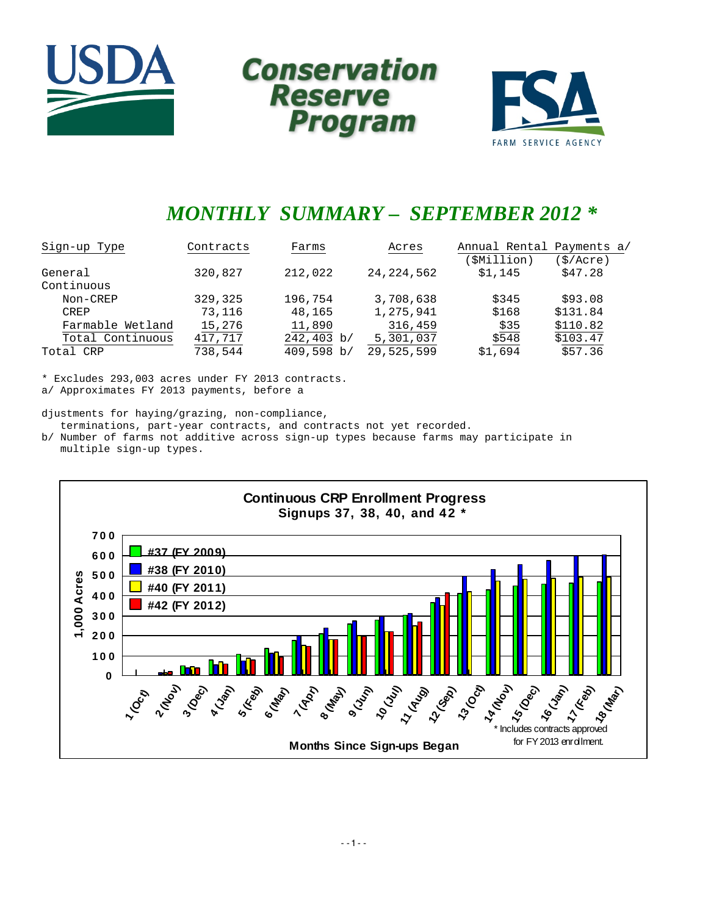





# *MONTHLY SUMMARY – SEPTEMBER 2012 \**

| Sign-up Type     | Contracts | Farms               | Acres        | Annual Rental Payments a/ |                      |
|------------------|-----------|---------------------|--------------|---------------------------|----------------------|
|                  |           |                     |              | (\$Million)               | $(\frac{1}{2}/Acre)$ |
| General          | 320,827   | 212,022             | 24, 224, 562 | \$1,145                   | \$47.28              |
| Continuous       |           |                     |              |                           |                      |
| Non-CREP         | 329,325   | 196,754             | 3,708,638    | \$345                     | \$93.08              |
| CREP             | 73,116    | 48,165              | 1,275,941    | \$168                     | \$131.84             |
| Farmable Wetland | 15,276    | 11,890              | 316,459      | \$35                      | \$110.82             |
| Total Continuous | 417,717   | $242,403 \text{ b}$ | 5,301,037    | \$548                     | \$103.47             |
| Total CRP        | 738,544   | 409,598 b/          | 29,525,599   | \$1.694                   | \$57.36              |

\* Excludes 293,003 acres under FY 2013 contracts.

a/ Approximates FY 2013 payments, before a

djustments for haying/grazing, non-compliance, terminations, part-year contracts, and contracts not yet recorded.

b/ Number of farms not additive across sign-up types because farms may participate in multiple sign-up types.

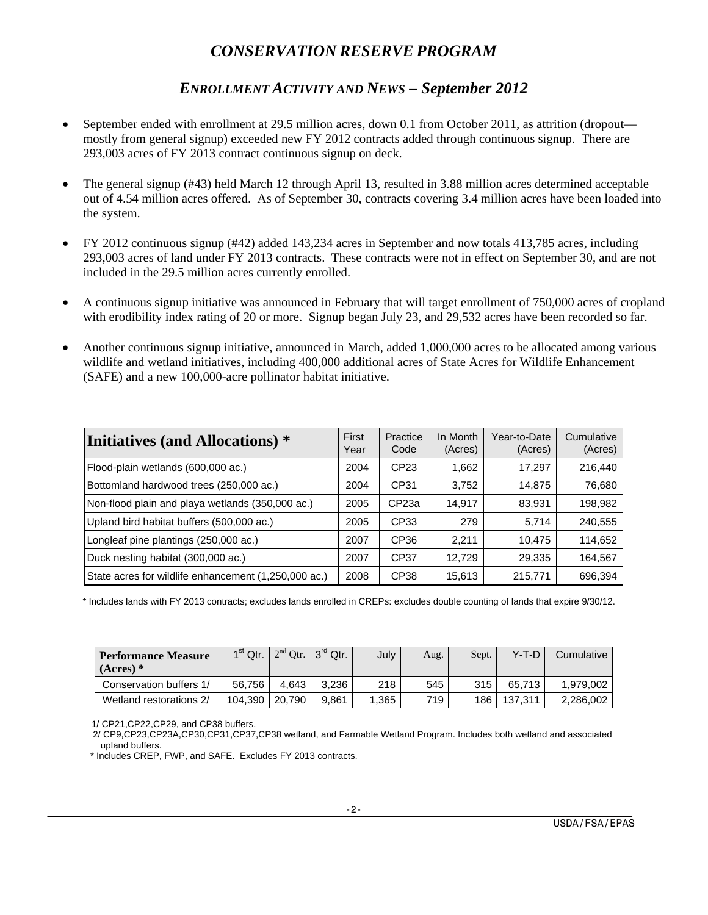# *CONSERVATION RESERVE PROGRAM*

# *ENROLLMENT ACTIVITY AND NEWS – September 2012*

- September ended with enrollment at 29.5 million acres, down 0.1 from October 2011, as attrition (dropout mostly from general signup) exceeded new FY 2012 contracts added through continuous signup. There are 293,003 acres of FY 2013 contract continuous signup on deck.
- The general signup (#43) held March 12 through April 13, resulted in 3.88 million acres determined acceptable out of 4.54 million acres offered. As of September 30, contracts covering 3.4 million acres have been loaded into the system.
- FY 2012 continuous signup (#42) added 143,234 acres in September and now totals 413,785 acres, including 293,003 acres of land under FY 2013 contracts. These contracts were not in effect on September 30, and are not included in the 29.5 million acres currently enrolled.
- A continuous signup initiative was announced in February that will target enrollment of 750,000 acres of cropland with erodibility index rating of 20 or more. Signup began July 23, and 29,532 acres have been recorded so far.
- Another continuous signup initiative, announced in March, added 1,000,000 acres to be allocated among various wildlife and wetland initiatives, including 400,000 additional acres of State Acres for Wildlife Enhancement (SAFE) and a new 100,000-acre pollinator habitat initiative.

| Initiatives (and Allocations) *                      | First<br>Year | Practice<br>Code  | In Month<br>(Acres) | Year-to-Date<br>(Acres) | Cumulative<br>(Acres) |
|------------------------------------------------------|---------------|-------------------|---------------------|-------------------------|-----------------------|
| Flood-plain wetlands (600,000 ac.)                   | 2004          | CP23              | 1,662               | 17,297                  | 216,440               |
| Bottomland hardwood trees (250,000 ac.)              | 2004          | CP31              | 3,752               | 14,875                  | 76,680                |
| Non-flood plain and playa wetlands (350,000 ac.)     | 2005          | CP <sub>23a</sub> | 14,917              | 83,931                  | 198,982               |
| Upland bird habitat buffers (500,000 ac.)            | 2005          | CP33              | 279                 | 5,714                   | 240,555               |
| Longleaf pine plantings (250,000 ac.)                | 2007          | CP <sub>36</sub>  | 2.211               | 10,475                  | 114,652               |
| Duck nesting habitat (300,000 ac.)                   | 2007          | CP37              | 12.729              | 29,335                  | 164,567               |
| State acres for wildlife enhancement (1,250,000 ac.) | 2008          | CP38              | 15,613              | 215,771                 | 696,394               |

\* Includes lands with FY 2013 contracts; excludes lands enrolled in CREPs: excludes double counting of lands that expire 9/30/12.

| <b>Performance Measure</b><br>$(Access)*$ | $1st$ Qtr. |        | $2nd$ Qtr. $3rd$ Qtr. | July  | Aug. | Sept. | Y-T-D   | Cumulative |
|-------------------------------------------|------------|--------|-----------------------|-------|------|-------|---------|------------|
| Conservation buffers 1/                   | 56.756     | 4.643  | 3.236                 | 218   | 545  | 315   | 65.713  | 1.979.002  |
| Wetland restorations 2/                   | 104.390    | 20.790 | 9.861                 | 1.365 | 719. | 186   | 137.311 | 2.286.002  |

1/ CP21,CP22,CP29, and CP38 buffers.

 2/ CP9,CP23,CP23A,CP30,CP31,CP37,CP38 wetland, and Farmable Wetland Program. Includes both wetland and associated upland buffers.

\* Includes CREP, FWP, and SAFE. Excludes FY 2013 contracts.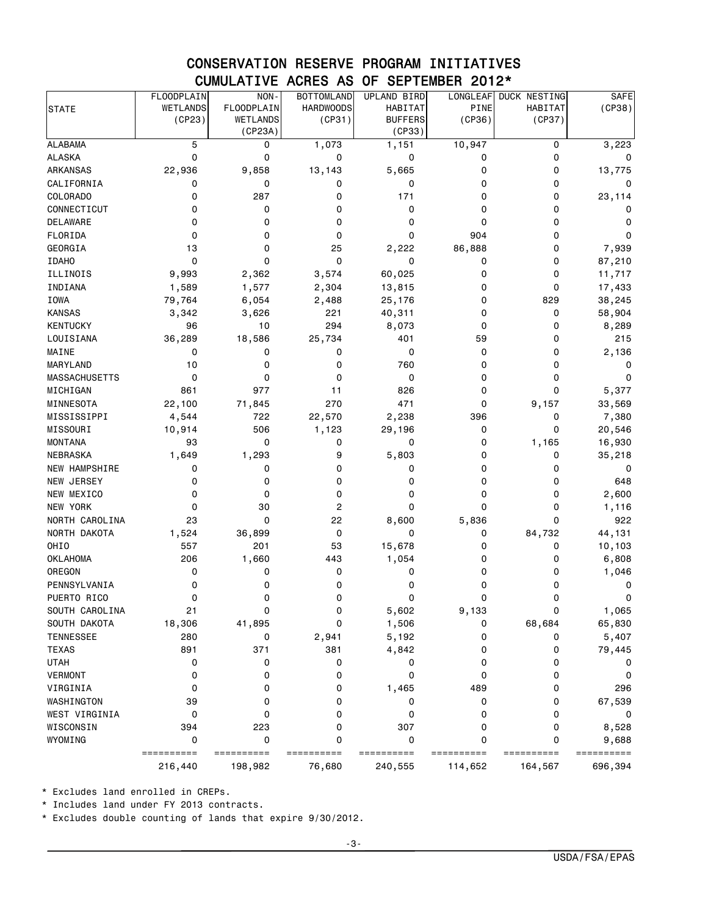### CONSERVATION RESERVE PROGRAM INITIATIVES CUMULATIVE ACRES AS OF SEPTEMBER 2012\*

| WETLANDS<br>FLOODPLAIN<br><b>HARDWOODS</b><br>PINE<br>HABITAT<br><b>HABITAT</b><br>(CP38)<br><b>STATE</b><br>(CP36)<br>(CP23)<br><b>WETLANDS</b><br>(CP31)<br><b>BUFFERS</b><br>(CP37)<br>(CP23A)<br>(CP33)<br>5<br>1,073<br>10,947<br><b>ALABAMA</b><br>0<br>1,151<br>0<br>3,223<br>0<br>ALASKA<br>0<br>0<br>0<br>0<br>0<br>0<br><b>ARKANSAS</b><br>22,936<br>9,858<br>13,143<br>5,665<br>0<br>0<br>13,775<br>CALIFORNIA<br>0<br>0<br>0<br>0<br>0<br>0<br>0<br><b>COLORADO</b><br>0<br>287<br>171<br>0<br>0<br>0<br>23,114<br>CONNECTICUT<br>0<br>0<br>0<br>0<br>0<br>0<br>0<br>DELAWARE<br>0<br>0<br>0<br>0<br>0<br>0<br>0<br>FLORIDA<br>0<br>0<br>904<br>0<br>0<br>0<br>0<br>GEORGIA<br>13<br>0<br>25<br>2,222<br>86,888<br>7,939<br>0<br>$\mathbf 0$<br>0<br><b>IDAHO</b><br>0<br>0<br>0<br>0<br>87,210<br>ILLINOIS<br>9,993<br>2,362<br>3,574<br>60,025<br>0<br>0<br>11,717<br>INDIANA<br>1,589<br>1,577<br>2,304<br>13,815<br>17,433<br>0<br>0<br><b>IOWA</b><br>79,764<br>6,054<br>2,488<br>25,176<br>0<br>829<br>38,245<br><b>KANSAS</b><br>3,626<br>221<br>40,311<br>0<br>0<br>58,904<br>3,342<br>294<br>96<br>10<br>8,073<br>0<br>8,289<br>0<br>25,734<br>LOUISIANA<br>36,289<br>18,586<br>401<br>59<br>0<br>215<br>0<br>0<br>0<br>0<br>0<br>2,136<br>0<br>10<br>760<br>0<br>0<br>0<br>0<br>0<br>0<br>0<br>0<br>0<br>0<br>0<br>0<br>861<br>977<br>826<br>0<br>0<br>11<br>5,377<br>22,100<br>71,845<br>270<br>471<br>0<br>9,157<br>33,569<br>22,570<br>4,544<br>722<br>2,238<br>7,380<br>396<br>0<br>10,914<br>506<br>1,123<br>29,196<br>20,546<br>0<br>0<br>93<br>0<br>0<br>1,165<br>0<br>0<br>16,930<br>1,649<br>1,293<br>9<br>5,803<br>0<br>0<br>35,218<br>0<br>0<br>0<br>0<br>0<br>0<br>0<br>0<br>648<br>0<br>0<br>0<br>0<br>0<br>0<br>0<br>0<br>0<br>0<br>0<br>30<br>$\overline{c}$<br>0<br>0<br>0<br>0<br>1,116<br>23<br>0<br>22<br>8,600<br>5,836<br>922<br>0<br>1,524<br>0<br>36,899<br>0<br>0<br>84,732<br>44,131<br>557<br>201<br>53<br>15,678<br>0<br>0<br>10,103<br>206<br>1,054<br>1,660<br>443<br>0<br>0<br>6,808<br>0<br>0<br>0<br>0<br>0<br>1,046<br>0<br>0<br>0<br>0<br>0<br>0<br>0<br>0<br>0<br>0<br>0<br>0<br>0<br>0<br>0<br>SOUTH CAROLINA<br>21<br>0<br>0<br>5,602<br>9,133<br>0<br>1,065<br>SOUTH DAKOTA<br>18,306<br>41,895<br>0<br>1,506<br>68,684<br>65,830<br>0<br>TENNESSEE<br>280<br>0<br>2,941<br>5,192<br>0<br>0<br>891<br><b>TEXAS</b><br>371<br>381<br>4,842<br>0<br>0<br>79,445<br><b>UTAH</b><br>0<br>0<br>0<br>0<br>0<br>0<br>0<br><b>VERMONT</b><br>0<br>0<br>0<br>0<br>0<br>0<br>0<br>VIRGINIA<br>0<br>0<br>0<br>489<br>296<br>1,465<br>0<br>WASHINGTON<br>39<br>0<br>0<br>0<br>0<br>67,539<br>0<br>WEST VIRGINIA<br>0<br>0<br>0<br>0<br>0<br>0<br>0<br>WISCONSIN<br>223<br>307<br>0<br>0<br>394<br>0<br>8,528<br>0<br>0<br>0<br>0<br>0<br>0<br>==========<br>==========<br>==========<br>==========<br>==========<br>==========<br>==========<br>696,394<br>216,440<br>198,982<br>76,680<br>240,555<br>114,652<br>164,567 |                 | <b>FLOODPLAIN</b> | NON- | <b>BOTTOMLAND</b> | <b>UPLAND BIRD</b> | LONGLEAF | DUCK NESTING | <b>SAFE</b> |
|--------------------------------------------------------------------------------------------------------------------------------------------------------------------------------------------------------------------------------------------------------------------------------------------------------------------------------------------------------------------------------------------------------------------------------------------------------------------------------------------------------------------------------------------------------------------------------------------------------------------------------------------------------------------------------------------------------------------------------------------------------------------------------------------------------------------------------------------------------------------------------------------------------------------------------------------------------------------------------------------------------------------------------------------------------------------------------------------------------------------------------------------------------------------------------------------------------------------------------------------------------------------------------------------------------------------------------------------------------------------------------------------------------------------------------------------------------------------------------------------------------------------------------------------------------------------------------------------------------------------------------------------------------------------------------------------------------------------------------------------------------------------------------------------------------------------------------------------------------------------------------------------------------------------------------------------------------------------------------------------------------------------------------------------------------------------------------------------------------------------------------------------------------------------------------------------------------------------------------------------------------------------------------------------------------------------------------------------------------------------------------------------------------------------------------------------------------------------------------------------------------------------------------------------------------------------------------------------------------------------------------------------------------------------------------------------------------------------------------------------------------------------------------------------------------------------------------------------------------------------------------------------------------------------------------------------------------------------------|-----------------|-------------------|------|-------------------|--------------------|----------|--------------|-------------|
|                                                                                                                                                                                                                                                                                                                                                                                                                                                                                                                                                                                                                                                                                                                                                                                                                                                                                                                                                                                                                                                                                                                                                                                                                                                                                                                                                                                                                                                                                                                                                                                                                                                                                                                                                                                                                                                                                                                                                                                                                                                                                                                                                                                                                                                                                                                                                                                                                                                                                                                                                                                                                                                                                                                                                                                                                                                                                                                                                                          |                 |                   |      |                   |                    |          |              |             |
|                                                                                                                                                                                                                                                                                                                                                                                                                                                                                                                                                                                                                                                                                                                                                                                                                                                                                                                                                                                                                                                                                                                                                                                                                                                                                                                                                                                                                                                                                                                                                                                                                                                                                                                                                                                                                                                                                                                                                                                                                                                                                                                                                                                                                                                                                                                                                                                                                                                                                                                                                                                                                                                                                                                                                                                                                                                                                                                                                                          |                 |                   |      |                   |                    |          |              |             |
|                                                                                                                                                                                                                                                                                                                                                                                                                                                                                                                                                                                                                                                                                                                                                                                                                                                                                                                                                                                                                                                                                                                                                                                                                                                                                                                                                                                                                                                                                                                                                                                                                                                                                                                                                                                                                                                                                                                                                                                                                                                                                                                                                                                                                                                                                                                                                                                                                                                                                                                                                                                                                                                                                                                                                                                                                                                                                                                                                                          |                 |                   |      |                   |                    |          |              |             |
|                                                                                                                                                                                                                                                                                                                                                                                                                                                                                                                                                                                                                                                                                                                                                                                                                                                                                                                                                                                                                                                                                                                                                                                                                                                                                                                                                                                                                                                                                                                                                                                                                                                                                                                                                                                                                                                                                                                                                                                                                                                                                                                                                                                                                                                                                                                                                                                                                                                                                                                                                                                                                                                                                                                                                                                                                                                                                                                                                                          |                 |                   |      |                   |                    |          |              |             |
|                                                                                                                                                                                                                                                                                                                                                                                                                                                                                                                                                                                                                                                                                                                                                                                                                                                                                                                                                                                                                                                                                                                                                                                                                                                                                                                                                                                                                                                                                                                                                                                                                                                                                                                                                                                                                                                                                                                                                                                                                                                                                                                                                                                                                                                                                                                                                                                                                                                                                                                                                                                                                                                                                                                                                                                                                                                                                                                                                                          |                 |                   |      |                   |                    |          |              |             |
|                                                                                                                                                                                                                                                                                                                                                                                                                                                                                                                                                                                                                                                                                                                                                                                                                                                                                                                                                                                                                                                                                                                                                                                                                                                                                                                                                                                                                                                                                                                                                                                                                                                                                                                                                                                                                                                                                                                                                                                                                                                                                                                                                                                                                                                                                                                                                                                                                                                                                                                                                                                                                                                                                                                                                                                                                                                                                                                                                                          |                 |                   |      |                   |                    |          |              |             |
|                                                                                                                                                                                                                                                                                                                                                                                                                                                                                                                                                                                                                                                                                                                                                                                                                                                                                                                                                                                                                                                                                                                                                                                                                                                                                                                                                                                                                                                                                                                                                                                                                                                                                                                                                                                                                                                                                                                                                                                                                                                                                                                                                                                                                                                                                                                                                                                                                                                                                                                                                                                                                                                                                                                                                                                                                                                                                                                                                                          |                 |                   |      |                   |                    |          |              |             |
|                                                                                                                                                                                                                                                                                                                                                                                                                                                                                                                                                                                                                                                                                                                                                                                                                                                                                                                                                                                                                                                                                                                                                                                                                                                                                                                                                                                                                                                                                                                                                                                                                                                                                                                                                                                                                                                                                                                                                                                                                                                                                                                                                                                                                                                                                                                                                                                                                                                                                                                                                                                                                                                                                                                                                                                                                                                                                                                                                                          |                 |                   |      |                   |                    |          |              |             |
|                                                                                                                                                                                                                                                                                                                                                                                                                                                                                                                                                                                                                                                                                                                                                                                                                                                                                                                                                                                                                                                                                                                                                                                                                                                                                                                                                                                                                                                                                                                                                                                                                                                                                                                                                                                                                                                                                                                                                                                                                                                                                                                                                                                                                                                                                                                                                                                                                                                                                                                                                                                                                                                                                                                                                                                                                                                                                                                                                                          |                 |                   |      |                   |                    |          |              |             |
|                                                                                                                                                                                                                                                                                                                                                                                                                                                                                                                                                                                                                                                                                                                                                                                                                                                                                                                                                                                                                                                                                                                                                                                                                                                                                                                                                                                                                                                                                                                                                                                                                                                                                                                                                                                                                                                                                                                                                                                                                                                                                                                                                                                                                                                                                                                                                                                                                                                                                                                                                                                                                                                                                                                                                                                                                                                                                                                                                                          |                 |                   |      |                   |                    |          |              |             |
|                                                                                                                                                                                                                                                                                                                                                                                                                                                                                                                                                                                                                                                                                                                                                                                                                                                                                                                                                                                                                                                                                                                                                                                                                                                                                                                                                                                                                                                                                                                                                                                                                                                                                                                                                                                                                                                                                                                                                                                                                                                                                                                                                                                                                                                                                                                                                                                                                                                                                                                                                                                                                                                                                                                                                                                                                                                                                                                                                                          |                 |                   |      |                   |                    |          |              |             |
|                                                                                                                                                                                                                                                                                                                                                                                                                                                                                                                                                                                                                                                                                                                                                                                                                                                                                                                                                                                                                                                                                                                                                                                                                                                                                                                                                                                                                                                                                                                                                                                                                                                                                                                                                                                                                                                                                                                                                                                                                                                                                                                                                                                                                                                                                                                                                                                                                                                                                                                                                                                                                                                                                                                                                                                                                                                                                                                                                                          |                 |                   |      |                   |                    |          |              |             |
|                                                                                                                                                                                                                                                                                                                                                                                                                                                                                                                                                                                                                                                                                                                                                                                                                                                                                                                                                                                                                                                                                                                                                                                                                                                                                                                                                                                                                                                                                                                                                                                                                                                                                                                                                                                                                                                                                                                                                                                                                                                                                                                                                                                                                                                                                                                                                                                                                                                                                                                                                                                                                                                                                                                                                                                                                                                                                                                                                                          |                 |                   |      |                   |                    |          |              |             |
|                                                                                                                                                                                                                                                                                                                                                                                                                                                                                                                                                                                                                                                                                                                                                                                                                                                                                                                                                                                                                                                                                                                                                                                                                                                                                                                                                                                                                                                                                                                                                                                                                                                                                                                                                                                                                                                                                                                                                                                                                                                                                                                                                                                                                                                                                                                                                                                                                                                                                                                                                                                                                                                                                                                                                                                                                                                                                                                                                                          |                 |                   |      |                   |                    |          |              |             |
|                                                                                                                                                                                                                                                                                                                                                                                                                                                                                                                                                                                                                                                                                                                                                                                                                                                                                                                                                                                                                                                                                                                                                                                                                                                                                                                                                                                                                                                                                                                                                                                                                                                                                                                                                                                                                                                                                                                                                                                                                                                                                                                                                                                                                                                                                                                                                                                                                                                                                                                                                                                                                                                                                                                                                                                                                                                                                                                                                                          |                 |                   |      |                   |                    |          |              |             |
| 2,600<br>5,407<br>9,688                                                                                                                                                                                                                                                                                                                                                                                                                                                                                                                                                                                                                                                                                                                                                                                                                                                                                                                                                                                                                                                                                                                                                                                                                                                                                                                                                                                                                                                                                                                                                                                                                                                                                                                                                                                                                                                                                                                                                                                                                                                                                                                                                                                                                                                                                                                                                                                                                                                                                                                                                                                                                                                                                                                                                                                                                                                                                                                                                  |                 |                   |      |                   |                    |          |              |             |
|                                                                                                                                                                                                                                                                                                                                                                                                                                                                                                                                                                                                                                                                                                                                                                                                                                                                                                                                                                                                                                                                                                                                                                                                                                                                                                                                                                                                                                                                                                                                                                                                                                                                                                                                                                                                                                                                                                                                                                                                                                                                                                                                                                                                                                                                                                                                                                                                                                                                                                                                                                                                                                                                                                                                                                                                                                                                                                                                                                          |                 |                   |      |                   |                    |          |              |             |
|                                                                                                                                                                                                                                                                                                                                                                                                                                                                                                                                                                                                                                                                                                                                                                                                                                                                                                                                                                                                                                                                                                                                                                                                                                                                                                                                                                                                                                                                                                                                                                                                                                                                                                                                                                                                                                                                                                                                                                                                                                                                                                                                                                                                                                                                                                                                                                                                                                                                                                                                                                                                                                                                                                                                                                                                                                                                                                                                                                          | <b>KENTUCKY</b> |                   |      |                   |                    |          |              |             |
|                                                                                                                                                                                                                                                                                                                                                                                                                                                                                                                                                                                                                                                                                                                                                                                                                                                                                                                                                                                                                                                                                                                                                                                                                                                                                                                                                                                                                                                                                                                                                                                                                                                                                                                                                                                                                                                                                                                                                                                                                                                                                                                                                                                                                                                                                                                                                                                                                                                                                                                                                                                                                                                                                                                                                                                                                                                                                                                                                                          |                 |                   |      |                   |                    |          |              |             |
|                                                                                                                                                                                                                                                                                                                                                                                                                                                                                                                                                                                                                                                                                                                                                                                                                                                                                                                                                                                                                                                                                                                                                                                                                                                                                                                                                                                                                                                                                                                                                                                                                                                                                                                                                                                                                                                                                                                                                                                                                                                                                                                                                                                                                                                                                                                                                                                                                                                                                                                                                                                                                                                                                                                                                                                                                                                                                                                                                                          | MAINE           |                   |      |                   |                    |          |              |             |
|                                                                                                                                                                                                                                                                                                                                                                                                                                                                                                                                                                                                                                                                                                                                                                                                                                                                                                                                                                                                                                                                                                                                                                                                                                                                                                                                                                                                                                                                                                                                                                                                                                                                                                                                                                                                                                                                                                                                                                                                                                                                                                                                                                                                                                                                                                                                                                                                                                                                                                                                                                                                                                                                                                                                                                                                                                                                                                                                                                          | MARYLAND        |                   |      |                   |                    |          |              |             |
|                                                                                                                                                                                                                                                                                                                                                                                                                                                                                                                                                                                                                                                                                                                                                                                                                                                                                                                                                                                                                                                                                                                                                                                                                                                                                                                                                                                                                                                                                                                                                                                                                                                                                                                                                                                                                                                                                                                                                                                                                                                                                                                                                                                                                                                                                                                                                                                                                                                                                                                                                                                                                                                                                                                                                                                                                                                                                                                                                                          | MASSACHUSETTS   |                   |      |                   |                    |          |              |             |
|                                                                                                                                                                                                                                                                                                                                                                                                                                                                                                                                                                                                                                                                                                                                                                                                                                                                                                                                                                                                                                                                                                                                                                                                                                                                                                                                                                                                                                                                                                                                                                                                                                                                                                                                                                                                                                                                                                                                                                                                                                                                                                                                                                                                                                                                                                                                                                                                                                                                                                                                                                                                                                                                                                                                                                                                                                                                                                                                                                          | MICHIGAN        |                   |      |                   |                    |          |              |             |
|                                                                                                                                                                                                                                                                                                                                                                                                                                                                                                                                                                                                                                                                                                                                                                                                                                                                                                                                                                                                                                                                                                                                                                                                                                                                                                                                                                                                                                                                                                                                                                                                                                                                                                                                                                                                                                                                                                                                                                                                                                                                                                                                                                                                                                                                                                                                                                                                                                                                                                                                                                                                                                                                                                                                                                                                                                                                                                                                                                          | MINNESOTA       |                   |      |                   |                    |          |              |             |
|                                                                                                                                                                                                                                                                                                                                                                                                                                                                                                                                                                                                                                                                                                                                                                                                                                                                                                                                                                                                                                                                                                                                                                                                                                                                                                                                                                                                                                                                                                                                                                                                                                                                                                                                                                                                                                                                                                                                                                                                                                                                                                                                                                                                                                                                                                                                                                                                                                                                                                                                                                                                                                                                                                                                                                                                                                                                                                                                                                          | MISSISSIPPI     |                   |      |                   |                    |          |              |             |
|                                                                                                                                                                                                                                                                                                                                                                                                                                                                                                                                                                                                                                                                                                                                                                                                                                                                                                                                                                                                                                                                                                                                                                                                                                                                                                                                                                                                                                                                                                                                                                                                                                                                                                                                                                                                                                                                                                                                                                                                                                                                                                                                                                                                                                                                                                                                                                                                                                                                                                                                                                                                                                                                                                                                                                                                                                                                                                                                                                          | MISSOURI        |                   |      |                   |                    |          |              |             |
|                                                                                                                                                                                                                                                                                                                                                                                                                                                                                                                                                                                                                                                                                                                                                                                                                                                                                                                                                                                                                                                                                                                                                                                                                                                                                                                                                                                                                                                                                                                                                                                                                                                                                                                                                                                                                                                                                                                                                                                                                                                                                                                                                                                                                                                                                                                                                                                                                                                                                                                                                                                                                                                                                                                                                                                                                                                                                                                                                                          | <b>MONTANA</b>  |                   |      |                   |                    |          |              |             |
|                                                                                                                                                                                                                                                                                                                                                                                                                                                                                                                                                                                                                                                                                                                                                                                                                                                                                                                                                                                                                                                                                                                                                                                                                                                                                                                                                                                                                                                                                                                                                                                                                                                                                                                                                                                                                                                                                                                                                                                                                                                                                                                                                                                                                                                                                                                                                                                                                                                                                                                                                                                                                                                                                                                                                                                                                                                                                                                                                                          | <b>NEBRASKA</b> |                   |      |                   |                    |          |              |             |
|                                                                                                                                                                                                                                                                                                                                                                                                                                                                                                                                                                                                                                                                                                                                                                                                                                                                                                                                                                                                                                                                                                                                                                                                                                                                                                                                                                                                                                                                                                                                                                                                                                                                                                                                                                                                                                                                                                                                                                                                                                                                                                                                                                                                                                                                                                                                                                                                                                                                                                                                                                                                                                                                                                                                                                                                                                                                                                                                                                          | NEW HAMPSHIRE   |                   |      |                   |                    |          |              |             |
|                                                                                                                                                                                                                                                                                                                                                                                                                                                                                                                                                                                                                                                                                                                                                                                                                                                                                                                                                                                                                                                                                                                                                                                                                                                                                                                                                                                                                                                                                                                                                                                                                                                                                                                                                                                                                                                                                                                                                                                                                                                                                                                                                                                                                                                                                                                                                                                                                                                                                                                                                                                                                                                                                                                                                                                                                                                                                                                                                                          | NEW JERSEY      |                   |      |                   |                    |          |              |             |
|                                                                                                                                                                                                                                                                                                                                                                                                                                                                                                                                                                                                                                                                                                                                                                                                                                                                                                                                                                                                                                                                                                                                                                                                                                                                                                                                                                                                                                                                                                                                                                                                                                                                                                                                                                                                                                                                                                                                                                                                                                                                                                                                                                                                                                                                                                                                                                                                                                                                                                                                                                                                                                                                                                                                                                                                                                                                                                                                                                          | NEW MEXICO      |                   |      |                   |                    |          |              |             |
|                                                                                                                                                                                                                                                                                                                                                                                                                                                                                                                                                                                                                                                                                                                                                                                                                                                                                                                                                                                                                                                                                                                                                                                                                                                                                                                                                                                                                                                                                                                                                                                                                                                                                                                                                                                                                                                                                                                                                                                                                                                                                                                                                                                                                                                                                                                                                                                                                                                                                                                                                                                                                                                                                                                                                                                                                                                                                                                                                                          | NEW YORK        |                   |      |                   |                    |          |              |             |
|                                                                                                                                                                                                                                                                                                                                                                                                                                                                                                                                                                                                                                                                                                                                                                                                                                                                                                                                                                                                                                                                                                                                                                                                                                                                                                                                                                                                                                                                                                                                                                                                                                                                                                                                                                                                                                                                                                                                                                                                                                                                                                                                                                                                                                                                                                                                                                                                                                                                                                                                                                                                                                                                                                                                                                                                                                                                                                                                                                          | NORTH CAROLINA  |                   |      |                   |                    |          |              |             |
|                                                                                                                                                                                                                                                                                                                                                                                                                                                                                                                                                                                                                                                                                                                                                                                                                                                                                                                                                                                                                                                                                                                                                                                                                                                                                                                                                                                                                                                                                                                                                                                                                                                                                                                                                                                                                                                                                                                                                                                                                                                                                                                                                                                                                                                                                                                                                                                                                                                                                                                                                                                                                                                                                                                                                                                                                                                                                                                                                                          | NORTH DAKOTA    |                   |      |                   |                    |          |              |             |
|                                                                                                                                                                                                                                                                                                                                                                                                                                                                                                                                                                                                                                                                                                                                                                                                                                                                                                                                                                                                                                                                                                                                                                                                                                                                                                                                                                                                                                                                                                                                                                                                                                                                                                                                                                                                                                                                                                                                                                                                                                                                                                                                                                                                                                                                                                                                                                                                                                                                                                                                                                                                                                                                                                                                                                                                                                                                                                                                                                          | OHIO            |                   |      |                   |                    |          |              |             |
|                                                                                                                                                                                                                                                                                                                                                                                                                                                                                                                                                                                                                                                                                                                                                                                                                                                                                                                                                                                                                                                                                                                                                                                                                                                                                                                                                                                                                                                                                                                                                                                                                                                                                                                                                                                                                                                                                                                                                                                                                                                                                                                                                                                                                                                                                                                                                                                                                                                                                                                                                                                                                                                                                                                                                                                                                                                                                                                                                                          | <b>OKLAHOMA</b> |                   |      |                   |                    |          |              |             |
|                                                                                                                                                                                                                                                                                                                                                                                                                                                                                                                                                                                                                                                                                                                                                                                                                                                                                                                                                                                                                                                                                                                                                                                                                                                                                                                                                                                                                                                                                                                                                                                                                                                                                                                                                                                                                                                                                                                                                                                                                                                                                                                                                                                                                                                                                                                                                                                                                                                                                                                                                                                                                                                                                                                                                                                                                                                                                                                                                                          | OREGON          |                   |      |                   |                    |          |              |             |
|                                                                                                                                                                                                                                                                                                                                                                                                                                                                                                                                                                                                                                                                                                                                                                                                                                                                                                                                                                                                                                                                                                                                                                                                                                                                                                                                                                                                                                                                                                                                                                                                                                                                                                                                                                                                                                                                                                                                                                                                                                                                                                                                                                                                                                                                                                                                                                                                                                                                                                                                                                                                                                                                                                                                                                                                                                                                                                                                                                          | PENNSYLVANIA    |                   |      |                   |                    |          |              |             |
|                                                                                                                                                                                                                                                                                                                                                                                                                                                                                                                                                                                                                                                                                                                                                                                                                                                                                                                                                                                                                                                                                                                                                                                                                                                                                                                                                                                                                                                                                                                                                                                                                                                                                                                                                                                                                                                                                                                                                                                                                                                                                                                                                                                                                                                                                                                                                                                                                                                                                                                                                                                                                                                                                                                                                                                                                                                                                                                                                                          | PUERTO RICO     |                   |      |                   |                    |          |              |             |
|                                                                                                                                                                                                                                                                                                                                                                                                                                                                                                                                                                                                                                                                                                                                                                                                                                                                                                                                                                                                                                                                                                                                                                                                                                                                                                                                                                                                                                                                                                                                                                                                                                                                                                                                                                                                                                                                                                                                                                                                                                                                                                                                                                                                                                                                                                                                                                                                                                                                                                                                                                                                                                                                                                                                                                                                                                                                                                                                                                          |                 |                   |      |                   |                    |          |              |             |
|                                                                                                                                                                                                                                                                                                                                                                                                                                                                                                                                                                                                                                                                                                                                                                                                                                                                                                                                                                                                                                                                                                                                                                                                                                                                                                                                                                                                                                                                                                                                                                                                                                                                                                                                                                                                                                                                                                                                                                                                                                                                                                                                                                                                                                                                                                                                                                                                                                                                                                                                                                                                                                                                                                                                                                                                                                                                                                                                                                          |                 |                   |      |                   |                    |          |              |             |
|                                                                                                                                                                                                                                                                                                                                                                                                                                                                                                                                                                                                                                                                                                                                                                                                                                                                                                                                                                                                                                                                                                                                                                                                                                                                                                                                                                                                                                                                                                                                                                                                                                                                                                                                                                                                                                                                                                                                                                                                                                                                                                                                                                                                                                                                                                                                                                                                                                                                                                                                                                                                                                                                                                                                                                                                                                                                                                                                                                          |                 |                   |      |                   |                    |          |              |             |
|                                                                                                                                                                                                                                                                                                                                                                                                                                                                                                                                                                                                                                                                                                                                                                                                                                                                                                                                                                                                                                                                                                                                                                                                                                                                                                                                                                                                                                                                                                                                                                                                                                                                                                                                                                                                                                                                                                                                                                                                                                                                                                                                                                                                                                                                                                                                                                                                                                                                                                                                                                                                                                                                                                                                                                                                                                                                                                                                                                          |                 |                   |      |                   |                    |          |              |             |
|                                                                                                                                                                                                                                                                                                                                                                                                                                                                                                                                                                                                                                                                                                                                                                                                                                                                                                                                                                                                                                                                                                                                                                                                                                                                                                                                                                                                                                                                                                                                                                                                                                                                                                                                                                                                                                                                                                                                                                                                                                                                                                                                                                                                                                                                                                                                                                                                                                                                                                                                                                                                                                                                                                                                                                                                                                                                                                                                                                          |                 |                   |      |                   |                    |          |              |             |
|                                                                                                                                                                                                                                                                                                                                                                                                                                                                                                                                                                                                                                                                                                                                                                                                                                                                                                                                                                                                                                                                                                                                                                                                                                                                                                                                                                                                                                                                                                                                                                                                                                                                                                                                                                                                                                                                                                                                                                                                                                                                                                                                                                                                                                                                                                                                                                                                                                                                                                                                                                                                                                                                                                                                                                                                                                                                                                                                                                          |                 |                   |      |                   |                    |          |              |             |
|                                                                                                                                                                                                                                                                                                                                                                                                                                                                                                                                                                                                                                                                                                                                                                                                                                                                                                                                                                                                                                                                                                                                                                                                                                                                                                                                                                                                                                                                                                                                                                                                                                                                                                                                                                                                                                                                                                                                                                                                                                                                                                                                                                                                                                                                                                                                                                                                                                                                                                                                                                                                                                                                                                                                                                                                                                                                                                                                                                          |                 |                   |      |                   |                    |          |              |             |
|                                                                                                                                                                                                                                                                                                                                                                                                                                                                                                                                                                                                                                                                                                                                                                                                                                                                                                                                                                                                                                                                                                                                                                                                                                                                                                                                                                                                                                                                                                                                                                                                                                                                                                                                                                                                                                                                                                                                                                                                                                                                                                                                                                                                                                                                                                                                                                                                                                                                                                                                                                                                                                                                                                                                                                                                                                                                                                                                                                          |                 |                   |      |                   |                    |          |              |             |
|                                                                                                                                                                                                                                                                                                                                                                                                                                                                                                                                                                                                                                                                                                                                                                                                                                                                                                                                                                                                                                                                                                                                                                                                                                                                                                                                                                                                                                                                                                                                                                                                                                                                                                                                                                                                                                                                                                                                                                                                                                                                                                                                                                                                                                                                                                                                                                                                                                                                                                                                                                                                                                                                                                                                                                                                                                                                                                                                                                          |                 |                   |      |                   |                    |          |              |             |
|                                                                                                                                                                                                                                                                                                                                                                                                                                                                                                                                                                                                                                                                                                                                                                                                                                                                                                                                                                                                                                                                                                                                                                                                                                                                                                                                                                                                                                                                                                                                                                                                                                                                                                                                                                                                                                                                                                                                                                                                                                                                                                                                                                                                                                                                                                                                                                                                                                                                                                                                                                                                                                                                                                                                                                                                                                                                                                                                                                          |                 |                   |      |                   |                    |          |              |             |
|                                                                                                                                                                                                                                                                                                                                                                                                                                                                                                                                                                                                                                                                                                                                                                                                                                                                                                                                                                                                                                                                                                                                                                                                                                                                                                                                                                                                                                                                                                                                                                                                                                                                                                                                                                                                                                                                                                                                                                                                                                                                                                                                                                                                                                                                                                                                                                                                                                                                                                                                                                                                                                                                                                                                                                                                                                                                                                                                                                          | WYOMING         |                   |      |                   |                    |          |              |             |
|                                                                                                                                                                                                                                                                                                                                                                                                                                                                                                                                                                                                                                                                                                                                                                                                                                                                                                                                                                                                                                                                                                                                                                                                                                                                                                                                                                                                                                                                                                                                                                                                                                                                                                                                                                                                                                                                                                                                                                                                                                                                                                                                                                                                                                                                                                                                                                                                                                                                                                                                                                                                                                                                                                                                                                                                                                                                                                                                                                          |                 |                   |      |                   |                    |          |              |             |

\* Excludes land enrolled in CREPs.

\* Includes land under FY 2013 contracts.

\* Excludes double counting of lands that expire 9/30/2012.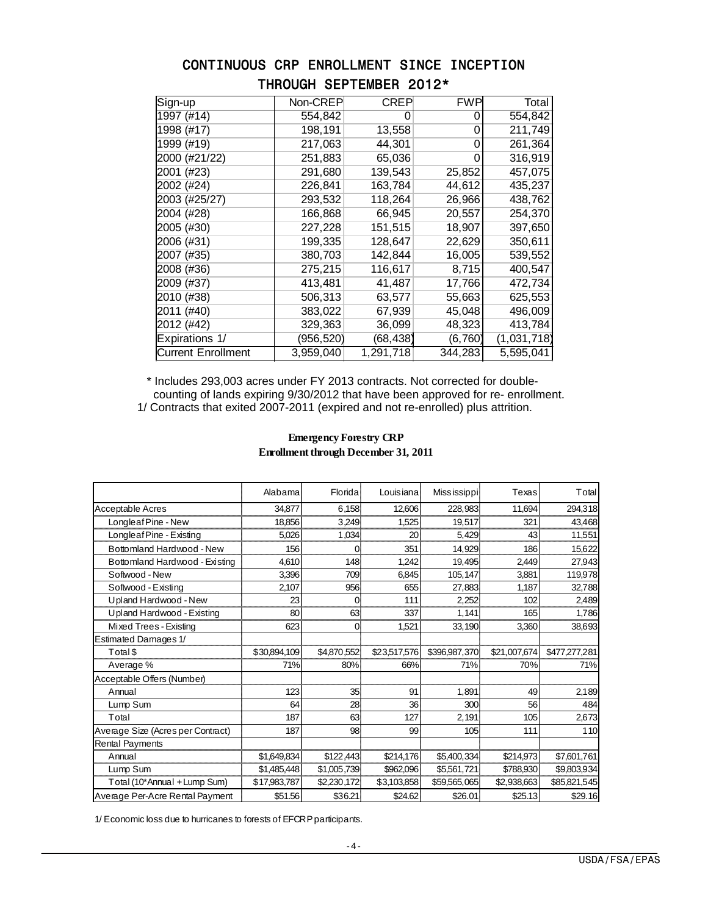### CONTINUOUS CRP ENROLLMENT SINCE INCEPTION THROUGH SEPTEMBER 2012\*

| Sign-up                   | Non-CREP   | CREP      | FWP      | Total       |
|---------------------------|------------|-----------|----------|-------------|
| $\overline{1997}$ (#14)   | 554,842    |           | 0        | 554,842     |
| 1998 (#17)                | 198,191    | 13,558    | 0        | 211,749     |
| 1999 (#19)                | 217,063    | 44,301    | 0        | 261,364     |
| 2000 (#21/22)             | 251,883    | 65,036    | 0        | 316,919     |
| 2001 (#23)                | 291,680    | 139,543   | 25,852   | 457,075     |
| 2002 (#24)                | 226,841    | 163,784   | 44,612   | 435,237     |
| 2003 (#25/27)             | 293,532    | 118,264   | 26,966   | 438,762     |
| 2004 (#28)                | 166,868    | 66,945    | 20,557   | 254,370     |
| 2005 (#30)                | 227,228    | 151,515   | 18,907   | 397,650     |
| 2006 (#31)                | 199,335    | 128,647   | 22,629   | 350,611     |
| 2007 (#35)                | 380,703    | 142,844   | 16,005   | 539,552     |
| 2008 (#36)                | 275,215    | 116,617   | 8,715    | 400,547     |
| 2009 (#37)                | 413,481    | 41,487    | 17,766   | 472,734     |
| 2010 (#38)                | 506,313    | 63,577    | 55,663   | 625,553     |
| 2011 (#40)                | 383,022    | 67,939    | 45,048   | 496,009     |
| 2012 (#42)                | 329,363    | 36,099    | 48,323   | 413,784     |
| Expirations 1/            | (956, 520) | (68, 438) | (6, 760) | (1,031,718) |
| <b>Current Enrollment</b> | 3,959,040  | 1,291,718 | 344,283  | 5,595,041   |

 \* Includes 293,003 acres under FY 2013 contracts. Not corrected for double counting of lands expiring 9/30/2012 that have been approved for re- enrollment. 1/ Contracts that exited 2007-2011 (expired and not re-enrolled) plus attrition.

|                                   | Alabama      | Florida     | Louisianal   | Miss issippi  | Texas         | Total         |
|-----------------------------------|--------------|-------------|--------------|---------------|---------------|---------------|
| <b>Acceptable Acres</b>           | 34,877       | 6,158       | 12,606       | 228,983       | 11,694        | 294,318       |
| Longleaf Pine - New               | 18,856       | 3,249       | 1,525        | 19,517        | 321           | 43,468        |
| Longleaf Pine - Existing          | 5,026        | 1,034       | 20           | 5,429         | 43            | 11,551        |
| Bottomland Hardwood - New         | 156          | 0           | 351          | 14,929        | 186           | 15,622        |
| Bottomland Hardwood - Existing    | 4,610        | 148         | 1,242        | 19,495        | 2,449         | 27,943        |
| Softwood - New                    | 3,396        | 709         | 6,845        | 105,147       | 3,881         | 119,978       |
| Softwood - Existing               | 2,107        | 956         | 655          | 27,883        | 1,187         | 32,788        |
| Upland Hardwood - New             | 23           | 0           | 111          | 2,252         | 102           | 2,489         |
| Upland Hardwood - Existing        | 80           | 63          | 337          | 1,141         | 165           | 1,786         |
| Mixed Trees - Existing            | 623          | 0           | 1,521        | 33,190        | 3,360         | 38,693        |
| <b>Estimated Damages 1/</b>       |              |             |              |               |               |               |
| Total \$                          | \$30,894,109 | \$4,870,552 | \$23,517,576 | \$396,987,370 | \$21,007,674] | \$477,277,281 |
| Average %                         | 71%          | 80%         | 66%          | 71%           | 70%           | 71%           |
| Acceptable Offers (Number)        |              |             |              |               |               |               |
| Annual                            | 123          | 35          | 91           | 1,891         | 49            | 2,189         |
| Lump Sum                          | 64           | 28          | 36           | 300           | 56            | 484           |
| Total                             | 187          | 63          | 127          | 2,191         | 105           | 2,673         |
| Average Size (Acres per Contract) | 187          | 98          | 99           | 105           | 111           | 110           |
| <b>Rental Payments</b>            |              |             |              |               |               |               |
| Annual                            | \$1,649,834  | \$122,443   | \$214,176    | \$5,400,334   | \$214,973     | \$7,601,761   |
| Lump Sum                          | \$1,485,448  | \$1,005,739 | \$962,096    | \$5,561,721   | \$788,930     | \$9,803,934   |
| Total (10*Annual + Lump Sum)      | \$17,983,787 | \$2,230,172 | \$3,103,858  | \$59,565,065  | \$2,938,663   | \$85,821,545  |
| Average Per-Acre Rental Payment   | \$51.56      | \$36.21     | \$24.62      | \$26.01       | \$25.13       | \$29.16       |

#### **Enrollment through December 31, 2011 Emergency Forestry CRP**

1/ Economic loss due to hurricanes to forests of EFCRP participants.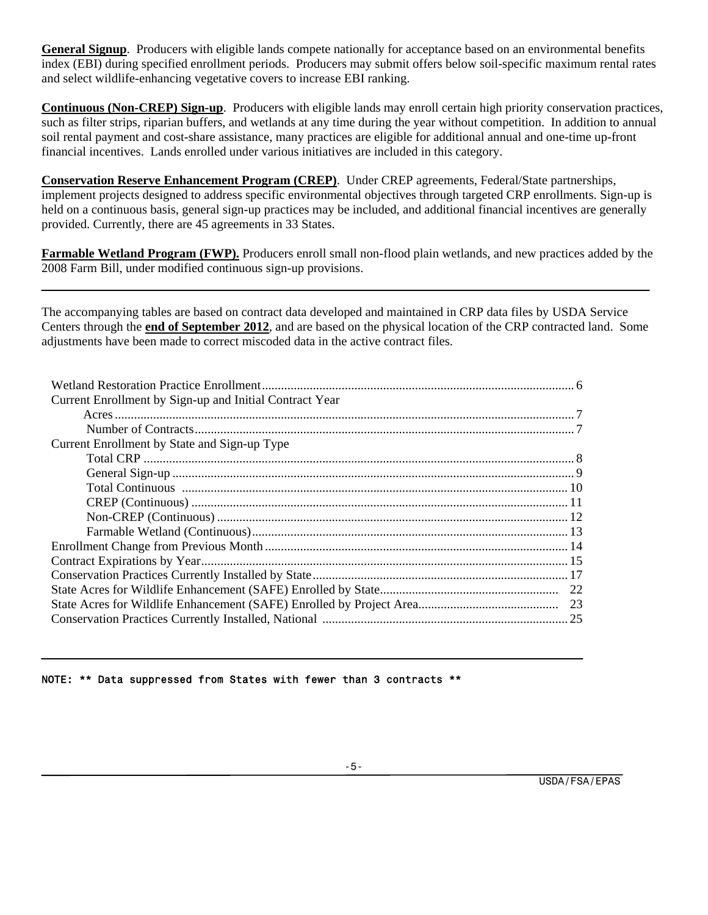**General Signup**. Producers with eligible lands compete nationally for acceptance based on an environmental benefits index (EBI) during specified enrollment periods. Producers may submit offers below soil-specific maximum rental rates and select wildlife-enhancing vegetative covers to increase EBI ranking.

**Continuous (Non-CREP) Sign-up**. Producers with eligible lands may enroll certain high priority conservation practices, such as filter strips, riparian buffers, and wetlands at any time during the year without competition. In addition to annual soil rental payment and cost-share assistance, many practices are eligible for additional annual and one-time up-front financial incentives. Lands enrolled under various initiatives are included in this category.

**Conservation Reserve Enhancement Program (CREP)**. Under CREP agreements, Federal/State partnerships, implement projects designed to address specific environmental objectives through targeted CRP enrollments. Sign-up is held on a continuous basis, general sign-up practices may be included, and additional financial incentives are generally provided. Currently, there are 45 agreements in 33 States.

**Farmable Wetland Program (FWP).** Producers enroll small non-flood plain wetlands, and new practices added by the 2008 Farm Bill, under modified continuous sign-up provisions.

The accompanying tables are based on contract data developed and maintained in CRP data files by USDA Service Centers through the **end of September 2012**, and are based on the physical location of the CRP contracted land. Some adjustments have been made to correct miscoded data in the active contract files.

| Current Enrollment by Sign-up and Initial Contract Year |
|---------------------------------------------------------|
|                                                         |
|                                                         |
| Current Enrollment by State and Sign-up Type            |
|                                                         |
|                                                         |
|                                                         |
|                                                         |
|                                                         |
|                                                         |
|                                                         |
|                                                         |
|                                                         |
|                                                         |
|                                                         |
|                                                         |

#### NOTE: \*\* Data suppressed from States with fewer than 3 contracts \*\*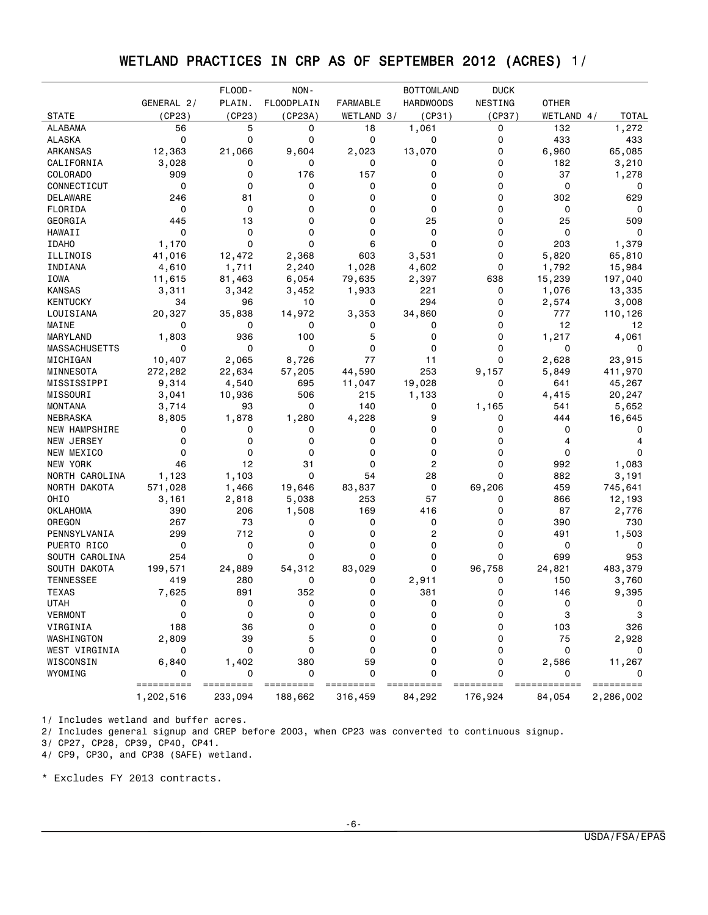# WETLAND PRACTICES IN CRP AS OF SEPTEMBER 2012 (ACRES) 1/

|                           |            | FLOOD-     | NON-              |                 | <b>BOTTOMLAND</b> | <b>DUCK</b> |              |              |
|---------------------------|------------|------------|-------------------|-----------------|-------------------|-------------|--------------|--------------|
|                           | GENERAL 2/ | PLAIN.     | <b>FLOODPLAIN</b> | <b>FARMABLE</b> | <b>HARDWOODS</b>  | NESTING     | <b>OTHER</b> |              |
| <b>STATE</b>              | (CP23)     | (CP23)     | (CP23A)           | WETLAND 3/      | (CP31)            | (CP37)      | WETLAND 4/   | TOTAL        |
| <b>ALABAMA</b>            | 56         | 5          | 0                 | 18              | 1,061             | 0           | 132          | 1,272        |
| <b>ALASKA</b>             | 0          | 0          | 0                 | $\mathbf 0$     | 0                 | 0           | 433          | 433          |
| ARKANSAS                  | 12,363     | 21,066     | 9,604             | 2,023           | 13,070            | 0           | 6,960        | 65,085       |
| CALIFORNIA                | 3,028      | 0          | 0                 | 0               | 0                 | 0           | 182          | 3,210        |
| COLORADO                  | 909        | 0          | 176               | 157             | 0                 | 0           | 37           | 1,278        |
| CONNECTICUT               | 0          | 0          | 0                 | 0               | 0                 | 0           | 0            | 0            |
| DELAWARE                  | 246        | 81         | 0                 | 0               | 0                 | 0           | 302          | 629          |
| FLORIDA                   | 0          | 0          | $\mathbf 0$       | $\Omega$        | 0                 | 0           | 0            | 0            |
| GEORGIA                   | 445        | 13         | 0                 | 0               | 25                | 0           | 25           | 509          |
| HAWAII                    | 0          | 0          | 0                 | $\Omega$        | 0                 | 0           | 0            | 0            |
| <b>IDAHO</b>              | 1,170      | $\Omega$   | $\Omega$          | 6               | 0                 | 0           | 203          | 1,379        |
| ILLINOIS                  | 41,016     | 12,472     | 2,368             | 603             | 3,531             | 0           | 5,820        | 65,810       |
| INDIANA                   | 4,610      | 1,711      | 2,240             | 1,028           | 4,602             | 0           | 1,792        | 15,984       |
| IOWA                      | 11,615     | 81,463     | 6,054             | 79,635          | 2,397             | 638         | 15,239       | 197,040      |
| <b>KANSAS</b>             | 3,311      | 3,342      | 3,452             | 1,933           | 221               | 0           | 1,076        | 13,335       |
| <b>KENTUCKY</b>           | 34         | 96         | 10                | 0               | 294               | 0           | 2,574        | 3,008        |
| LOUISIANA                 | 20,327     | 35,838     | 14,972            | 3,353           | 34,860            | 0           | 777          | 110,126      |
| MAINE                     | 0          | 0          | 0                 | 0               | 0                 | 0           | 12           | 12           |
| MARYLAND                  | 1,803      | 936        | 100               | 5               | 0                 | 0           | 1,217        | 4,061        |
| <b>MASSACHUSETTS</b>      | 0          | 0          | 0                 | $\mathbf 0$     | 0                 | 0           | 0            | 0            |
| MICHIGAN                  | 10,407     | 2,065      | 8,726             | 77              | 11                | 0           | 2,628        | 23,915       |
| MINNESOTA                 | 272,282    | 22,634     | 57,205            | 44,590          | 253               | 9,157       | 5,849        | 411,970      |
| MISSISSIPPI               | 9,314      | 4,540      | 695               | 11,047          | 19,028            | 0           | 641          | 45,267       |
| MISSOURI                  | 3,041      | 10,936     | 506               | 215             | 1,133             | 0           | 4,415        | 20,247       |
| <b>MONTANA</b>            | 3,714      | 93         | $\mathbf 0$       | 140             | 0                 | 1,165       | 541          | 5,652        |
| NEBRASKA                  | 8,805      | 1,878      | 1,280             | 4,228           | 9                 | 0           | 444          | 16,645       |
| NEW HAMPSHIRE             | 0          | 0          | 0                 | 0               | 0                 | 0           | 0            | 0            |
| NEW JERSEY                | 0          | 0          | 0                 | 0               | 0                 | 0           | 4            | 4            |
| NEW MEXICO                | 0          | 0          | 0                 | 0               | 0                 | 0           | 0            | 0            |
| NEW YORK                  | 46         | 12         | 31                | 0               | $\overline{c}$    | 0           | 992          | 1,083        |
| NORTH CAROLINA            | 1,123      | 1,103      | $\mathbf 0$       | 54              | 28                | 0           | 882          | 3,191        |
| NORTH DAKOTA              | 571,028    | 1,466      | 19,646            | 83,837          | 0                 | 69,206      | 459          | 745,641      |
| OHIO                      | 3,161      | 2,818      | 5,038             | 253             | 57                | 0           | 866          |              |
|                           | 390        | 206        |                   | 169             | 416               | 0           | 87           | 12,193       |
| <b>OKLAHOMA</b><br>OREGON |            | 73         | 1,508<br>0        | 0               | 0                 | 0           | 390          | 2,776<br>730 |
|                           | 267<br>299 | 712        | 0                 | 0               | 2                 | 0           | 491          |              |
| PENNSYLVANIA              | 0          | 0          | 0                 | 0               | 0                 | 0           | 0            | 1,503<br>0   |
| PUERTO RICO               |            |            | $\mathbf 0$       |                 | 0                 | 0           | 699          |              |
| SOUTH CAROLINA            | 254        | 0          |                   | 0               |                   |             |              | 953          |
| SOUTH DAKOTA              | 199,571    | 24,889     | 54,312            | 83,029          | 0                 | 96,758      | 24,821       | 483,379      |
| <b>TENNESSEE</b>          | 419        | 280<br>891 | 0<br>352          | 0               | 2,911             | 0           | 150          | 3,760        |
| <b>TEXAS</b>              | 7,625      |            |                   | $\Omega$        | 381               | $\Omega$    | 146          | 9,395        |
| <b>UTAH</b>               | 0          | 0          | 0                 | 0               | 0                 | 0           | 0            | 0            |
| VERMONT                   | 0          | 0          | 0                 | 0               | 0                 | 0           | 3            | 3            |
| VIRGINIA                  | 188        | 36         | 0                 | 0               | $\Omega$          | 0           | 103          | 326          |
| WASHINGTON                | 2,809      | 39         | 5                 | 0               | 0                 | 0           | 75           | 2,928        |
| WEST VIRGINIA             | 0          | 0          | 0                 | 0               | 0                 | 0           | 0            | 0            |
| WISCONSIN                 | 6,840      | 1,402      | 380               | 59              | 0                 | 0           | 2,586        | 11,267       |
| WYOMING                   | ========== | =========  | 0<br>=========    | $\Omega$        | 0                 | 0           |              | =========    |
|                           | 1,202,516  | 233,094    | 188,662           | 316,459         | 84,292            | 176,924     | 84,054       | 2,286,002    |

1/ Includes wetland and buffer acres.

2/ Includes general signup and CREP before 2003, when CP23 was converted to continuous signup.

3/ CP27, CP28, CP39, CP40, CP41.

4/ CP9, CP30, and CP38 (SAFE) wetland.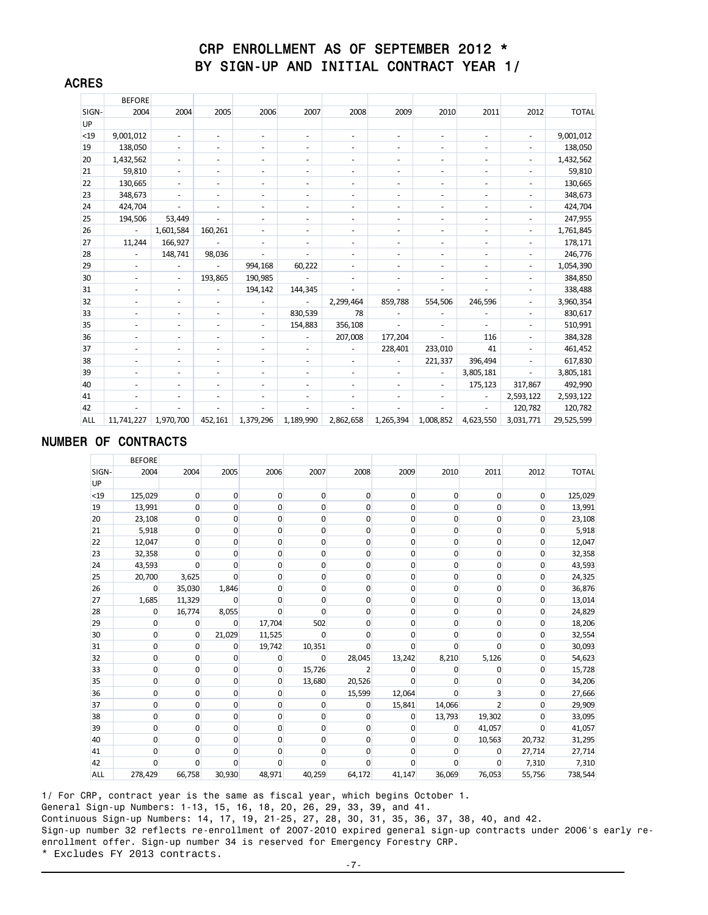### CRP ENROLLMENT AS OF SEPTEMBER 2012 \* BY SIGN-UP AND INITIAL CONTRACT YEAR 1/

|            | <b>BEFORE</b>            |                          |                          |                          |                          |                          |                          |                          |                          |                          |              |
|------------|--------------------------|--------------------------|--------------------------|--------------------------|--------------------------|--------------------------|--------------------------|--------------------------|--------------------------|--------------------------|--------------|
| SIGN-      | 2004                     | 2004                     | 2005                     | 2006                     | 2007                     | 2008                     | 2009                     | 2010                     | 2011                     | 2012                     | <b>TOTAL</b> |
| UP         |                          |                          |                          |                          |                          |                          |                          |                          |                          |                          |              |
| $<$ 19     | 9,001,012                | $\overline{\phantom{a}}$ | $\overline{\phantom{a}}$ | $\overline{\phantom{a}}$ | ٠                        | $\overline{\phantom{a}}$ | ٠                        | $\overline{a}$           | $\overline{\phantom{a}}$ | $\overline{\phantom{a}}$ | 9,001,012    |
| 19         | 138,050                  | $\overline{\phantom{a}}$ | $\overline{\phantom{a}}$ | $\overline{\phantom{a}}$ | $\overline{\phantom{m}}$ | $\overline{\phantom{a}}$ | $\overline{\phantom{a}}$ | $\overline{\phantom{0}}$ | $\overline{\phantom{a}}$ | $\overline{a}$           | 138,050      |
| 20         | 1,432,562                | $\overline{\phantom{a}}$ | $\overline{\phantom{a}}$ | $\overline{\phantom{a}}$ | ٠                        | $\overline{\phantom{a}}$ | ٠                        | $\overline{\phantom{0}}$ | $\overline{\phantom{a}}$ | $\overline{a}$           | 1,432,562    |
| 21         | 59,810                   | ٠                        | ÷                        | $\overline{\phantom{0}}$ | ٠                        | ٠                        | ٠                        | ٠                        | $\overline{\phantom{a}}$ | $\overline{\phantom{a}}$ | 59,810       |
| 22         | 130,665                  | $\overline{\phantom{a}}$ | $\overline{\phantom{a}}$ | $\overline{\phantom{a}}$ | ٠                        | ٠                        | ٠                        | $\overline{\phantom{0}}$ | $\overline{\phantom{a}}$ | ٠                        | 130,665      |
| 23         | 348,673                  | $\overline{\phantom{a}}$ | $\sim$                   | $\overline{\phantom{a}}$ | ٠                        | $\overline{\phantom{a}}$ | ٠                        | ٠                        | $\overline{\phantom{a}}$ | ٠                        | 348,673      |
| 24         | 424,704                  | ٠                        | $\sim$                   | $\overline{\phantom{a}}$ | ٠                        | $\overline{\phantom{a}}$ | ٠                        | ٠                        | $\overline{\phantom{a}}$ | $\overline{\phantom{a}}$ | 424,704      |
| 25         | 194,506                  | 53,449                   |                          | $\overline{\phantom{a}}$ | $\overline{\phantom{m}}$ | ٠                        | ٠                        | $\overline{\phantom{a}}$ | $\overline{\phantom{a}}$ | $\overline{a}$           | 247,955      |
| 26         |                          | 1,601,584                | 160,261                  | $\overline{\phantom{a}}$ | ٠                        | $\overline{\phantom{a}}$ | ٠                        | $\overline{\phantom{0}}$ | $\overline{\phantom{a}}$ | $\overline{\phantom{a}}$ | 1,761,845    |
| 27         | 11,244                   | 166,927                  | $\overline{\phantom{a}}$ | $\overline{\phantom{0}}$ | ٠                        | $\overline{\phantom{a}}$ |                          | ٠                        | $\overline{\phantom{a}}$ | $\overline{\phantom{a}}$ | 178,171      |
| 28         |                          | 148,741                  | 98,036                   | $\overline{\phantom{a}}$ | ٠                        | ٠                        | ٠                        | ۰                        | $\overline{\phantom{a}}$ | ٠                        | 246,776      |
| 29         | $\overline{\phantom{a}}$ |                          |                          | 994,168                  | 60,222                   | ٠                        |                          | $\overline{\phantom{0}}$ | $\overline{\phantom{a}}$ | ٠                        | 1,054,390    |
| 30         | $\overline{\phantom{a}}$ | $\overline{\phantom{a}}$ | 193,865                  | 190,985                  |                          | $\overline{\phantom{a}}$ |                          |                          | ٠                        | $\overline{a}$           | 384,850      |
| 31         | $\overline{\phantom{a}}$ | $\overline{\phantom{a}}$ |                          | 194,142                  | 144,345                  | ٠                        |                          | $\overline{\phantom{a}}$ | $\overline{\phantom{a}}$ | $\overline{a}$           | 338,488      |
| 32         |                          |                          | $\overline{\phantom{a}}$ | $\overline{\phantom{a}}$ |                          | 2,299,464                | 859,788                  | 554,506                  | 246,596                  | $\overline{a}$           | 3,960,354    |
| 33         |                          |                          |                          | ٠                        | 830,539                  | 78                       |                          |                          |                          | ٠                        | 830,617      |
| 35         | ۰                        | $\overline{\phantom{a}}$ | $\blacksquare$           | $\overline{\phantom{a}}$ | 154,883                  | 356,108                  | $\overline{\phantom{a}}$ |                          | $\overline{\phantom{a}}$ | $\overline{a}$           | 510,991      |
| 36         |                          |                          |                          | $\overline{\phantom{a}}$ |                          | 207,008                  | 177,204                  |                          | 116                      |                          | 384,328      |
| 37         |                          |                          |                          | $\overline{\phantom{a}}$ | $\overline{\phantom{0}}$ | $\overline{\phantom{a}}$ | 228,401                  | 233,010                  | 41                       | $\overline{\phantom{a}}$ | 461,452      |
| 38         | $\overline{\phantom{a}}$ | $\overline{\phantom{a}}$ | $\overline{\phantom{a}}$ | ٠                        | ٠                        | ٠                        | $\overline{\phantom{a}}$ | 221,337                  | 396,494                  | $\overline{\phantom{a}}$ | 617,830      |
| 39         |                          |                          |                          | $\overline{\phantom{a}}$ | ٠                        | $\overline{\phantom{a}}$ |                          |                          | 3,805,181                |                          | 3,805,181    |
| 40         |                          |                          |                          | ٠                        | ٠                        | $\overline{\phantom{a}}$ |                          | $\overline{a}$           | 175,123                  | 317,867                  | 492,990      |
| 41         | $\overline{\phantom{a}}$ | $\overline{\phantom{a}}$ | $\overline{\phantom{a}}$ | $\overline{\phantom{a}}$ | ٠                        | ٠                        | $\overline{\phantom{a}}$ | ۰                        | ۰                        | 2,593,122                | 2,593,122    |
| 42         |                          |                          |                          |                          |                          |                          |                          |                          |                          | 120,782                  | 120,782      |
| <b>ALL</b> | 11,741,227               | 1,970,700                | 452,161                  | 1,379,296                | 1,189,990                | 2,862,658                | 1,265,394                | 1,008,852                | 4,623,550                | 3,031,771                | 29,525,599   |

#### NUMBER OF CONTRACTS

ACRES

|       | <b>BEFORE</b> |                |             |                |             |                |             |                |        |             |              |
|-------|---------------|----------------|-------------|----------------|-------------|----------------|-------------|----------------|--------|-------------|--------------|
| SIGN- | 2004          | 2004           | 2005        | 2006           | 2007        | 2008           | 2009        | 2010           | 2011   | 2012        | <b>TOTAL</b> |
| UP    |               |                |             |                |             |                |             |                |        |             |              |
| $19$  | 125,029       | $\overline{0}$ | $\mathbf 0$ | 0              | 0           | $\mathbf{0}$   | $\mathbf 0$ | 0              | 0      | $\mathbf 0$ | 125,029      |
| 19    | 13,991        | $\overline{0}$ | 0           | $\overline{0}$ | 0           | $\mathbf{0}$   | 0           | $\mathbf{0}$   | 0      | 0           | 13,991       |
| 20    | 23,108        | $\mathbf{0}$   | 0           | 0              | $\mathbf 0$ | 0              | 0           | $\mathbf{0}$   | 0      | $\mathbf 0$ | 23,108       |
| 21    | 5,918         | $\mathbf 0$    | $\mathbf 0$ | 0              | 0           | 0              | $\mathbf 0$ | 0              | 0      | $\mathbf 0$ | 5,918        |
| 22    | 12,047        | $\overline{0}$ | 0           | $\mathbf{0}$   | 0           | $\mathbf{0}$   | 0           | $\overline{0}$ | 0      | 0           | 12,047       |
| 23    | 32,358        | $\Omega$       | $\Omega$    | 0              | 0           | $\Omega$       | 0           | $\mathbf{0}$   | 0      | $\mathbf 0$ | 32,358       |
| 24    | 43,593        | $\overline{0}$ | 0           | 0              | 0           | 0              | 0           | $\mathbf{0}$   | 0      | $\mathbf 0$ | 43,593       |
| 25    | 20,700        | 3,625          | $\Omega$    | $\mathbf{0}$   | 0           | $\mathbf{0}$   | 0           | 0              | 0      | 0           | 24,325       |
| 26    | 0             | 35,030         | 1,846       | 0              | 0           | $\Omega$       | 0           | $\mathbf{0}$   | 0      | $\mathbf 0$ | 36,876       |
| 27    | 1,685         | 11,329         | $\mathbf 0$ | 0              | 0           | 0              | 0           | $\mathbf{0}$   | 0      | $\mathbf 0$ | 13,014       |
| 28    | 0             | 16,774         | 8,055       | $\overline{0}$ | 0           | $\mathbf{0}$   | 0           | $\mathbf{0}$   | 0      | 0           | 24,829       |
| 29    | $\Omega$      | $\mathbf{0}$   | $\Omega$    | 17,704         | 502         | $\Omega$       | 0           | $\mathbf{0}$   | 0      | $\mathbf 0$ | 18,206       |
| 30    | 0             | $\overline{0}$ | 21,029      | 11,525         | $\Omega$    | $\Omega$       | $\Omega$    | $\mathbf{0}$   | 0      | 0           | 32,554       |
| 31    | 0             | $\overline{0}$ | 0           | 19,742         | 10,351      | $\mathbf{0}$   | 0           | $\mathbf{0}$   | 0      | $\mathbf 0$ | 30,093       |
| 32    | 0             | $\overline{0}$ | 0           | 0              | 0           | 28,045         | 13,242      | 8,210          | 5,126  | $\mathbf 0$ | 54,623       |
| 33    | 0             | $\mathbf{0}$   | $\mathbf 0$ | $\mathbf{0}$   | 15,726      | $\overline{2}$ | $\Omega$    | 0              | 0      | $\mathbf 0$ | 15,728       |
| 35    | 0             | 0              | 0           | 0              | 13,680      | 20,526         | $\Omega$    | $\Omega$       | 0      | $\mathbf 0$ | 34,206       |
| 36    | 0             | $\overline{0}$ | 0           | 0              | 0           | 15,599         | 12,064      | $\Omega$       | 3      | $\mathbf 0$ | 27,666       |
| 37    | 0             | $\overline{0}$ | 0           | $\mathbf{0}$   | 0           | $\overline{0}$ | 15,841      | 14,066         | 2      | $\mathbf 0$ | 29,909       |
| 38    | 0             | $\overline{0}$ | 0           | 0              | 0           | $\mathbf{0}$   | 0           | 13,793         | 19,302 | 0           | 33,095       |
| 39    | 0             | $\overline{0}$ | $\Omega$    | 0              | 0           | $\Omega$       | $\Omega$    | $\Omega$       | 41,057 | $\Omega$    | 41,057       |
| 40    | $\mathbf{0}$  | $\overline{0}$ | 0           | $\mathbf{0}$   | 0           | $\overline{0}$ | 0           | 0              | 10,563 | 20,732      | 31,295       |
| 41    | 0             | $\overline{0}$ | 0           | 0              | 0           | 0              | $\Omega$    | $\Omega$       | 0      | 27,714      | 27,714       |
| 42    | $\Omega$      | $\Omega$       | $\Omega$    | $\Omega$       | $\Omega$    | $\Omega$       | $\Omega$    | $\Omega$       | 0      | 7,310       | 7,310        |
| ALL   | 278,429       | 66,758         | 30,930      | 48,971         | 40,259      | 64,172         | 41,147      | 36,069         | 76,053 | 55,756      | 738,544      |

1/ For CRP, contract year is the same as fiscal year, which begins October 1. General Sign-up Numbers: 1-13, 15, 16, 18, 20, 26, 29, 33, 39, and 41. Continuous Sign-up Numbers: 14, 17, 19, 21-25, 27, 28, 30, 31, 35, 36, 37, 38, 40, and 42. Sign-up number 32 reflects re-enrollment of 2007-2010 expired general sign-up contracts under 2006's early reenrollment offer. Sign-up number 34 is reserved for Emergency Forestry CRP. \* Excludes FY 2013 contracts.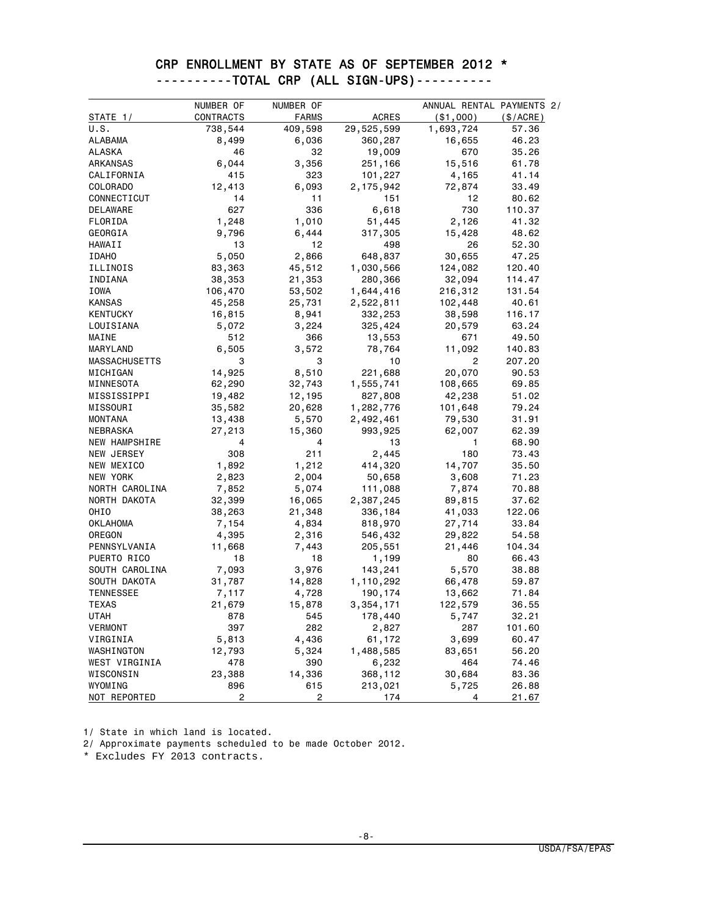### CRP ENROLLMENT BY STATE AS OF SEPTEMBER 2012 \* ----------TOTAL CRP (ALL SIGN-UPS)----------

|                      | NUMBER OF      | NUMBER OF    |              | ANNUAL RENTAL PAYMENTS 2/ |           |
|----------------------|----------------|--------------|--------------|---------------------------|-----------|
| STATE 1/             | CONTRACTS      | <b>FARMS</b> | <b>ACRES</b> | ( \$1,000)                | (\$/ACRE) |
| U.S.                 | 738,544        | 409,598      | 29,525,599   | 1,693,724                 | 57.36     |
| <b>ALABAMA</b>       | 8,499          | 6,036        | 360,287      | 16,655                    | 46.23     |
| ALASKA               | 46             | 32           | 19,009       | 670                       | 35.26     |
| ARKANSAS             | 6,044          | 3,356        | 251,166      | 15,516                    | 61.78     |
| CALIFORNIA           | 415            | 323          | 101,227      | 4,165                     | 41.14     |
| COLORADO             | 12,413         | 6,093        | 2,175,942    | 72,874                    | 33.49     |
| CONNECTICUT          | 14             | 11           | 151          | 12                        | 80.62     |
| DELAWARE             | 627            | 336          | 6,618        | 730                       | 110.37    |
| FLORIDA              | 1,248          | 1,010        | 51,445       | 2,126                     | 41.32     |
| GEORGIA              | 9,796          | 6,444        | 317,305      | 15,428                    | 48.62     |
| HAWAII               | 13             | 12           | 498          | 26                        | 52.30     |
| <b>IDAHO</b>         | 5,050          | 2,866        | 648,837      | 30,655                    | 47.25     |
| ILLINOIS             | 83,363         | 45,512       | 1,030,566    | 124,082                   | 120.40    |
| INDIANA              | 38,353         | 21,353       | 280,366      | 32,094                    | 114.47    |
| IOWA                 | 106,470        | 53,502       | 1,644,416    | 216,312                   | 131.54    |
| <b>KANSAS</b>        | 45,258         | 25,731       | 2,522,811    | 102,448                   | 40.61     |
| <b>KENTUCKY</b>      | 16,815         | 8,941        | 332,253      | 38,598                    | 116.17    |
| LOUISIANA            | 5,072          | 3,224        | 325,424      | 20,579                    | 63.24     |
| MAINE                | 512            | 366          | 13,553       | 671                       | 49.50     |
| MARYLAND             | 6,505          | 3,572        | 78,764       | 11,092                    | 140.83    |
| <b>MASSACHUSETTS</b> | 3              | 3            | 10           | $\overline{c}$            | 207.20    |
| MICHIGAN             | 14,925         | 8,510        | 221,688      | 20,070                    | 90.53     |
| MINNESOTA            | 62,290         | 32,743       | 1,555,741    | 108,665                   | 69.85     |
| MISSISSIPPI          | 19,482         | 12,195       | 827,808      | 42,238                    | 51.02     |
| MISSOURI             | 35,582         | 20,628       | 1,282,776    | 101,648                   | 79.24     |
| MONTANA              | 13,438         | 5,570        | 2,492,461    | 79,530                    | 31.91     |
| NEBRASKA             | 27,213         | 15,360       | 993,925      | 62,007                    | 62.39     |
| <b>NEW HAMPSHIRE</b> | 4              | 4            | 13           | 1                         | 68.90     |
| NEW JERSEY           | 308            | 211          | 2,445        | 180                       | 73.43     |
| NEW MEXICO           | 1,892          | 1,212        | 414,320      | 14,707                    | 35.50     |
| NEW YORK             | 2,823          | 2,004        | 50,658       | 3,608                     | 71.23     |
| NORTH CAROLINA       | 7,852          | 5,074        | 111,088      | 7,874                     | 70.88     |
| NORTH DAKOTA         | 32,399         | 16,065       | 2,387,245    | 89,815                    | 37.62     |
| OHIO                 | 38,263         | 21,348       | 336,184      | 41,033                    | 122.06    |
| OKLAHOMA             | 7,154          | 4,834        | 818,970      | 27,714                    | 33.84     |
| OREGON               | 4,395          | 2,316        | 546,432      | 29,822                    | 54.58     |
| PENNSYLVANIA         | 11,668         | 7,443        | 205,551      | 21,446                    | 104.34    |
| PUERTO RICO          | 18             | 18           | 1,199        | 80                        | 66.43     |
| SOUTH CAROLINA       | 7,093          | 3,976        | 143,241      | 5,570                     | 38.88     |
| SOUTH DAKOTA         | 31,787         | 14,828       | 1,110,292    | 66,478                    | 59.87     |
| <b>TENNESSEE</b>     | 7,117          | 4,728        | 190,174      | 13,662                    | 71.84     |
| TEXAS                | 21,679         | 15,878       | 3,354,171    | 122,579                   | 36.55     |
| UTAH                 | 878            | 545          | 178,440      | 5,747                     | 32.21     |
| VERMONT              | 397            | 282          | 2,827        | 287                       | 101.60    |
| VIRGINIA             | 5,813          | 4,436        | 61,172       | 3,699                     | 60.47     |
| WASHINGTON           | 12,793         | 5,324        | 1,488,585    | 83,651                    | 56.20     |
| WEST VIRGINIA        | 478            | 390          | 6,232        | 464                       | 74.46     |
| WISCONSIN            | 23,388         | 14,336       | 368,112      | 30,684                    | 83.36     |
| WYOMING              | 896            | 615          | 213,021      | 5,725                     | 26.88     |
| NOT REPORTED         | $\overline{2}$ | 2            | 174          | 4                         | 21.67     |

1/ State in which land is located.

2/ Approximate payments scheduled to be made October 2012.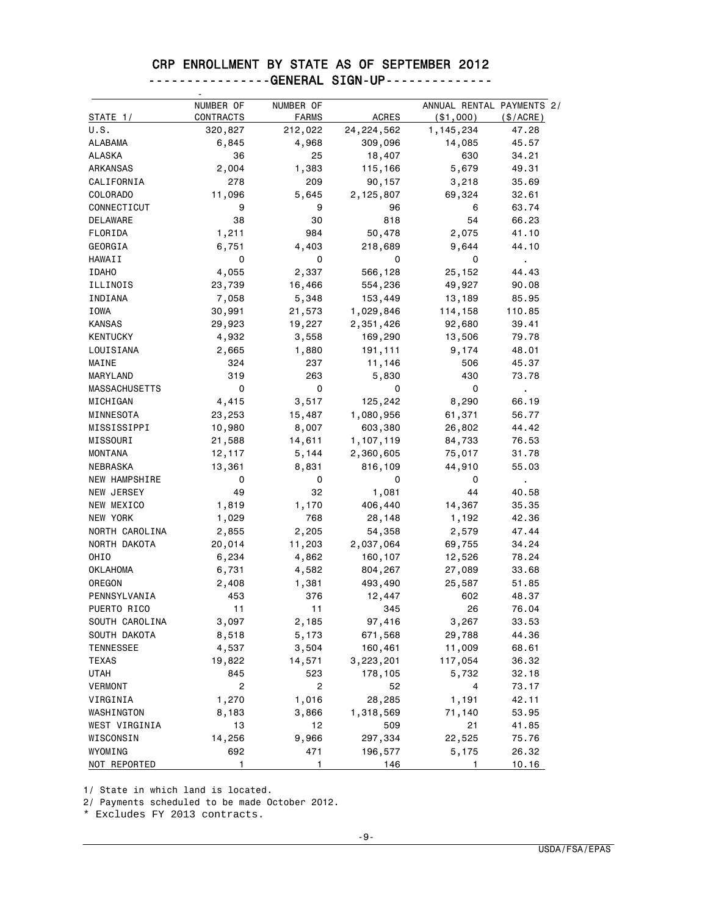### CRP ENROLLMENT BY STATE AS OF SEPTEMBER 2012 ----------------GENERAL SIGN-UP--------------

| STATE 1/             | NUMBER OF<br>CONTRACTS | NUMBER OF<br><b>FARMS</b> | <b>ACRES</b> | ANNUAL RENTAL PAYMENTS 2/<br>$(*1,000)$ | (\$/ACRE)               |
|----------------------|------------------------|---------------------------|--------------|-----------------------------------------|-------------------------|
| U.S.                 | 320,827                | 212,022                   | 24, 224, 562 | 1,145,234                               | 47.28                   |
| <b>ALABAMA</b>       | 6,845                  | 4,968                     | 309,096      | 14,085                                  | 45.57                   |
| ALASKA               | 36                     | 25                        | 18,407       | 630                                     | 34.21                   |
| ARKANSAS             | 2,004                  | 1,383                     | 115,166      | 5,679                                   | 49.31                   |
| CALIFORNIA           | 278                    | 209                       | 90,157       | 3,218                                   | 35.69                   |
| COLORADO             | 11,096                 | 5,645                     | 2,125,807    | 69,324                                  | 32.61                   |
| CONNECTICUT          | 9                      | 9                         | 96           | 6                                       | 63.74                   |
| DELAWARE             | 38                     | 30                        | 818          | 54                                      | 66.23                   |
| FLORIDA              | 1,211                  | 984                       | 50,478       | 2,075                                   | 41.10                   |
| GEORGIA              | 6,751                  | 4,403                     | 218,689      | 9,644                                   | 44.10                   |
| HAWAII               | 0                      | 0                         | 0            | 0                                       | $\blacksquare$          |
| <b>IDAHO</b>         | 4,055                  | 2,337                     | 566,128      | 25,152                                  | 44.43                   |
| ILLINOIS             | 23,739                 | 16,466                    | 554,236      | 49,927                                  | 90.08                   |
| INDIANA              | 7,058                  | 5,348                     | 153,449      | 13,189                                  | 85.95                   |
| <b>IOWA</b>          | 30,991                 | 21,573                    | 1,029,846    | 114,158                                 | 110.85                  |
| <b>KANSAS</b>        | 29,923                 | 19,227                    | 2,351,426    | 92,680                                  | 39.41                   |
| <b>KENTUCKY</b>      | 4,932                  | 3,558                     | 169,290      | 13,506                                  | 79.78                   |
| LOUISIANA            | 2,665                  | 1,880                     | 191,111      | 9,174                                   | 48.01                   |
| MAINE                | 324                    | 237                       | 11,146       | 506                                     | 45.37                   |
| MARYLAND             | 319                    | 263                       | 5,830        | 430                                     | 73.78                   |
| <b>MASSACHUSETTS</b> | 0                      | 0                         | 0            | 0                                       |                         |
| MICHIGAN             | 4,415                  | 3,517                     | 125,242      |                                         | $\blacksquare$<br>66.19 |
|                      |                        |                           |              | 8,290                                   |                         |
| MINNESOTA            | 23,253                 | 15,487                    | 1,080,956    | 61,371                                  | 56.77                   |
| MISSISSIPPI          | 10,980                 | 8,007                     | 603,380      | 26,802                                  | 44.42                   |
| MISSOURI             | 21,588                 | 14,611                    | 1,107,119    | 84,733                                  | 76.53                   |
| <b>MONTANA</b>       | 12,117                 | 5,144                     | 2,360,605    | 75,017                                  | 31.78                   |
| NEBRASKA             | 13,361                 | 8,831                     | 816,109      | 44,910                                  | 55.03                   |
| <b>NEW HAMPSHIRE</b> | 0                      | 0                         | 0            | 0                                       |                         |
| NEW JERSEY           | 49                     | 32                        | 1,081        | 44                                      | 40.58                   |
| NEW MEXICO           | 1,819                  | 1,170                     | 406,440      | 14,367                                  | 35.35                   |
| NEW YORK             | 1,029                  | 768                       | 28,148       | 1,192                                   | 42.36                   |
| NORTH CAROLINA       | 2,855                  | 2,205                     | 54,358       | 2,579                                   | 47.44                   |
| NORTH DAKOTA         | 20,014                 | 11,203                    | 2,037,064    | 69,755                                  | 34.24                   |
| OHIO                 | 6,234                  | 4,862                     | 160,107      | 12,526                                  | 78.24                   |
| <b>OKLAHOMA</b>      | 6,731                  | 4,582                     | 804,267      | 27,089                                  | 33.68                   |
| OREGON               | 2,408                  | 1,381                     | 493,490      | 25,587                                  | 51.85                   |
| PENNSYLVANIA         | 453                    | 376                       | 12,447       | 602                                     | 48.37                   |
| PUERTO RICO          | 11                     | 11                        | 345          | 26                                      | 76.04                   |
| SOUTH CAROLINA       | 3,097                  | 2,185                     | 97,416       | 3,267                                   | 33.53                   |
| SOUTH DAKOTA         | 8,518                  | 5,173                     | 671,568      | 29,788                                  | 44.36                   |
| TENNESSEE            | 4,537                  | 3,504                     | 160,461      | 11,009                                  | 68.61                   |
| TEXAS                | 19,822                 | 14,571                    | 3,223,201    | 117,054                                 | 36.32                   |
| <b>UTAH</b>          | 845                    | 523                       | 178,105      | 5,732                                   | 32.18                   |
| <b>VERMONT</b>       | $\overline{c}$         | 2                         | 52           | 4                                       | 73.17                   |
| VIRGINIA             | 1,270                  | 1,016                     | 28,285       | 1,191                                   | 42.11                   |
| WASHINGTON           | 8,183                  | 3,866                     | 1,318,569    | 71,140                                  | 53.95                   |
| WEST VIRGINIA        | 13                     | 12                        | 509          | 21                                      | 41.85                   |
| WISCONSIN            | 14,256                 | 9,966                     | 297,334      | 22,525                                  | 75.76                   |
| WYOMING              | 692                    | 471                       | 196,577      | 5,175                                   | 26.32                   |
| NOT REPORTED         | 1                      | 1                         | 146          | 1                                       | 10.16                   |

1/ State in which land is located.

2/ Payments scheduled to be made October 2012.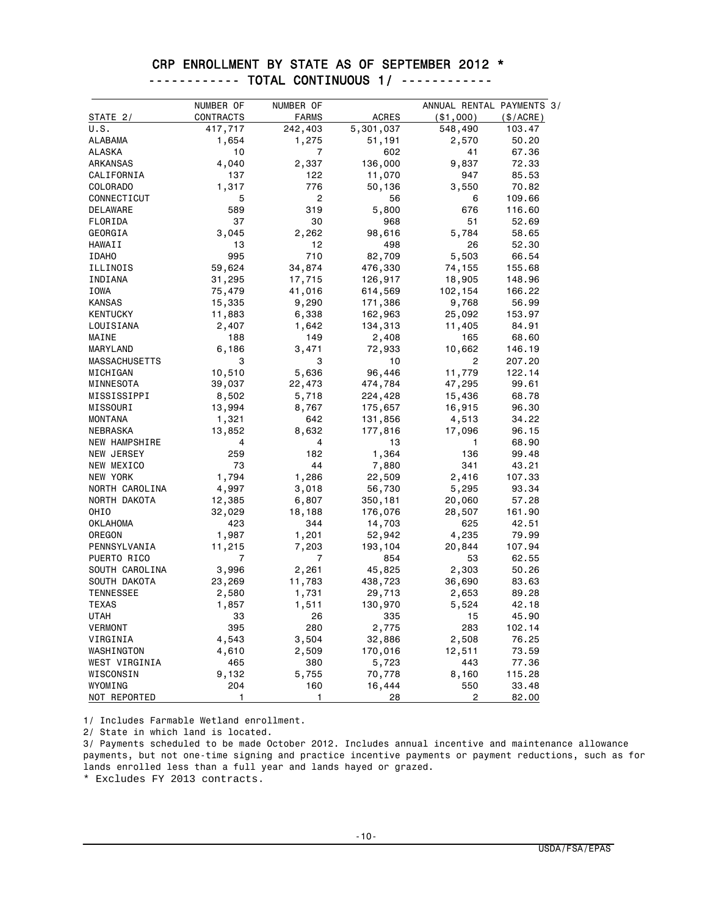### CRP ENROLLMENT BY STATE AS OF SEPTEMBER 2012 \* ------------ TOTAL CONTINUOUS 1/ ------------

|                      | NUMBER OF | NUMBER OF      |              | ANNUAL RENTAL PAYMENTS 3/ |          |
|----------------------|-----------|----------------|--------------|---------------------------|----------|
| STATE 2/             | CONTRACTS | <b>FARMS</b>   | <b>ACRES</b> | ( \$1,000)                | (S/ACRE) |
| U.S.                 | 417,717   | 242,403        | 5,301,037    | 548,490                   | 103.47   |
| ALABAMA              | 1,654     | 1,275          | 51,191       | 2,570                     | 50.20    |
| <b>ALASKA</b>        | 10        | $\overline{7}$ | 602          | 41                        | 67.36    |
| ARKANSAS             | 4,040     | 2,337          | 136,000      | 9,837                     | 72.33    |
| CALIFORNIA           | 137       | 122            | 11,070       | 947                       | 85.53    |
| COLORADO             | 1,317     | 776            | 50,136       | 3,550                     | 70.82    |
| CONNECTICUT          | 5         | 2              | 56           | 6                         | 109.66   |
| DELAWARE             | 589       | 319            | 5,800        | 676                       | 116.60   |
| FLORIDA              | 37        | 30             | 968          | 51                        | 52.69    |
| GEORGIA              | 3,045     | 2,262          | 98,616       | 5,784                     | 58.65    |
| HAWAII               | 13        | 12             | 498          | 26                        | 52.30    |
| <b>IDAHO</b>         | 995       | 710            | 82,709       | 5,503                     | 66.54    |
| ILLINOIS             | 59,624    | 34,874         | 476,330      | 74,155                    | 155.68   |
| INDIANA              | 31,295    | 17,715         | 126,917      | 18,905                    | 148.96   |
| IOWA                 | 75,479    | 41,016         | 614,569      | 102,154                   | 166.22   |
| <b>KANSAS</b>        | 15,335    | 9,290          | 171,386      | 9,768                     | 56.99    |
| <b>KENTUCKY</b>      | 11,883    | 6,338          | 162,963      | 25,092                    | 153.97   |
| LOUISIANA            | 2,407     | 1,642          | 134,313      | 11,405                    | 84.91    |
| MAINE                | 188       | 149            | 2,408        | 165                       | 68.60    |
| MARYLAND             | 6,186     | 3,471          | 72,933       | 10,662                    | 146.19   |
| <b>MASSACHUSETTS</b> | 3         | 3              | 10           | $\overline{c}$            | 207.20   |
| MICHIGAN             | 10,510    | 5,636          | 96,446       | 11,779                    | 122.14   |
| MINNESOTA            | 39,037    | 22,473         | 474,784      | 47,295                    | 99.61    |
| MISSISSIPPI          | 8,502     | 5,718          | 224,428      | 15,436                    | 68.78    |
| MISSOURI             | 13,994    | 8,767          | 175,657      | 16,915                    | 96.30    |
| MONTANA              | 1,321     | 642            | 131,856      | 4,513                     | 34.22    |
| NEBRASKA             | 13,852    | 8,632          | 177,816      | 17,096                    | 96.15    |
| NEW HAMPSHIRE        | 4         | 4              | 13           | 1                         | 68.90    |
| NEW JERSEY           | 259       | 182            | 1,364        | 136                       | 99.48    |
| NEW MEXICO           | 73        | 44             | 7,880        | 341                       | 43.21    |
| NEW YORK             | 1,794     | 1,286          | 22,509       | 2,416                     | 107.33   |
| NORTH CAROLINA       | 4,997     | 3,018          | 56,730       | 5,295                     | 93.34    |
| NORTH DAKOTA         | 12,385    | 6,807          | 350,181      | 20,060                    | 57.28    |
| OHI <sub>0</sub>     | 32,029    | 18,188         | 176,076      | 28,507                    | 161.90   |
| <b>OKLAHOMA</b>      | 423       | 344            | 14,703       | 625                       | 42.51    |
| OREGON               | 1,987     | 1,201          | 52,942       | 4,235                     | 79.99    |
| PENNSYLVANIA         | 11,215    | 7,203          | 193,104      | 20,844                    | 107.94   |
| PUERTO RICO          | 7         | 7              | 854          | 53                        | 62.55    |
| SOUTH CAROLINA       | 3,996     | 2,261          | 45,825       | 2,303                     | 50.26    |
| SOUTH DAKOTA         | 23,269    | 11,783         | 438,723      | 36,690                    | 83.63    |
| TENNESSEE            | 2,580     | 1,731          | 29,713       | 2,653                     | 89.28    |
| <b>TEXAS</b>         | 1,857     | 1,511          | 130,970      | 5,524                     | 42.18    |
| UTAH                 | 33        | 26             | 335          | 15                        | 45.90    |
| <b>VERMONT</b>       | 395       | 280            | 2,775        | 283                       | 102.14   |
| VIRGINIA             | 4,543     | 3,504          | 32,886       | 2,508                     | 76.25    |
| WASHINGTON           | 4,610     | 2,509          | 170,016      | 12,511                    | 73.59    |
| WEST VIRGINIA        | 465       | 380            | 5,723        | 443                       | 77.36    |
| WISCONSIN            | 9,132     | 5,755          | 70,778       | 8,160                     | 115.28   |
| WYOMING              | 204       | 160            | 16,444       | 550                       | 33.48    |
| NOT REPORTED         | 1         | 1              | 28           | 2                         | 82.00    |

1/ Includes Farmable Wetland enrollment.

2/ State in which land is located.

3/ Payments scheduled to be made October 2012. Includes annual incentive and maintenance allowance payments, but not one-time signing and practice incentive payments or payment reductions, such as for lands enrolled less than a full year and lands hayed or grazed.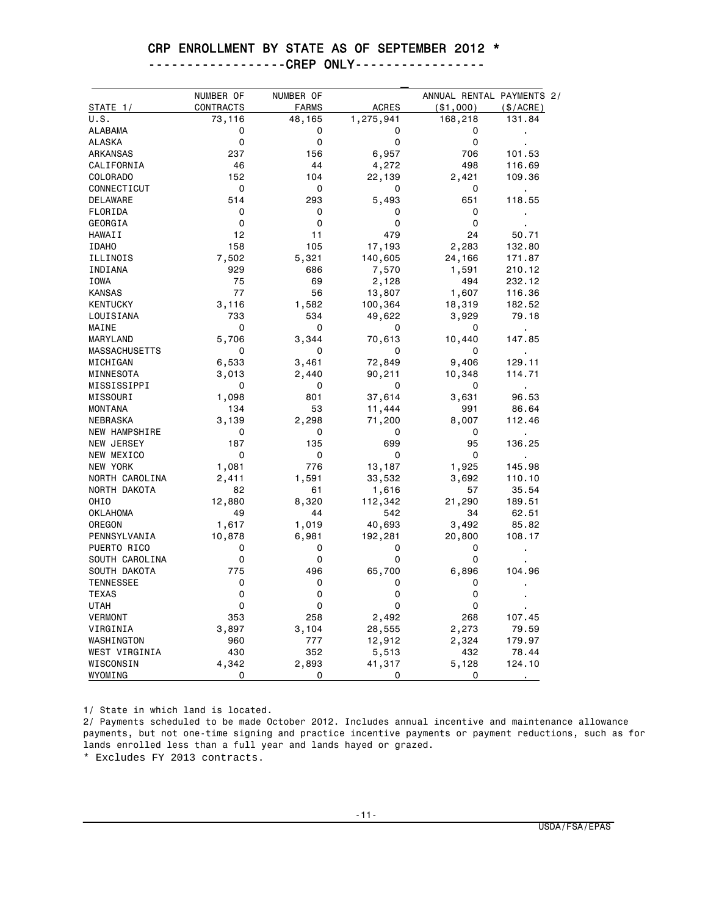#### CRP ENROLLMENT BY STATE AS OF SEPTEMBER 2012 \*

------------------CREP ONLY-----------------

|                      | NUMBER OF   | NUMBER OF    |              | ANNUAL RENTAL PAYMENTS 2/ |                |
|----------------------|-------------|--------------|--------------|---------------------------|----------------|
| STATE 1/             | CONTRACTS   | <b>FARMS</b> | <b>ACRES</b> | $($ \$1,000 $)$           | $(\$/ACRE)$    |
| U.S.                 | 73,116      | 48,165       | 1,275,941    | 168,218                   | 131.84         |
| <b>ALABAMA</b>       | 0           | 0            | 0            | 0                         |                |
| <b>ALASKA</b>        | 0           | 0            | 0            | 0                         |                |
| ARKANSAS             | 237         | 156          | 6,957        | 706                       | 101.53         |
| CALIFORNIA           | 46          | 44           | 4,272        | 498                       | 116.69         |
| COLORADO             | 152         | 104          | 22,139       | 2,421                     | 109.36         |
| CONNECTICUT          | 0           | 0            | 0            | 0                         | $\blacksquare$ |
| <b>DELAWARE</b>      | 514         | 293          | 5,493        | 651                       | 118.55         |
| FLORIDA              | 0           | 0            | 0            | 0                         |                |
| GEORGIA              | 0           | 0            | 0            | 0                         |                |
| HAWAII               | 12          | 11           | 479          | 24                        | 50.71          |
| <b>IDAHO</b>         | 158         | 105          | 17,193       | 2,283                     | 132.80         |
| ILLINOIS             | 7,502       | 5,321        | 140,605      | 24,166                    | 171.87         |
| INDIANA              | 929         | 686          | 7,570        | 1,591                     | 210.12         |
| IOWA                 | 75          | 69           | 2,128        | 494                       | 232.12         |
| <b>KANSAS</b>        | 77          | 56           | 13,807       | 1,607                     | 116.36         |
| <b>KENTUCKY</b>      | 3,116       | 1,582        | 100,364      | 18,319                    | 182.52         |
| LOUISIANA            | 733         | 534          | 49,622       | 3,929                     | 79.18          |
| MAINE                | 0           | 0            | 0            | 0                         |                |
| MARYLAND             | 5,706       | 3,344        | 70,613       | 10,440                    | 147.85         |
| <b>MASSACHUSETTS</b> | 0           | 0            | 0            | 0                         |                |
| MICHIGAN             | 6,533       | 3,461        | 72,849       | 9,406                     | 129.11         |
| MINNESOTA            | 3,013       | 2,440        | 90,211       | 10,348                    | 114.71         |
| MISSISSIPPI          | 0           | 0            | 0            | 0                         | $\blacksquare$ |
| MISSOURI             | 1,098       | 801          | 37,614       | 3,631                     | 96.53          |
| <b>MONTANA</b>       | 134         | 53           | 11,444       | 991                       | 86.64          |
| NEBRASKA             | 3,139       | 2,298        | 71,200       | 8,007                     | 112.46         |
| <b>NEW HAMPSHIRE</b> | 0           | 0            | 0            | 0                         |                |
| NEW JERSEY           | 187         | 135          | 699          | 95                        | 136.25         |
| NEW MEXICO           | $\mathbf 0$ | 0            | 0            | 0                         | $\blacksquare$ |
| NEW YORK             | 1,081       | 776          | 13,187       | 1,925                     | 145.98         |
| NORTH CAROLINA       | 2,411       | 1,591        | 33,532       | 3,692                     | 110.10         |
| NORTH DAKOTA         | 82          | 61           | 1,616        | 57                        | 35.54          |
| OHIO                 | 12,880      | 8,320        | 112,342      | 21,290                    | 189.51         |
| <b>OKLAHOMA</b>      | 49          | 44           | 542          | 34                        | 62.51          |
| OREGON               | 1,617       | 1,019        | 40,693       | 3,492                     | 85.82          |
| PENNSYLVANIA         | 10,878      | 6,981        | 192,281      | 20,800                    | 108.17         |
| PUERTO RICO          | 0           | 0            | 0            | 0                         |                |
| SOUTH CAROLINA       | 0           | 0            | 0            | 0                         |                |
| SOUTH DAKOTA         | 775         | 496          | 65,700       | 6,896                     | 104.96         |
| <b>TENNESSEE</b>     | 0           | 0            | 0            | 0                         |                |
| <b>TEXAS</b>         | 0           | 0            | 0            | 0                         |                |
| <b>UTAH</b>          | 0           | 0            | 0            | 0                         |                |
| <b>VERMONT</b>       | 353         | 258          | 2,492        | 268                       | 107.45         |
| VIRGINIA             | 3,897       | 3,104        | 28,555       | 2,273                     | 79.59          |
| WASHINGTON           | 960         | 777          | 12,912       | 2,324                     | 179.97         |
| WEST VIRGINIA        | 430         | 352          | 5,513        | 432                       | 78.44          |
| WISCONSIN            | 4,342       | 2,893        | 41,317       | 5,128                     | 124.10         |
| WYOMING              | 0           | 0            | 0            | 0                         |                |

1/ State in which land is located.

2/ Payments scheduled to be made October 2012. Includes annual incentive and maintenance allowance payments, but not one-time signing and practice incentive payments or payment reductions, such as for lands enrolled less than a full year and lands hayed or grazed.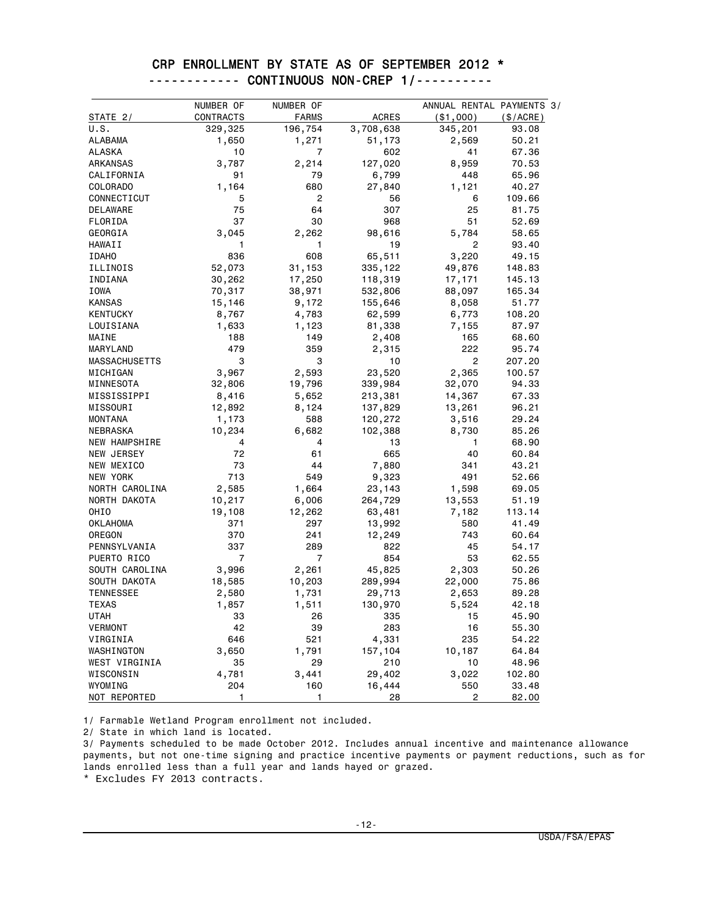### CRP ENROLLMENT BY STATE AS OF SEPTEMBER 2012 \* ------------ CONTINUOUS NON-CREP 1/----------

|                      | NUMBER OF | NUMBER OF    |              | ANNUAL RENTAL PAYMENTS 3/ |          |
|----------------------|-----------|--------------|--------------|---------------------------|----------|
| STATE 2/             | CONTRACTS | <b>FARMS</b> | <b>ACRES</b> | $($ \$1,000)              | (S/ACRE) |
| U.S.                 | 329,325   | 196,754      | 3,708,638    | 345,201                   | 93.08    |
| ALABAMA              | 1,650     | 1,271        | 51,173       | 2,569                     | 50.21    |
| <b>ALASKA</b>        | 10        | 7            | 602          | 41                        | 67.36    |
| ARKANSAS             | 3,787     | 2,214        | 127,020      | 8,959                     | 70.53    |
| CALIFORNIA           | 91        | 79           | 6,799        | 448                       | 65.96    |
| COLORADO             | 1,164     | 680          | 27,840       | 1,121                     | 40.27    |
| CONNECTICUT          | 5         | 2            | 56           | 6                         | 109.66   |
| DELAWARE             | 75        | 64           | 307          | 25                        | 81.75    |
| FLORIDA              | 37        | 30           | 968          | 51                        | 52.69    |
| GEORGIA              | 3,045     | 2,262        | 98,616       | 5,784                     | 58.65    |
| HAWAII               | 1         | 1            | 19           | 2                         | 93.40    |
| <b>IDAHO</b>         | 836       | 608          | 65,511       | 3,220                     | 49.15    |
| ILLINOIS             | 52,073    | 31,153       | 335,122      | 49,876                    | 148.83   |
| INDIANA              | 30,262    | 17,250       | 118,319      | 17,171                    | 145.13   |
| IOWA                 | 70,317    | 38,971       | 532,806      | 88,097                    | 165.34   |
| <b>KANSAS</b>        | 15,146    | 9,172        | 155,646      | 8,058                     | 51.77    |
| <b>KENTUCKY</b>      | 8,767     | 4,783        | 62,599       | 6,773                     | 108.20   |
| LOUISIANA            | 1,633     | 1,123        | 81,338       | 7,155                     | 87.97    |
| MAINE                | 188       | 149          | 2,408        | 165                       | 68,60    |
| MARYLAND             | 479       | 359          | 2,315        | 222                       | 95.74    |
| <b>MASSACHUSETTS</b> | 3         | 3            | 10           | $\overline{2}$            | 207.20   |
| MICHIGAN             | 3,967     | 2,593        | 23,520       | 2,365                     | 100.57   |
| MINNESOTA            | 32,806    | 19,796       | 339,984      | 32,070                    | 94.33    |
| MISSISSIPPI          | 8,416     | 5,652        | 213,381      | 14,367                    | 67.33    |
| MISSOURI             | 12,892    | 8,124        | 137,829      | 13,261                    | 96.21    |
| <b>MONTANA</b>       | 1,173     | 588          | 120,272      | 3,516                     | 29.24    |
| NEBRASKA             | 10,234    | 6,682        | 102,388      | 8,730                     | 85.26    |
| NEW HAMPSHIRE        | 4         | 4            | 13           | 1                         | 68.90    |
| NEW JERSEY           | 72        | 61           | 665          | 40                        | 60.84    |
| NEW MEXICO           | 73        | 44           | 7,880        | 341                       | 43.21    |
| NEW YORK             | 713       | 549          | 9,323        | 491                       | 52.66    |
| NORTH CAROLINA       | 2,585     | 1,664        | 23,143       | 1,598                     | 69.05    |
| NORTH DAKOTA         | 10,217    | 6,006        | 264,729      | 13,553                    | 51.19    |
| OHI <sub>0</sub>     | 19,108    | 12,262       | 63,481       | 7,182                     | 113.14   |
| <b>OKLAHOMA</b>      | 371       | 297          | 13,992       | 580                       | 41.49    |
| OREGON               | 370       | 241          | 12,249       | 743                       | 60.64    |
| PENNSYLVANIA         | 337       | 289          | 822          | 45                        | 54.17    |
| PUERTO RICO          | 7         | 7            | 854          | 53                        | 62.55    |
| SOUTH CAROLINA       | 3,996     | 2,261        | 45,825       | 2,303                     | 50.26    |
| SOUTH DAKOTA         | 18,585    | 10,203       | 289,994      | 22,000                    | 75.86    |
| TENNESSEE            | 2,580     | 1,731        | 29,713       | 2,653                     | 89.28    |
| <b>TEXAS</b>         | 1,857     | 1,511        | 130,970      | 5,524                     | 42.18    |
| UTAH                 | 33        | 26           | 335          | 15                        | 45.90    |
| <b>VERMONT</b>       | 42        | 39           | 283          | 16                        | 55.30    |
| VIRGINIA             | 646       | 521          | 4,331        | 235                       | 54.22    |
| WASHINGTON           | 3,650     | 1,791        | 157,104      | 10,187                    | 64.84    |
| WEST VIRGINIA        | 35        | 29           | 210          | 10                        | 48.96    |
| WISCONSIN            | 4,781     | 3,441        | 29,402       | 3,022                     | 102.80   |
| WYOMING              | 204       | 160          | 16,444       | 550                       | 33.48    |
| NOT REPORTED         | 1         | 1            | 28           | 2                         | 82.00    |

1/ Farmable Wetland Program enrollment not included.

2/ State in which land is located.

3/ Payments scheduled to be made October 2012. Includes annual incentive and maintenance allowance payments, but not one-time signing and practice incentive payments or payment reductions, such as for lands enrolled less than a full year and lands hayed or grazed.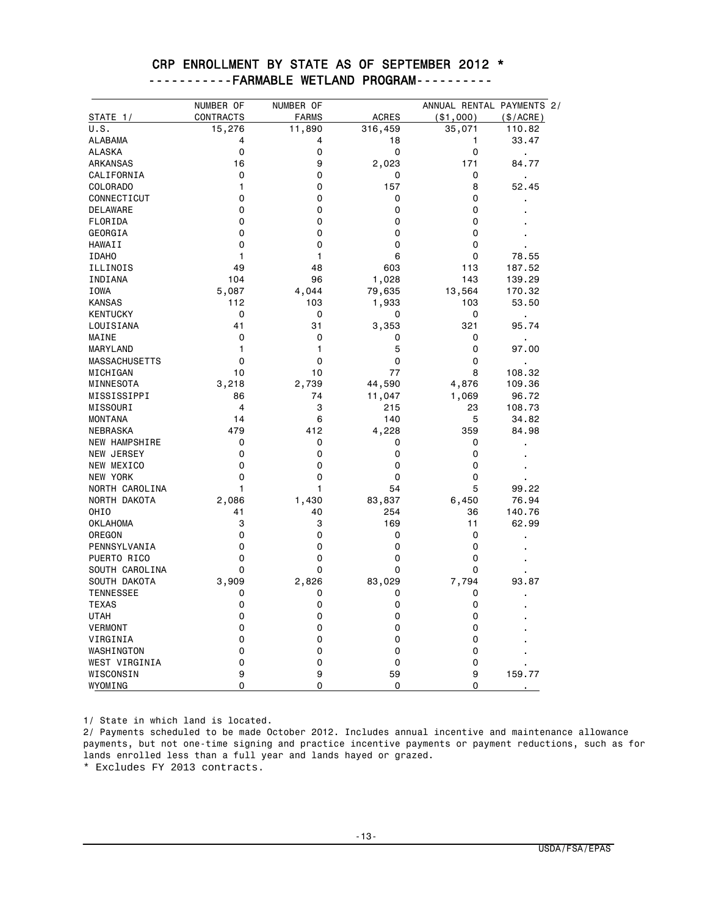| STATE 1/             |                |              |              |             | ANNUAL RENTAL PAYMENTS 2/ |
|----------------------|----------------|--------------|--------------|-------------|---------------------------|
|                      | CONTRACTS      | <b>FARMS</b> | <b>ACRES</b> | ( \$1,000)  | (\$/ACRE)                 |
| U.S.                 | 15,276         | 11,890       | 316,459      | 35,071      | 110.82                    |
| <b>ALABAMA</b>       | 4              | 4            | 18           | 1           | 33.47                     |
| <b>ALASKA</b>        | 0              | 0            | 0            | $\mathbf 0$ |                           |
| ARKANSAS             | 16             | 9            | 2,023        | 171         | 84.77                     |
| CALIFORNIA           | 0              | 0            | 0            | 0           |                           |
| COLORADO             | 1              | 0            | 157          | 8           | 52.45                     |
| CONNECTICUT          | 0              | 0            | 0            | 0           |                           |
| DELAWARE             | 0              | 0            | 0            | 0           |                           |
| FLORIDA              | 0              | 0            | 0            | 0           |                           |
| GEORGIA              | 0              | 0            | $\mathbf 0$  | 0           |                           |
| HAWAII               | 0              | 0            | 0            | 0           |                           |
| <b>IDAHO</b>         | 1              | 1            | 6            | 0           | 78.55                     |
| ILLINOIS             | 49             | 48           | 603          | 113         | 187.52                    |
| INDIANA              | 104            | 96           | 1,028        | 143         | 139.29                    |
| <b>IOWA</b>          | 5,087          | 4,044        | 79,635       | 13,564      | 170.32                    |
| <b>KANSAS</b>        | 112            | 103          | 1,933        | 103         | 53.50                     |
| <b>KENTUCKY</b>      | $\mathbf 0$    | 0            | 0            | 0           | $\blacksquare$            |
| LOUISIANA            | 41             | 31           | 3,353        | 321         | 95.74                     |
| MAINE                | 0              | 0            | 0            | 0           | ×,                        |
| <b>MARYLAND</b>      | 1              | 1            | 5            | $\Omega$    | 97.00                     |
| <b>MASSACHUSETTS</b> | 0              | 0            | $\mathbf 0$  | 0           | $\blacksquare$            |
| MICHIGAN             | 10             | 10           | 77           | 8           | 108.32                    |
| MINNESOTA            | 3,218          | 2,739        | 44,590       | 4,876       | 109.36                    |
| MISSISSIPPI          | 86             | 74           | 11,047       | 1,069       | 96.72                     |
| MISSOURI             | $\overline{4}$ | 3            | 215          | 23          | 108.73                    |
| <b>MONTANA</b>       | 14             | 6            | 140          | 5           | 34.82                     |
| NEBRASKA             | 479            | 412          | 4,228        | 359         | 84.98                     |
| NEW HAMPSHIRE        | 0              | 0            | 0            | 0           |                           |
| NEW JERSEY           | 0              | 0            | 0            | 0           |                           |
| NEW MEXICO           | 0              | 0            | $\mathbf 0$  | 0           |                           |
| <b>NEW YORK</b>      | 0              | 0            | 0            | 0           |                           |
| NORTH CAROLINA       | 1              | 1            | 54           | 5           | 99.22                     |
| NORTH DAKOTA         | 2,086          | 1,430        | 83,837       | 6,450       | 76.94                     |
| OHI <sub>0</sub>     | 41             | 40           | 254          | 36          | 140.76                    |
| <b>OKLAHOMA</b>      | 3              | 3            | 169          | 11          | 62.99                     |
| OREGON               | 0              | 0            | 0            | 0           |                           |
| PENNSYLVANIA         | 0              | 0            | 0            | 0           |                           |
| PUERTO RICO          | 0              | 0            | 0            | 0           |                           |
| SOUTH CAROLINA       | 0              | 0            | $\mathbf 0$  | 0           |                           |
| SOUTH DAKOTA         | 3,909          | 2,826        | 83,029       | 7,794       | 93.87                     |
| <b>TENNESSEE</b>     | 0              | 0            | 0            | 0           |                           |
|                      |                | 0            |              |             |                           |
| <b>TEXAS</b>         | 0              |              | 0            | 0           |                           |
| <b>UTAH</b>          | 0<br>0         | 0<br>0       | 0<br>0       | 0           |                           |
| <b>VERMONT</b>       |                |              |              | 0           |                           |
| VIRGINIA             | 0              | 0            | 0            | 0           |                           |
| WASHINGTON           | 0              | 0            | 0            | 0           |                           |
| WEST VIRGINIA        | 0              | 0            | 0            | 0           |                           |
| WISCONSIN<br>WYOMING | 9<br>0         | 9<br>0       | 59<br>0      | 9<br>0      | 159.77                    |

### CRP ENROLLMENT BY STATE AS OF SEPTEMBER 2012 \* -----------FARMABLE WETLAND PROGRAM----------

1/ State in which land is located.

2/ Payments scheduled to be made October 2012. Includes annual incentive and maintenance allowance payments, but not one-time signing and practice incentive payments or payment reductions, such as for lands enrolled less than a full year and lands hayed or grazed.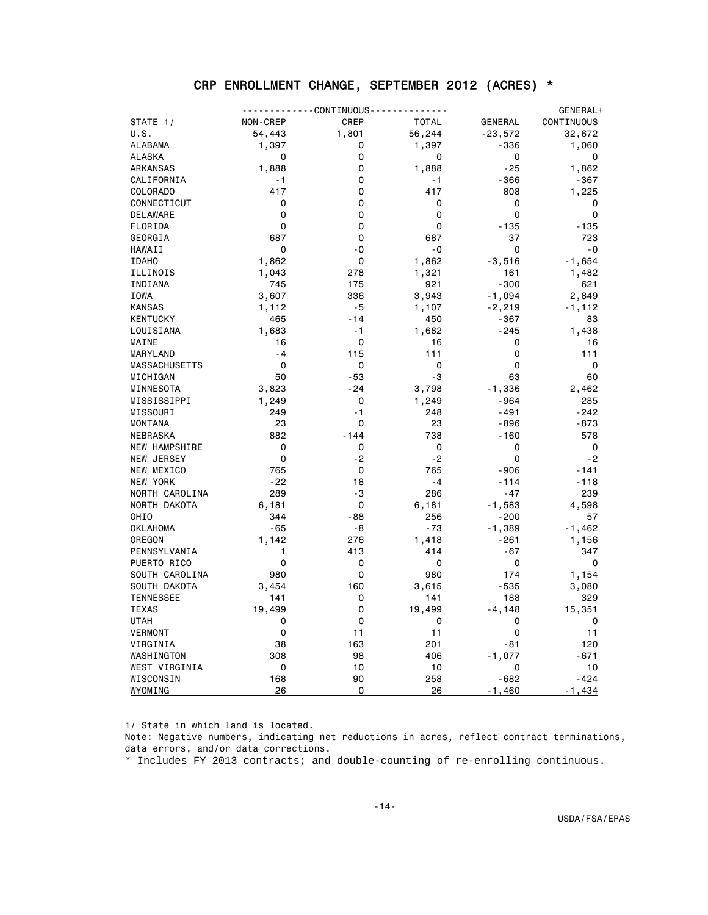| CRP ENROLLMENT CHANGE, SEPTEMBER 2012 (ACRES) * |  |  |  |
|-------------------------------------------------|--|--|--|
|                                                 |  |  |  |

|                      |          | - - - - CONTINUOUS - - - - - |              |                | GENERAL+    |
|----------------------|----------|------------------------------|--------------|----------------|-------------|
| STATE 1/             | NON-CREP | CREP                         | <b>TOTAL</b> | <b>GENERAL</b> | CONTINUOUS  |
| U.S.                 | 54,443   | 1,801                        | 56,244       | $-23,572$      | 32,672      |
| <b>ALABAMA</b>       | 1,397    | 0                            | 1,397        | $-336$         | 1,060       |
| <b>ALASKA</b>        | 0        | 0                            | 0            | 0              | 0           |
| ARKANSAS             | 1,888    | 0                            | 1,888        | $-25$          | 1,862       |
| CALIFORNIA           | - 1      | 0                            | - 1          | $-366$         | $-367$      |
| COLORADO             | 417      | 0                            | 417          | 808            | 1,225       |
| CONNECTICUT          | 0        | 0                            | 0            | 0              | 0           |
| <b>DELAWARE</b>      | 0        | 0                            | 0            | 0              | $\mathbf 0$ |
| FLORIDA              | 0        | 0                            | 0            | $-135$         | $-135$      |
| GEORGIA              | 687      | 0                            | 687          | 37             | 723         |
| HAWAII               | 0        | - 0                          | - 0          | 0              | - 0         |
| <b>IDAHO</b>         | 1,862    | 0                            | 1,862        | $-3,516$       | $-1,654$    |
| ILLINOIS             | 1,043    | 278                          | 1,321        | 161            | 1,482       |
| INDIANA              | 745      | 175                          | 921          | $-300$         | 621         |
| IOWA                 | 3,607    | 336                          | 3,943        | $-1,094$       | 2,849       |
| <b>KANSAS</b>        | 1,112    | $-5$                         | 1,107        | $-2,219$       | $-1,112$    |
| <b>KENTUCKY</b>      | 465      | - 14                         | 450          | $-367$         | 83          |
| LOUISIANA            | 1,683    | - 1                          | 1,682        | $-245$         | 1,438       |
| MAINE                | 16       | 0                            | 16           | 0              | 16          |
| MARYLAND             | $-4$     | 115                          | 111          | 0              | 111         |
| <b>MASSACHUSETTS</b> | 0        | 0                            | 0            | 0              | 0           |
| MICHIGAN             | 50       | - 53                         | -3           | 63             | 60          |
| MINNESOTA            | 3,823    | - 24                         | 3,798        | $-1,336$       | 2,462       |
| MISSISSIPPI          | 1,249    | 0                            | 1,249        | -964           | 285         |
| MISSOURI             | 249      | $-1$                         | 248          | -491           | -242        |
| <b>MONTANA</b>       | 23       | 0                            | 23           | -896           | -873        |
| NEBRASKA             | 882      | $-144$                       | 738          | $-160$         | 578         |
| NEW HAMPSHIRE        | 0        | 0                            | 0            | 0              | 0           |
| NEW JERSEY           | 0        | $-2$                         | $-2$         | 0              | $-2$        |
| NEW MEXICO           | 765      | 0                            | 765          | $-906$         | - 141       |
| <b>NEW YORK</b>      | $-22$    | 18                           | $-4$         | $-114$         | $-118$      |
| NORTH CAROLINA       | 289      | -3                           | 286          | -47            | 239         |
| NORTH DAKOTA         | 6,181    | 0                            | 6,181        | $-1,583$       | 4,598       |
| OHIO                 | 344      | - 88                         | 256          | $-200$         | 57          |
| <b>OKLAHOMA</b>      | $-65$    | - 8                          | $-73$        | $-1,389$       | $-1,462$    |
| OREGON               | 1,142    | 276                          | 1,418        | $-261$         | 1,156       |
| PENNSYLVANIA         | 1        | 413                          | 414          | $-67$          | 347         |
| PUERTO RICO          | 0        | 0                            | 0            | 0              | $\mathbf 0$ |
| SOUTH CAROLINA       | 980      | $\Omega$                     | 980          | 174            | 1,154       |
| SOUTH DAKOTA         | 3,454    | 160                          | 3,615        | -535           | 3,080       |
| <b>TENNESSEE</b>     | 141      | 0                            | 141          | 188            | 329         |
| <b>TEXAS</b>         | 19,499   | 0                            | 19,499       | $-4,148$       | 15,351      |
| UTAH                 | 0        | 0                            | 0            | 0              | 0           |
| <b>VERMONT</b>       | 0        | 11                           | 11           | 0              | 11          |
| VIRGINIA             | 38       | 163                          | 201          | - 81           | 120         |
| WASHINGTON           | 308      | 98                           | 406          | $-1,077$       | - 671       |
| WEST VIRGINIA        | 0        | 10                           | 10           | 0              | 10          |
| WISCONSIN            | 168      | 90                           | 258          | $-682$         | $-424$      |
| WYOMING              | 26       | 0                            | 26           | $-1,460$       | $-1,434$    |

1/ State in which land is located.

Note: Negative numbers, indicating net reductions in acres, reflect contract terminations, data errors, and/or data corrections.

\* Includes FY 2013 contracts; and double-counting of re-enrolling continuous.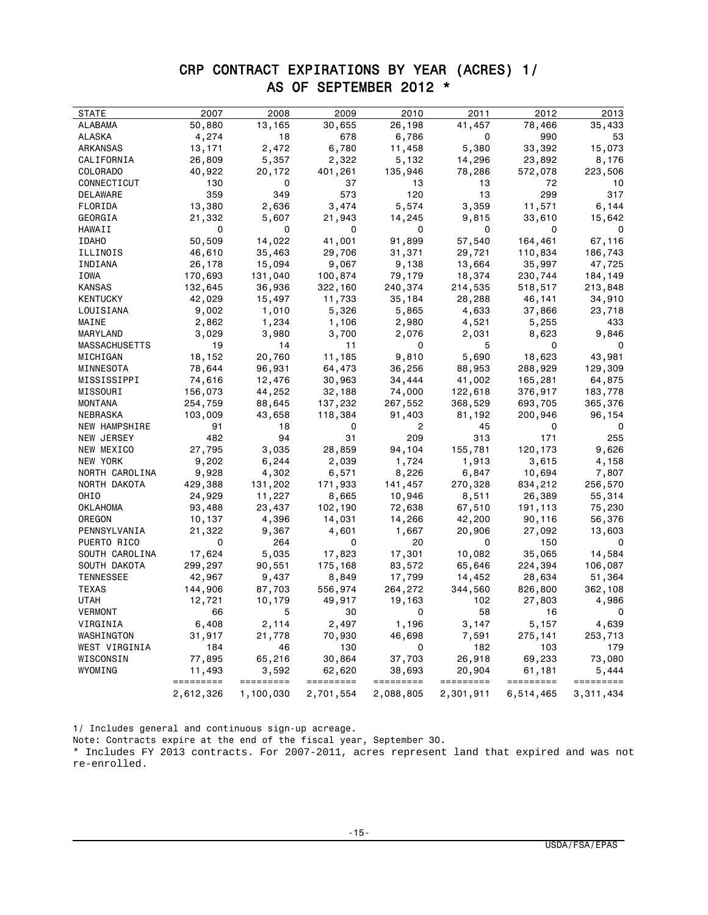### CRP CONTRACT EXPIRATIONS BY YEAR (ACRES) 1/ AS OF SEPTEMBER 2012 \*

| <b>STATE</b>                   | 2007                | 2008               | 2009                | 2010                | 2011                | 2012                | 2013               |
|--------------------------------|---------------------|--------------------|---------------------|---------------------|---------------------|---------------------|--------------------|
| ALABAMA                        | 50,880              | 13,165             | 30,655              | 26,198              | 41,457              | 78,466              | 35,433             |
| ALASKA                         | 4,274               | 18                 | 678                 | 6,786               | 0                   | 990                 | 53                 |
| ARKANSAS                       | 13,171              | 2,472              | 6,780               | 11,458              | 5,380               | 33,392              | 15,073             |
| CALIFORNIA                     | 26,809              | 5,357              | 2,322               | 5,132               | 14,296              | 23,892              | 8,176              |
| COLORADO                       | 40,922              | 20,172             | 401,261             | 135,946             | 78,286              | 572,078             | 223,506            |
| CONNECTICUT                    | 130                 | 0                  | 37                  | 13                  | 13                  | 72                  | 10                 |
| DELAWARE                       | 359                 | 349                | 573                 | 120                 | 13                  | 299                 | 317                |
| FLORIDA                        | 13,380              | 2,636              | 3,474               | 5,574               | 3,359               | 11,571              | 6,144              |
| GEORGIA                        | 21,332              | 5,607              | 21,943              | 14,245              | 9,815               | 33,610              | 15,642             |
| HAWAII                         | 0                   | 0                  | 0                   | 0                   | 0                   | 0                   | 0                  |
| <b>IDAHO</b>                   | 50,509              | 14,022             | 41,001              | 91,899              | 57,540              | 164,461             | 67,116             |
| ILLINOIS                       | 46,610              | 35,463             | 29,706              | 31,371              | 29,721              | 110,834             | 186,743            |
| INDIANA                        | 26,178              | 15,094             | 9,067               | 9,138               | 13,664              | 35,997              | 47,725             |
| IOWA                           | 170,693             | 131,040            | 100,874             | 79,179              | 18,374              | 230,744             | 184,149            |
| KANSAS                         | 132,645             | 36,936             | 322,160             | 240,374             | 214,535             | 518,517             | 213,848            |
| KENTUCKY                       | 42,029              | 15,497             | 11,733              | 35,184              | 28,288              | 46,141              | 34,910             |
| LOUISIANA                      | 9,002               | 1,010              | 5,326               | 5,865               | 4,633               | 37,866              | 23,718             |
| MAINE                          | 2,862               | 1,234              | 1,106               | 2,980               | 4,521               | 5,255               | 433                |
| MARYLAND                       | 3,029               | 3,980              | 3,700               | 2,076               | 2,031               | 8,623               | 9,846              |
| <b>MASSACHUSETTS</b>           | 19                  | 14                 | 11                  | 0                   | 5                   | 0                   | 0                  |
| MICHIGAN                       | 18,152              | 20,760             | 11,185              | 9,810               | 5,690               | 18,623              | 43,981             |
| MINNESOTA                      | 78,644              | 96,931             | 64,473              | 36,256              | 88,953              | 288,929             | 129,309            |
| MISSISSIPPI                    | 74,616              | 12,476             | 30,963              | 34,444              | 41,002              | 165,281             | 64,875             |
| MISSOURI                       | 156,073             | 44,252             | 32,188              | 74,000              | 122,618             | 376,917             | 183,778            |
| MONTANA                        | 254,759             | 88,645             | 137,232             | 267,552             | 368,529             | 693,705             | 365,376            |
| <b>NEBRASKA</b>                | 103,009             | 43,658             | 118,384             | 91,403              | 81,192              | 200,946             | 96,154             |
| NEW HAMPSHIRE                  | 91                  | 18                 | 0                   | 2                   | 45                  | 0                   | 0                  |
| NEW JERSEY                     | 482                 | 94                 | 31                  | 209                 | 313                 | 171                 | 255                |
| NEW MEXICO                     | 27,795              | 3,035              | 28,859              | 94,104              | 155,781             | 120,173             | 9,626              |
| <b>NEW YORK</b>                | 9,202               | 6,244              | 2,039               | 1,724               | 1,913               | 3,615               | 4,158              |
| NORTH CAROLINA                 | 9,928               | 4,302              | 6,571               | 8,226               | 6,847               | 10,694              | 7,807              |
| NORTH DAKOTA                   | 429,388             | 131,202            | 171,933             | 141,457             | 270,328             | 834,212             | 256,570            |
| OHIO                           | 24,929              | 11,227             | 8,665               | 10,946              | 8,511               | 26,389              | 55,314             |
| OKLAHOMA                       | 93,488              | 23,437             |                     |                     | 67,510              |                     | 75,230             |
| OREGON                         | 10,137              | 4,396              | 102,190<br>14,031   | 72,638<br>14,266    | 42,200              | 191,113<br>90,116   | 56,376             |
| PENNSYLVANIA                   | 21,322              |                    | 4,601               | 1,667               | 20,906              | 27,092              | 13,603             |
| PUERTO RICO                    | 0                   | 9,367<br>264       | 0                   | 20                  | 0                   | 150                 | $\Omega$           |
|                                |                     |                    |                     |                     |                     |                     |                    |
| SOUTH CAROLINA<br>SOUTH DAKOTA | 17,624              | 5,035              | 17,823              | 17,301              | 10,082              | 35,065              | 14,584             |
|                                | 299,297             | 90,551             | 175,168             | 83,572              | 65,646              | 224,394             | 106,087            |
| <b>TENNESSEE</b>               | 42,967              | 9,437              | 8,849               | 17,799              | 14,452              | 28,634              | 51,364             |
| <b>TEXAS</b>                   | 144,906             | 87,703             | 556,974             | 264,272             | 344,560             | 826,800             | 362,108            |
| UTAH                           | 12,721              | 10,179             | 49,917              | 19,163              | 102                 | 27,803              | 4,986              |
| VERMONT                        | 66                  | 5                  | 30                  | 0                   | 58                  | 16                  | 0                  |
| VIRGINIA                       | 6,408               | 2,114              | 2,497               | 1,196               | 3,147               | 5,157               | 4,639              |
| WASHINGTON                     | 31,917              | 21,778             | 70,930              | 46,698              | 7,591               | 275,141             | 253,713            |
| WEST VIRGINIA                  | 184                 | 46                 | 130                 | 0                   | 182                 | 103                 | 179                |
| WISCONSIN                      | 77,895              | 65,216             | 30,864              | 37,703              | 26,918              | 69,233              | 73,080             |
| WYOMING                        | 11,493<br>========= | 3,592<br>========= | 62,620<br>========= | 38,693<br>========= | 20,904<br>========= | 61,181<br>========= | 5,444<br>========= |
|                                | 2,612,326           | 1,100,030          | 2,701,554           | 2,088,805           | 2,301,911           | 6,514,465           | 3,311,434          |

1/ Includes general and continuous sign-up acreage.

Note: Contracts expire at the end of the fiscal year, September 30.

\* Includes FY 2013 contracts. For 2007-2011, acres represent land that expired and was not re-enrolled.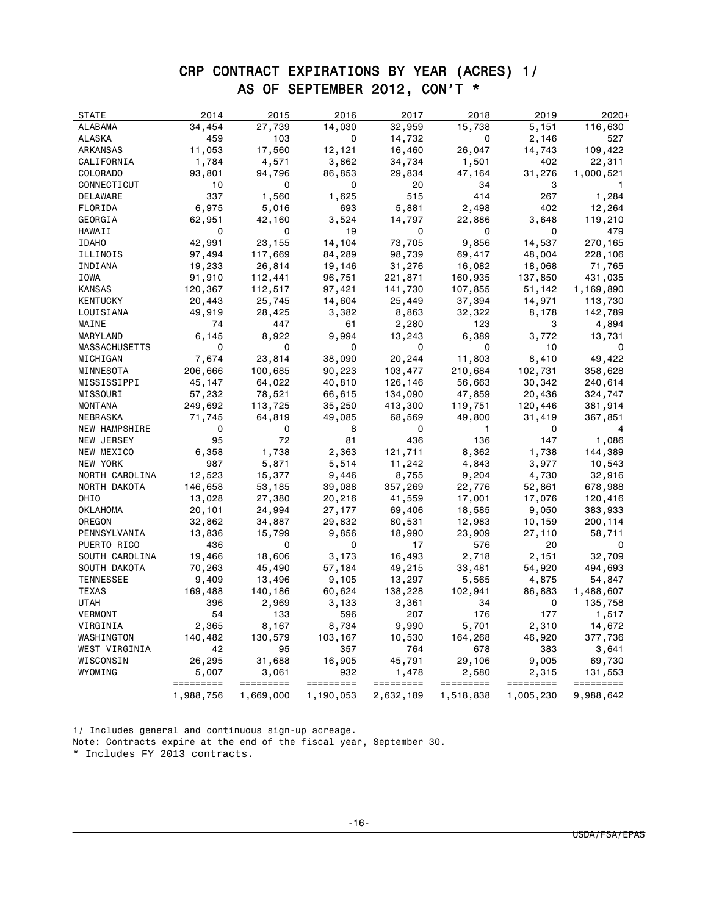# CRP CONTRACT EXPIRATIONS BY YEAR (ACRES) 1/ AS OF SEPTEMBER 2012, CON'T \*

| STATE                | 2014                   | 2015                   | 2016                   | 2017                   | 2018                   | 2019                   | $2020+$                |
|----------------------|------------------------|------------------------|------------------------|------------------------|------------------------|------------------------|------------------------|
| ALABAMA              | 34,454                 | 27,739                 | 14,030                 | 32,959                 | 15,738                 | 5,151                  | 116,630                |
| <b>ALASKA</b>        | 459                    | 103                    | 0                      | 14,732                 | 0                      | 2,146                  | 527                    |
| ARKANSAS             | 11,053                 | 17,560                 | 12,121                 | 16,460                 | 26,047                 | 14,743                 | 109,422                |
| CALIFORNIA           | 1,784                  | 4,571                  | 3,862                  | 34,734                 | 1,501                  | 402                    | 22,311                 |
| COLORADO             | 93,801                 | 94,796                 | 86,853                 | 29,834                 | 47,164                 | 31,276                 | 1,000,521              |
| CONNECTICUT          | 10                     | 0                      | 0                      | 20                     | 34                     | 3                      | 1                      |
| DELAWARE             | 337                    | 1,560                  | 1,625                  | 515                    | 414                    | 267                    | 1,284                  |
| FLORIDA              | 6,975                  | 5,016                  | 693                    | 5,881                  | 2,498                  | 402                    | 12,264                 |
| GEORGIA              | 62,951                 | 42,160                 | 3,524                  | 14,797                 | 22,886                 | 3,648                  | 119,210                |
| HAWAII               | 0                      | 0                      | 19                     | 0                      | 0                      | 0                      | 479                    |
| <b>IDAHO</b>         | 42,991                 | 23,155                 | 14,104                 | 73,705                 | 9,856                  | 14,537                 | 270,165                |
| ILLINOIS             | 97,494                 | 117,669                | 84,289                 | 98,739                 | 69,417                 | 48,004                 | 228,106                |
| INDIANA              | 19,233                 | 26,814                 | 19,146                 | 31,276                 | 16,082                 | 18,068                 | 71,765                 |
| IOWA                 | 91,910                 | 112,441                | 96,751                 | 221,871                | 160,935                | 137,850                | 431,035                |
| <b>KANSAS</b>        | 120,367                | 112,517                | 97,421                 | 141,730                | 107,855                | 51,142                 | 1,169,890              |
| KENTUCKY             | 20,443                 | 25,745                 | 14,604                 | 25,449                 | 37,394                 | 14,971                 | 113,730                |
| LOUISIANA            | 49,919                 | 28,425                 | 3,382                  | 8,863                  | 32,322                 | 8,178                  | 142,789                |
| MAINE                | 74                     | 447                    | 61                     | 2,280                  | 123                    | 3                      | 4,894                  |
| MARYLAND             | 6,145                  | 8,922                  | 9,994                  | 13,243                 | 6,389                  | 3,772                  | 13,731                 |
| <b>MASSACHUSETTS</b> | 0                      | 0                      | $\mathbf 0$            | 0                      | 0                      | 10                     | 0                      |
| MICHIGAN             | 7,674                  | 23,814                 | 38,090                 | 20,244                 | 11,803                 | 8,410                  | 49,422                 |
| MINNESOTA            | 206,666                | 100,685                | 90,223                 | 103,477                | 210,684                | 102,731                | 358,628                |
| MISSISSIPPI          | 45,147                 | 64,022                 | 40,810                 | 126,146                | 56,663                 | 30,342                 | 240,614                |
| MISSOURI             | 57,232                 | 78,521                 | 66,615                 | 134,090                | 47,859                 | 20,436                 | 324,747                |
| MONTANA              | 249,692                | 113,725                | 35,250                 | 413,300                | 119,751                | 120,446                | 381,914                |
| NEBRASKA             | 71,745                 | 64,819                 | 49,085                 | 68,569                 | 49,800                 | 31,419                 | 367,851                |
| NEW HAMPSHIRE        | 0                      | 0                      | 8                      | 0                      | $\mathbf{1}$           | 0                      |                        |
| NEW JERSEY           | 95                     | 72                     | 81                     | 436                    | 136                    | 147                    | 1,086                  |
| NEW MEXICO           | 6,358                  | 1,738                  | 2,363                  | 121,711                | 8,362                  | 1,738                  | 144,389                |
| NEW YORK             | 987                    | 5,871                  | 5,514                  | 11,242                 | 4,843                  | 3,977                  | 10,543                 |
| NORTH CAROLINA       | 12,523                 | 15,377                 | 9,446                  | 8,755                  | 9,204                  | 4,730                  | 32,916                 |
| NORTH DAKOTA         | 146,658                | 53,185                 | 39,088                 | 357,269                | 22,776                 | 52,861                 | 678,988                |
| OHIO                 | 13,028                 | 27,380                 | 20,216                 | 41,559                 | 17,001                 | 17,076                 | 120,416                |
| OKLAHOMA             | 20,101                 | 24,994                 | 27,177                 | 69,406                 | 18,585                 | 9,050                  | 383,933                |
| OREGON               | 32,862                 | 34,887                 | 29,832                 | 80,531                 | 12,983                 | 10,159                 | 200,114                |
| PENNSYLVANIA         | 13,836                 | 15,799                 | 9,856                  | 18,990                 | 23,909                 | 27,110                 | 58,711                 |
| PUERTO RICO          | 436                    | 0                      | 0                      | 17                     | 576                    | 20                     | $\Omega$               |
| SOUTH CAROLINA       | 19,466                 | 18,606                 | 3,173                  | 16,493                 | 2,718                  | 2,151                  | 32,709                 |
| SOUTH DAKOTA         | 70,263                 | 45,490                 | 57,184                 | 49,215                 | 33,481                 | 54,920                 | 494,693                |
| <b>TENNESSEE</b>     | 9,409                  | 13,496                 | 9,105                  | 13,297                 | 5,565                  | 4,875                  | 54,847                 |
| <b>TEXAS</b>         | 169,488                | 140,186                | 60,624                 | 138,228                | 102,941                | 86,883                 | 1,488,607              |
| UTAH                 | 396                    | 2,969                  | 3,133                  | 3,361                  | 34                     | 0                      | 135,758                |
| VERMONT              | 54                     | 133                    | 596                    | 207                    | 176                    | 177                    | 1,517                  |
| VIRGINIA             | 2,365                  | 8,167                  | 8,734                  | 9,990                  | 5,701                  | 2,310                  | 14,672                 |
| WASHINGTON           | 140,482                | 130,579                | 103,167                | 10,530                 | 164,268                | 46,920                 | 377,736                |
| WEST VIRGINIA        | 42                     | 95                     | 357                    | 764                    | 678                    | 383                    | 3,641                  |
| WISCONSIN            | 26,295                 | 31,688                 | 16,905                 | 45,791                 | 29,106                 | 9,005                  | 69,730                 |
| WYOMING              | 5,007                  | 3,061                  | 932                    | 1,478                  | 2,580                  | 2,315                  | 131,553                |
|                      | =========<br>1,988,756 | =========<br>1,669,000 | =========<br>1,190,053 | =========<br>2,632,189 | =========<br>1,518,838 | =========<br>1,005,230 | =========<br>9,988,642 |
|                      |                        |                        |                        |                        |                        |                        |                        |

1/ Includes general and continuous sign-up acreage. Note: Contracts expire at the end of the fiscal year, September 30.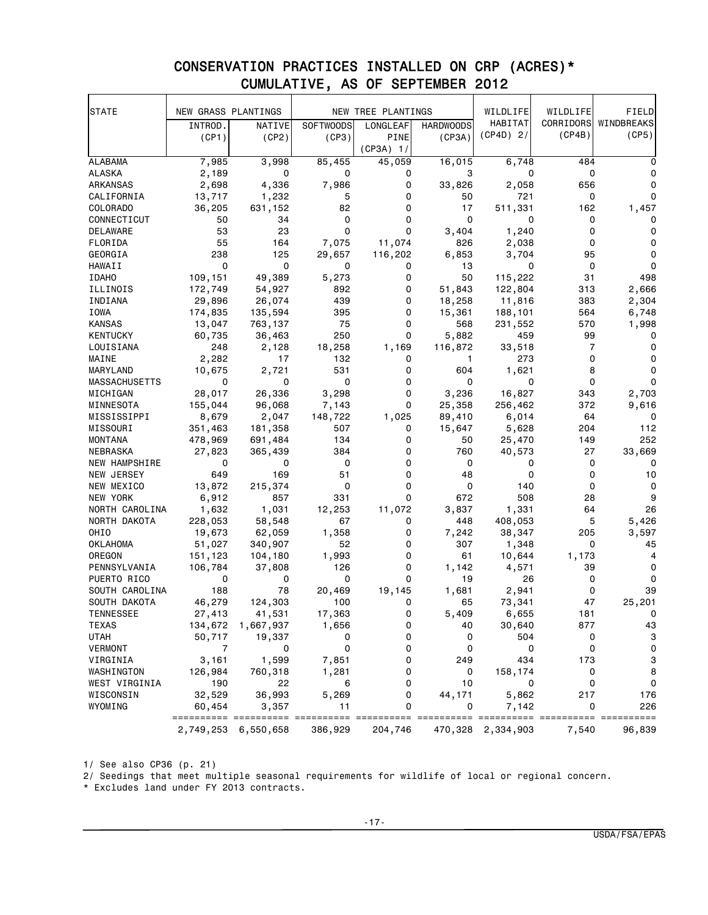| <b>STATE</b>         | NEW GRASS PLANTINGS |           |                  | NEW TREE PLANTINGS |                  | WILDLIFE          | WILDLIFE  | FIELD                     |
|----------------------|---------------------|-----------|------------------|--------------------|------------------|-------------------|-----------|---------------------------|
|                      | INTROD.             | NATIVE    | <b>SOFTWOODS</b> | LONGLEAF           | <b>HARDWOODS</b> | HABITAT           | CORRIDORS | WINDBREAKS                |
|                      | (CP1)               | (CP2)     | (CP3)            | PINE               | (CP3A)           | $(CP4D)$ 2/       | (CP4B)    | (CP5)                     |
|                      |                     |           |                  | $(CP3A)$ 1/        |                  |                   |           |                           |
| <b>ALABAMA</b>       | 7,985               | 3,998     | 85,455           | 45,059             | 16,015           | 6,748             | 484       |                           |
| <b>ALASKA</b>        | 2,189               | 0         | 0                | 0                  | 3                | 0                 | 0         | 0                         |
| ARKANSAS             | 2,698               | 4,336     | 7,986            | 0                  | 33,826           | 2,058             | 656       | 0                         |
| CALIFORNIA           | 13,717              | 1,232     | 5                | 0                  | 50               | 721               | 0         | 0                         |
| COLORADO             | 36,205              | 631,152   | 82               | 0                  | 17               | 511,331           | 162       | 1,457                     |
| CONNECTICUT          | 50                  | 34        | 0                | 0                  | $\Omega$         | 0                 | 0         | 0                         |
| DELAWARE             | 53                  | 23        | $\Omega$         | 0                  | 3,404            | 1,240             | 0         | 0                         |
| FLORIDA              | 55                  | 164       | 7,075            | 11,074             | 826              | 2,038             | 0         | 0                         |
| GEORGIA              | 238                 | 125       | 29,657           | 116,202            | 6,853            | 3,704             | 95        | 0                         |
| HAWAII               | 0                   | 0         | 0                | 0                  | 13               | 0                 | 0         | $\mathbf 0$               |
| <b>IDAHO</b>         | 109,151             | 49,389    | 5,273            | 0                  | 50               | 115,222           | 31        | 498                       |
| ILLINOIS             | 172,749             | 54,927    | 892              | 0                  | 51,843           | 122,804           | 313       | 2,666                     |
| INDIANA              | 29,896              | 26,074    | 439              | 0                  | 18,258           | 11,816            | 383       | 2,304                     |
| IOWA                 | 174,835             | 135,594   | 395              | 0                  | 15,361           | 188,101           | 564       | 6,748                     |
| <b>KANSAS</b>        | 13,047              | 763,137   | 75               | 0                  | 568              | 231,552           | 570       | 1,998                     |
| KENTUCKY             | 60,735              | 36,463    | 250              | 0                  | 5,882            | 459               | 99        | 0                         |
| LOUISIANA            | 248                 | 2,128     | 18,258           | 1,169              | 116,872          | 33,518            | 7         | 0                         |
| MAINE                | 2,282               | 17        | 132              | 0                  | 1                | 273               | 0         | 0                         |
| MARYLAND             | 10,675              | 2,721     | 531              | 0                  | 604              | 1,621             | 8         | 0                         |
| <b>MASSACHUSETTS</b> | 0                   | 0         | 0                | 0                  | 0                | 0                 | 0         | 0                         |
| MICHIGAN             | 28,017              | 26,336    | 3,298            | 0                  | 3,236            | 16,827            | 343       | 2,703                     |
| MINNESOTA            | 155,044             | 96,068    | 7,143            | 0                  | 25,358           | 256,462           | 372       | 9,616                     |
| MISSISSIPPI          | 8,679               | 2,047     | 148,722          | 1,025              | 89,410           | 6,014             | 64        | 0                         |
| MISSOURI             | 351,463             | 181,358   | 507              | 0                  | 15,647           | 5,628             | 204       | 112                       |
| <b>MONTANA</b>       | 478,969             | 691,484   | 134              | 0                  | 50               | 25,470            | 149       | 252                       |
| NEBRASKA             | 27,823              | 365,439   | 384              | 0                  | 760              | 40,573            | 27        | 33,669                    |
| NEW HAMPSHIRE        | 0                   | 0         | 0                | 0                  | 0                | 0                 | 0         | 0                         |
| NEW JERSEY           | 649                 | 169       | 51               | 0                  | 48               | 0                 | 0         | 10                        |
| NEW MEXICO           | 13,872              | 215,374   | 0                | 0                  | 0                | 140               | 0         | 0                         |
| NEW YORK             | 6,912               | 857       | 331              | 0                  | 672              | 508               | 28        | 9                         |
| NORTH CAROLINA       | 1,632               | 1,031     | 12,253           | 11,072             | 3,837            | 1,331             | 64        | 26                        |
| NORTH DAKOTA         | 228,053             | 58,548    | 67               | 0                  | 448              | 408,053           | 5         | 5,426                     |
| OHIO                 | 19,673              | 62,059    | 1,358            | 0                  | 7,242            | 38,347            | 205       | 3,597                     |
| OKLAHOMA             | 51,027              | 340,907   | 52               | 0                  | 307              | 1,348             | 0         | 45                        |
| OREGON               | 151,123             | 104,180   | 1,993            | 0                  | 61               | 10,644            | 1,173     | 4                         |
| PENNSYLVANIA         | 106,784             | 37,808    | 126              | 0                  | 1,142            | 4,571             | 39        | 0                         |
| PUERTO RICO          | 0                   | 0         | 0                | 0                  | 19               | 26                | 0         | 0                         |
| SOUTH CAROLINA       | 188                 | 78        | 20,469           | 19,145             | 1,681            | 2,941             | 0         | 39                        |
| SOUTH DAKOTA         | 46,279              | 124,303   | 100              | 0                  | 65               | 73,341            | 47        | 25,201                    |
| <b>IENNESSEE</b>     | 27,413              | 41,531    | 17,363           | 0                  | 5,409            | 6,655             | 181       | U                         |
| TEXAS                | 134,672             | 1,667,937 | 1,656            | 0                  | 40               | 30,640            | 877       | 43                        |
| <b>UTAH</b>          | 50,717              | 19,337    | 0                | 0                  | 0                | 504               | 0         | $\mathbf{3}$              |
| <b>VERMONT</b>       | 7                   | 0         | 0                | 0                  | 0                | 0                 | 0         | $\mathsf 0$               |
| VIRGINIA             | 3,161               | 1,599     | 7,851            | 0                  | 249              | 434               | 173       | $\ensuremath{\mathsf{3}}$ |
| WASHINGTON           | 126,984             | 760,318   | 1,281            | 0                  | 0                | 158,174           | 0         | 8                         |
| WEST VIRGINIA        | 190                 | 22        | 6                | 0                  | 10               | 0                 | 0         | 0                         |
| WISCONSIN            | 32,529              | 36,993    | 5,269            | 0                  | 44,171           | 5,862             | 217       | 176                       |
| WYOMING              | 60,454              | 3,357     | 11               | 0                  | 0                | 7,142             | 0         | 226                       |
|                      | ==========          |           |                  | $==$               |                  |                   | =====     | ======                    |
|                      | 2,749,253           | 6,550,658 | 386,929          | 204,746            |                  | 470,328 2,334,903 | 7,540     | 96,839                    |

### CONSERVATION PRACTICES INSTALLED ON CRP (ACRES)\* CUMULATIVE, AS OF SEPTEMBER 2012

1/ See also CP36 (p. 21)

2/ Seedings that meet multiple seasonal requirements for wildlife of local or regional concern.

\* Excludes land under FY 2013 contracts.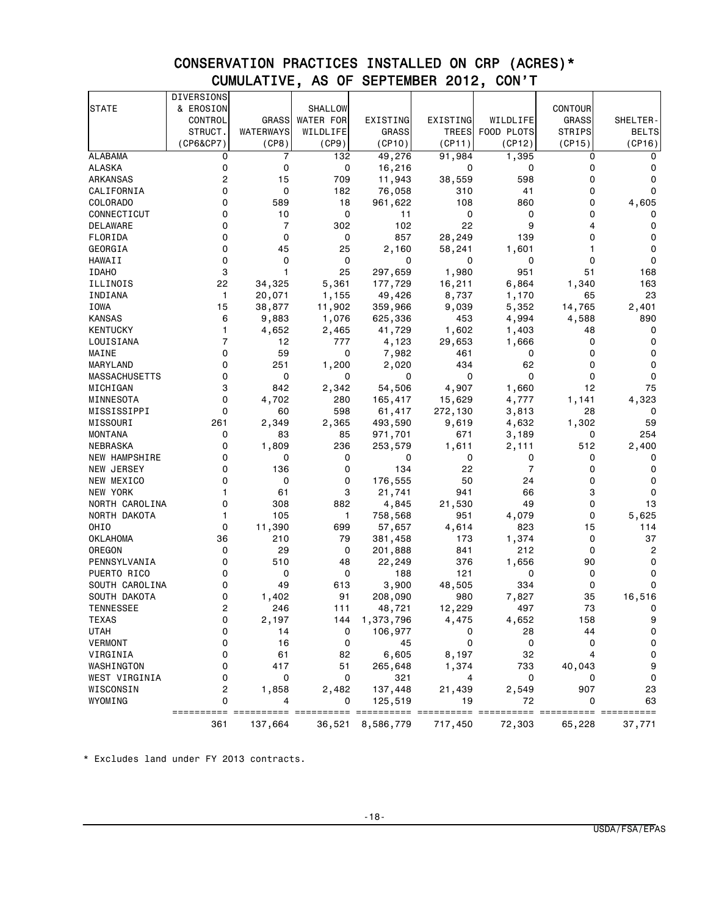# CONSERVATION PRACTICES INSTALLED ON CRP (ACRES)\* CUMULATIVE, AS OF SEPTEMBER 2012, CON'T

|                      | DIVERSIONS |                |                  |                  |          |                |                |                     |
|----------------------|------------|----------------|------------------|------------------|----------|----------------|----------------|---------------------|
| <b>STATE</b>         | & EROSION  |                | SHALLOW          |                  |          |                | <b>CONTOUR</b> |                     |
|                      | CONTROL    | <b>GRASS</b>   | <b>WATER FOR</b> | EXISTING         | EXISTING | WILDLIFE       | <b>GRASS</b>   | SHELTER-            |
|                      | STRUCT.    | WATERWAYS      | WILDLIFE         | GRASS            | TREES    | FOOD PLOTS     | <b>STRIPS</b>  | <b>BELTS</b>        |
|                      | (CP6&CP7)  | (CP8)          | (CP9)            | (CP10)           | (CP11)   | (CP12)         | (CP15)         | (CP16)              |
| <b>ALABAMA</b>       | 0          | 7              | 132              | 49,276           | 91,984   | 1,395          | 0              | $\mathbf 0$         |
| ALASKA               | 0          | 0              | 0                | 16,216           | 0        | 0              | 0              | 0                   |
| ARKANSAS             | 2          | 15             | 709              | 11,943           | 38,559   | 598            | 0              | 0                   |
| CALIFORNIA           | 0          | 0              | 182              | 76,058           | 310      | 41             | 0              | 0                   |
| COLORADO             | 0          | 589            | 18               | 961,622          | 108      | 860            | 0              | 4,605               |
| CONNECTICUT          | 0          | 10             | 0                | 11               | 0        | 0              | 0              | 0                   |
| DELAWARE             | 0          | $\overline{7}$ | 302              | 102              | 22       | 9              | 4              | 0                   |
| FLORIDA              | 0          | 0              | 0                | 857              | 28,249   | 139            | 0              | 0                   |
| GEORGIA              | 0          | 45             | 25               | 2,160            | 58,241   | 1,601          | 1              | 0                   |
| HAWAII               | 0          | 0              | 0                | 0                | 0        | 0              | 0              | 0                   |
| <b>IDAHO</b>         | 3          | 1              | 25               | 297,659          | 1,980    | 951            | 51             | 168                 |
| ILLINOIS             | 22         | 34,325         | 5,361            | 177,729          | 16,211   | 6,864          | 1,340          | 163                 |
| INDIANA              | 1          | 20,071         | 1,155            | 49,426           | 8,737    | 1,170          | 65             | 23                  |
| <b>IOWA</b>          | 15         | 38,877         | 11,902           | 359,966          | 9,039    | 5,352          | 14,765         | 2,401               |
| KANSAS               | 6          | 9,883          | 1,076            | 625,336          | 453      | 4,994          | 4,588          | 890                 |
| KENTUCKY             | 1          | 4,652          | 2,465            | 41,729           | 1,602    | 1,403          | 48             | 0                   |
| LOUISIANA            | 7          | 12             | 777              | 4,123            | 29,653   | 1,666          | 0              | 0                   |
| MAINE                | 0          | 59             | 0                | 7,982            | 461      | 0              | 0              | 0                   |
| MARYLAND             | 0          | 251            | 1,200            | 2,020            | 434      | 62             | 0              | 0                   |
| <b>MASSACHUSETTS</b> | 0          | 0              | 0                | 0                | 0        | 0              | 0              | 0                   |
| MICHIGAN             | 3          | 842            | 2,342            | 54,506           | 4,907    | 1,660          | 12             | 75                  |
| MINNESOTA            | 0          | 4,702          | 280              | 165,417          | 15,629   | 4,777          | 1,141          | 4,323               |
| MISSISSIPPI          | 0          | 60             | 598              | 61,417           | 272,130  | 3,813          | 28             | 0                   |
| MISSOURI             | 261        | 2,349          | 2,365            | 493,590          | 9,619    | 4,632          | 1,302          | 59                  |
| <b>MONTANA</b>       | 0          | 83             | 85               | 971,701          | 671      | 3,189          | 0              | 254                 |
| NEBRASKA             | 0          | 1,809          | 236              | 253,579          | 1,611    | 2,111          | 512            | 2,400               |
| <b>NEW HAMPSHIRE</b> | 0          | 0              | 0                | 0                | 0        | 0              | 0              | 0                   |
| NEW JERSEY           | 0          | 136            | 0                | 134              | 22       | $\overline{7}$ | 0              | 0                   |
| NEW MEXICO           | 0          | 0              | 0                | 176,555          | 50       | 24             | 0              | 0                   |
| NEW YORK             | 1          | 61             | 3                | 21,741           | 941      | 66             | 3              | $\mathbf 0$         |
| NORTH CAROLINA       | 0          | 308            | 882              | 4,845            | 21,530   | 49             | 0              | 13                  |
| NORTH DAKOTA         | 1          | 105            | 1                | 758,568          | 951      | 4,079          | 0              | 5,625               |
| OHIO                 | 0          | 11,390         | 699              | 57,657           | 4,614    | 823            | 15             | 114                 |
| OKLAHOMA             | 36         | 210            | 79               | 381,458          | 173      | 1,374          | 0              | 37                  |
| OREGON               | 0          | 29             | 0                | 201,888          | 841      | 212            | 0              | 2                   |
| PENNSYLVANIA         | 0          | 510            | 48               | 22,249           | 376      | 1,656          | 90             | 0                   |
| PUERTO RICO          | 0          | 0              | 0                | 188              | 121      | 0              | 0              | 0                   |
| SOUTH CAROLINA       | 0          | 49             | 613              | 3,900            | 48,505   | 334            | 0              | 0                   |
| SOUTH DAKOTA         | 0          | 1,402          | 91               | 208,090          | 980      | 7,827          | 35             | 16,516              |
| TENNESSEE            | 2          | 246            | 111              | 48,721           | 12,229   | 497            | 73             | $\sigma$            |
| TEXAS                | 0          | 2,197          | 144              | 1,373,796        | 4,475    | 4,652          | 158            | 9                   |
| <b>UTAH</b>          | 0          | 14             | 0                | 106,977          | 0        | 28             | 44             | $\mathbf 0$         |
| <b>VERMONT</b>       | 0          | 16             | 0                | 45               | 0        | 0              | 0              | $\mathbf 0$         |
| VIRGINIA             | 0          | 61             | 82               | 6,605            | 8,197    | 32             | 4              | $\mathsf{O}\xspace$ |
| WASHINGTON           | 0          | 417            | 51               | 265,648          | 1,374    | 733            | 40,043         | 9                   |
| WEST VIRGINIA        | 0          | 0              | 0                | 321              | 4        | 0              | 0              | 0                   |
| WISCONSIN            | 2          | 1,858          | 2,482            | 137,448          | 21,439   | 2,549          | 907            | 23                  |
| WYOMING              | 0          | 4              | 0                | 125,519          | 19       | 72             | 0              | 63                  |
|                      |            |                |                  |                  |          |                |                | $====$              |
|                      | 361        | 137,664        |                  | 36,521 8,586,779 | 717,450  | 72,303         | 65,228         | 37,771              |

\* Excludes land under FY 2013 contracts.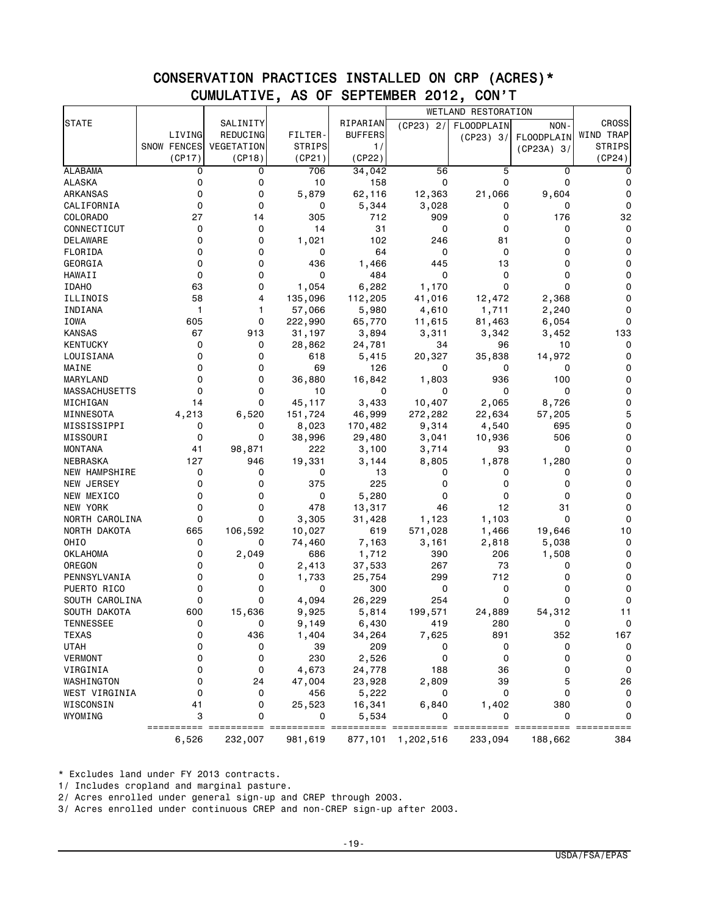# CONSERVATION PRACTICES INSTALLED ON CRP (ACRES)\* CUMULATIVE, AS OF SEPTEMBER 2012, CON'T

|                      |             |            |         |                |             | WETLAND RESTORATION |                   |               |
|----------------------|-------------|------------|---------|----------------|-------------|---------------------|-------------------|---------------|
| <b>STATE</b>         |             | SALINITY   |         | RIPARIAN       | $(CP23)$ 2/ | FLOODPLAIN          | NON-              | <b>CROSS</b>  |
|                      | LIVING      | REDUCING   | FILTER- | <b>BUFFERS</b> |             | (CP23) 3/           | <b>FLOODPLAIN</b> | WIND TRAP     |
|                      | SNOW FENCES | VEGETATION | STRIPS  | 1/             |             |                     | $(CP23A)$ 3/      | <b>STRIPS</b> |
|                      | (CP17)      | (CP18)     | (CP21)  | (CP22)         |             |                     |                   | (CP24)        |
| <b>ALABAMA</b>       | 0           | 0          | 706     | 34,042         | 56          | 5                   | 0                 | 0             |
| ALASKA               | 0           | 0          | 10      | 158            | 0           | 0                   | 0                 | 0             |
| ARKANSAS             | 0           | 0          | 5,879   | 62,116         | 12,363      | 21,066              | 9,604             | 0             |
| CALIFORNIA           | 0           | 0          | 0       | 5,344          | 3,028       | 0                   | 0                 | 0             |
| COLORADO             | 27          | 14         | 305     | 712            | 909         | 0                   | 176               | 32            |
| CONNECTICUT          | 0           | 0          | 14      | 31             | 0           | 0                   | 0                 | 0             |
| DELAWARE             | 0           | 0          | 1,021   | 102            | 246         | 81                  | 0                 | 0             |
| FLORIDA              | 0           | 0          | 0       | 64             | 0           | 0                   | 0                 | 0             |
| GEORGIA              | 0           | 0          | 436     | 1,466          | 445         | 13                  | 0                 | 0             |
| HAWAII               | $\mathbf 0$ | 0          | 0       | 484            | 0           | 0                   | 0                 | 0             |
| <b>IDAHO</b>         | 63          | 0          | 1,054   | 6,282          | 1,170       | $\mathbf 0$         | 0                 | 0             |
| ILLINOIS             | 58          | 4          | 135,096 | 112,205        | 41,016      | 12,472              | 2,368             | 0             |
| INDIANA              | 1           | 1          | 57,066  | 5,980          | 4,610       | 1,711               | 2,240             | 0             |
| IOWA                 | 605         | 0          | 222,990 | 65,770         | 11,615      | 81,463              | 6,054             | 0             |
| KANSAS               | 67          | 913        | 31,197  | 3,894          | 3,311       | 3,342               | 3,452             | 133           |
| <b>KENTUCKY</b>      | 0           | 0          | 28,862  | 24,781         | 34          | 96                  | 10                | 0             |
| LOUISIANA            | 0           | 0          | 618     | 5,415          | 20,327      | 35,838              | 14,972            | 0             |
| MAINE                | 0           | 0          | 69      | 126            | 0           | 0                   | 0                 | 0             |
| MARYLAND             | 0           | 0          | 36,880  | 16,842         | 1,803       | 936                 | 100               | 0             |
| <b>MASSACHUSETTS</b> | 0           | 0          | 10      | 0              | 0           | 0                   | 0                 | 0             |
| MICHIGAN             | 14          | 0          | 45,117  | 3,433          | 10,407      | 2,065               | 8,726             | 0             |
| MINNESOTA            | 4,213       | 6,520      | 151,724 | 46,999         | 272,282     | 22,634              | 57,205            | 5             |
| MISSISSIPPI          | 0           | 0          | 8,023   | 170,482        | 9,314       | 4,540               | 695               | 0             |
| MISSOURI             | $\mathbf 0$ | 0          | 38,996  | 29,480         | 3,041       | 10,936              | 506               | 0             |
| <b>MONTANA</b>       | 41          | 98,871     | 222     | 3,100          | 3,714       | 93                  | 0                 | 0             |
| NEBRASKA             | 127         | 946        | 19,331  | 3,144          | 8,805       | 1,878               | 1,280             | 0             |
| NEW HAMPSHIRE        | 0           | 0          | 0       | 13             | 0           | 0                   | 0                 | $\Omega$      |
| NEW JERSEY           | 0           | 0          | 375     | 225            | 0           | 0                   | 0                 | 0             |
| NEW MEXICO           | 0           | 0          | 0       | 5,280          | 0           | 0                   | 0                 | 0             |
| NEW YORK             | 0           | 0          | 478     | 13,317         | 46          | 12                  | 31                | $\Omega$      |
| NORTH CAROLINA       | 0           | 0          | 3,305   | 31,428         | 1,123       | 1,103               | $\mathbf 0$       | 0             |
| NORTH DAKOTA         | 665         | 106,592    | 10,027  | 619            | 571,028     | 1,466               | 19,646            | 10            |
| OHIO                 | 0           | 0          | 74,460  | 7,163          | 3,161       | 2,818               | 5,038             | 0             |
| <b>OKLAHOMA</b>      | 0           | 2,049      | 686     | 1,712          | 390         | 206                 | 1,508             | 0             |
| OREGON               | 0           | 0          | 2,413   | 37,533         | 267         | 73                  | 0                 | 0             |
| PENNSYLVANIA         | 0           | 0          | 1,733   | 25,754         | 299         | 712                 | 0                 | $\Omega$      |
| PUERTO RICO          | 0           | 0          | 0       | 300            | 0           | 0                   | 0                 | 0             |
| SOUTH CAROLINA       | 0           | 0          | 4,094   | 26,229         | 254         | 0                   | 0                 | 0             |
| SOUTH DAKOTA         | 600         | 15,636     | 9,925   | 5,814          | 199,571     | 24,889              | 54,312            | 11            |
| <b>TENNESSEE</b>     | 0           | U          | 9,149   | 6,430          | 419         | 280                 | U                 | $\mathbf 0$   |
| <b>TEXAS</b>         | 0           | 436        | 1,404   | 34,264         | 7,625       | 891                 | 352               | 167           |
| <b>UTAH</b>          | 0           | 0          | 39      | 209            | 0           | 0                   | 0                 | $\mathbf 0$   |
| <b>VERMONT</b>       | 0           | 0          | 230     | 2,526          | 0           | 0                   | 0                 | $\mathbf 0$   |
| VIRGINIA             | 0           | 0          | 4,673   | 24,778         | 188         | 36                  | 0                 | $\mathbf 0$   |
| WASHINGTON           | 0           | 24         | 47,004  | 23,928         | 2,809       | 39                  | 5                 | 26            |
| WEST VIRGINIA        | 0           | 0          | 456     | 5,222          | 0           | 0                   | 0                 | $\mathbf 0$   |
| WISCONSIN            | 41          | 0          | 25,523  | 16,341         | 6,840       | 1,402               | 380               | 0             |
| WYOMING              | 3           | 0          | 0       | 5,534          |             | 0                   | 0                 | 0             |
|                      |             |            |         |                |             |                     |                   |               |
|                      | 6,526       | 232,007    | 981,619 | 877,101        | 1,202,516   | 233,094             | 188,662           | 384           |

\* Excludes land under FY 2013 contracts.

1/ Includes cropland and marginal pasture.

2/ Acres enrolled under general sign-up and CREP through 2003.

3/ Acres enrolled under continuous CREP and non-CREP sign-up after 2003.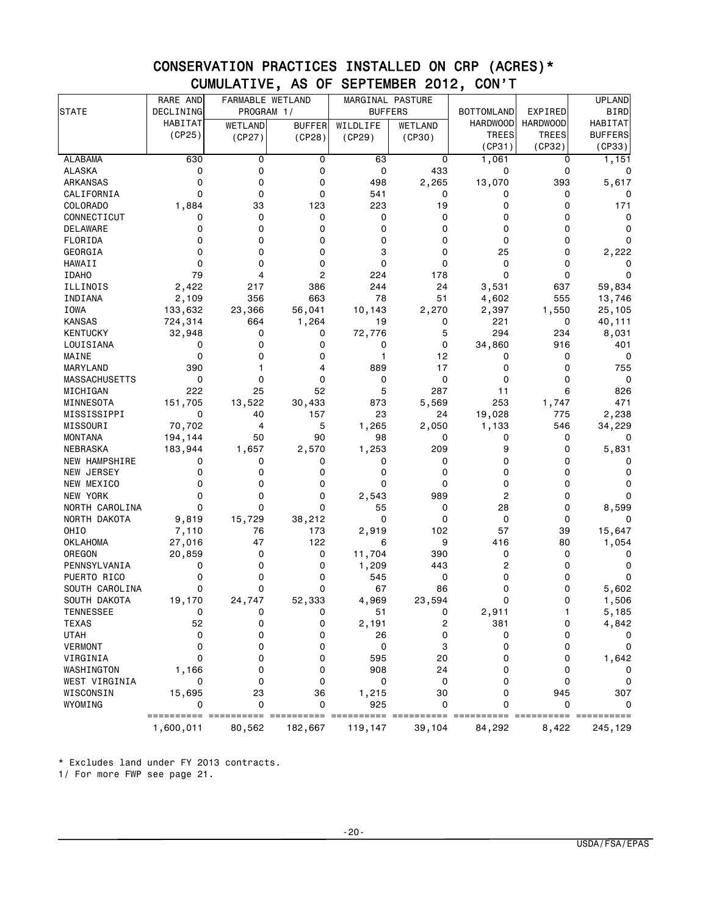### CONSERVATION PRACTICES INSTALLED ON CRP (ACRES)\* CUMULATIVE, AS OF SEPTEMBER 2012, CON'T

|                           | RARE AND                        | FARMABLE WETLAND |               | MARGINAL PASTURE |                       |                   |                 | <b>UPLAND</b>   |
|---------------------------|---------------------------------|------------------|---------------|------------------|-----------------------|-------------------|-----------------|-----------------|
| <b>STATE</b>              | DECLINING                       | PROGRAM 1/       |               | <b>BUFFERS</b>   |                       | <b>BOTTOMLAND</b> | EXPIRED         | <b>BIRD</b>     |
|                           | HABITAT                         | WETLAND          | <b>BUFFER</b> | WILDLIFE         | WETLAND               | <b>HARDWOOD</b>   | <b>HARDWOOD</b> | HABITAT         |
|                           | (CP25)                          | (CP27)           | (CP28)        | (CP29)           | (CP30)                | TREES             | <b>TREES</b>    | <b>BUFFERS</b>  |
|                           |                                 |                  |               |                  |                       | (CP31)            | (CP32)          | (CP33)          |
| <b>ALABAMA</b>            | 630                             | 0                | 0             | 63               | 0                     | 1,061             | 0               | 1,151           |
| <b>ALASKA</b>             | 0                               | 0                | 0             | 0                | 433                   | 0                 | $\mathbf 0$     | 0               |
| <b>ARKANSAS</b>           | $\Omega$                        | 0                | 0             | 498              | 2,265                 | 13,070            | 393             | 5,617           |
| CALIFORNIA                | 0                               | 0                | 0             | 541              | 0                     | 0                 | 0               | 0               |
| COLORADO                  | 1,884                           | 33               | 123           | 223              | 19                    | 0                 | 0               | 171             |
| CONNECTICUT               | 0                               | 0                | 0             | 0                | 0                     | 0                 | $\Omega$        | 0               |
| DELAWARE                  | 0                               | 0                | 0             | 0                | 0                     | 0                 | 0               | 0               |
| FLORIDA                   | 0                               | 0                | 0             | 0                | 0                     | 0                 | 0               | 0               |
| GEORGIA                   | $\mathbf 0$                     | 0                | 0             | 3                | 0                     | 25                | $\Omega$        | 2,222           |
| HAWAII                    | 0                               | 0                | 0             | 0                | 0                     | 0                 | 0               | 0               |
| <b>IDAHO</b>              | 79                              | 4                | 2             | 224              | 178                   | 0                 | 0               | 0               |
| ILLINOIS                  | 2,422                           | 217              | 386           | 244              | 24                    | 3,531             | 637             | 59,834          |
| INDIANA                   | 2,109                           | 356              | 663           | 78               | 51                    | 4,602             | 555             | 13,746          |
| <b>IOWA</b>               | 133,632                         | 23,366           | 56,041        | 10,143           | 2,270                 | 2,397             | 1,550           | 25,105          |
| <b>KANSAS</b>             | 724,314                         | 664              | 1,264         | 19               | 0                     | 221               | 0               | 40,111          |
| <b>KENTUCKY</b>           | 32,948                          | 0                | 0             | 72,776           | 5                     | 294               | 234             | 8,031           |
| LOUISIANA                 | 0                               | 0                | 0             | 0                | 0                     | 34,860            | 916             | 401             |
| MAINE                     | $\mathbf 0$                     | 0                | 0             | 1                | 12                    | 0                 | 0               | 0               |
| MARYLAND                  | 390                             | 1                | 4             | 889              | 17                    | 0                 | 0               | 755             |
| <b>MASSACHUSETTS</b>      | $\mathbf 0$                     | 0                | 0             | 0                | 0                     | 0                 | 0               | 0               |
| MICHIGAN                  | 222                             | 25               | 52            | 5                | 287                   | 11                | 6               | 826             |
| MINNESOTA                 | 151,705                         | 13,522           | 30,433        | 873              | 5,569                 | 253               | 1,747           | 471             |
| MISSISSIPPI               | 0                               | 40               | 157           | 23               | 24                    | 19,028            | 775             | 2,238           |
| MISSOURI                  | 70,702                          | 4                | 5             | 1,265            | 2,050                 | 1,133             | 546             | 34,229          |
| MONTANA                   | 194,144                         | 50               | 90            | 98               | 0                     | 0                 | 0               | 0               |
| NEBRASKA                  | 183,944                         | 1,657            | 2,570         | 1,253            | 209                   | 9                 | 0               | 5,831           |
| <b>NEW HAMPSHIRE</b>      | 0                               | 0                | 0             | 0                | 0                     | 0                 | 0               | 0               |
| NEW JERSEY                | 0                               | 0                | 0             | 0                | 0                     | 0                 | 0               | 0               |
| NEW MEXICO                | 0                               | 0                | 0             | 0                | 0                     | 0                 | 0               | 0               |
| NEW YORK                  | 0                               | 0                | 0             | 2,543            | 989                   | 2                 | 0               | 0               |
| NORTH CAROLINA            | 0                               | 0                | 0             | 55               | 0                     | 28                | 0               | 8,599           |
| NORTH DAKOTA              | 9,819                           | 15,729           | 38,212        | 0                | 0                     | 0                 | 0               | 0               |
| OHIO                      | 7,110                           | 76               | 173           | 2,919            | 102                   | 57                | 39              | 15,647          |
|                           |                                 | 47               | 122           | 6                | 9                     | 416               | 80              |                 |
| <b>OKLAHOMA</b><br>OREGON | 27,016                          |                  | 0             | 11,704           | 390                   | 0                 | 0               | 1,054           |
| PENNSYLVANIA              | 20,859<br>0                     | 0<br>0           | 0             |                  | 443                   | 2                 | 0               | 0<br>0          |
|                           |                                 | 0                | 0             | 1,209            |                       |                   |                 | 0               |
| PUERTO RICO               | 0<br>$\Omega$                   | 0                | 0             | 545              | 0                     | 0                 | 0               |                 |
| SOUTH CAROLINA            |                                 |                  |               | 67               | 86                    | 0                 | 0               | 5,602           |
| SOUTH DAKOTA              | 19,170                          | 24,747           | 52,333        | 4,969            | 23,594                | 0                 | 0               | 1,506           |
| <b>TENNESSEE</b>          | 0                               | 0                | 0             | 51               | 0                     | 2,911             | 1               | 5,185           |
| <b>TEXAS</b>              | 52                              | 0                | 0             | 2,191            | 2                     | 381               | 0               | 4,842           |
| <b>UTAH</b>               | 0                               | 0                | 0             | 26               | 0                     | 0                 | 0               | 0               |
| <b>VERMONT</b>            | $\mathbf 0$                     | 0                | 0             | 0                | 3                     | 0                 | 0               | 0               |
| VIRGINIA                  | 0                               | 0                | 0             | 595              | 20                    | 0                 | 0               | 1,642           |
| WASHINGTON                | 1,166                           | 0                | 0             | 908              | 24                    | 0                 | 0               | 0               |
| WEST VIRGINIA             | 0                               | 0                | $\mathbf 0$   | 0                | 0                     | 0                 | 0               | 0               |
| WISCONSIN                 | 15,695                          | 23               | 36            | 1,215            | 30                    | 0                 | 945             | 307             |
| WYOMING                   | 0                               | 0                | 0             | 925              | 0                     | 0                 | 0               | 0               |
|                           | ========== =======<br>1,600,011 | 80,562           | 182,667       | 119,147          | === =======<br>39,104 | 84,292            | 8,422           | $==$<br>245,129 |

\* Excludes land under FY 2013 contracts.

1/ For more FWP see page 21.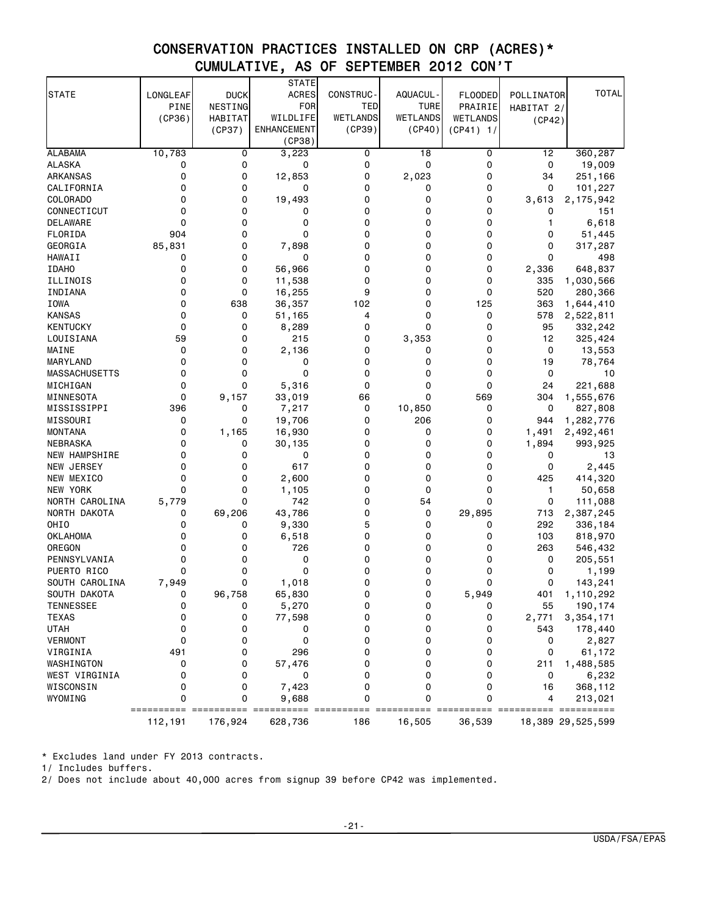### CONSERVATION PRACTICES INSTALLED ON CRP (ACRES)\* CUMULATIVE, AS OF SEPTEMBER 2012 CON'T

|                      |             |             | <b>STATE</b>       |           |             |                |            |                   |
|----------------------|-------------|-------------|--------------------|-----------|-------------|----------------|------------|-------------------|
| <b>STATE</b>         | LONGLEAF    | <b>DUCK</b> | <b>ACRES</b>       | CONSTRUC- | AQUACUL -   | <b>FLOODED</b> | POLLINATOR | <b>TOTAL</b>      |
|                      | PINE        | NESTING     | FOR                | TED       | <b>TURE</b> | PRAIRIE        | HABITAT 2/ |                   |
|                      | (CP36)      | HABITAT     | WILDLIFE           | WETLANDS  | WETLANDS    | WETLANDS       | (CP42)     |                   |
|                      |             | (CP37)      | <b>ENHANCEMENT</b> | (CP39)    | (CP40)      | $(CP41)$ 1/    |            |                   |
|                      |             |             | (CP38)             |           |             |                |            |                   |
| <b>ALABAMA</b>       | 10,783      | 0           | 3,223              | 0         | 18          | 0              | 12         | 360,287           |
| <b>ALASKA</b>        | 0           | 0           | 0                  | 0         | 0           | 0              | 0          | 19,009            |
| ARKANSAS             | 0           | 0           | 12,853             | 0         | 2,023       | 0              | 34         | 251,166           |
| CALIFORNIA           | 0           | 0           | 0                  | 0         | 0           | 0              | 0          | 101,227           |
| COLORADO             | 0           | 0           | 19,493             | 0         | 0           | 0              | 3,613      | 2, 175, 942       |
| CONNECTICUT          | 0           | 0           | 0                  | 0         | 0           | 0              | 0          | 151               |
| DELAWARE             | 0           | 0           | 0                  | 0         | 0           | 0              | 1          | 6,618             |
| FLORIDA              | 904         | 0           | $\mathbf 0$        | 0         | 0           | 0              | 0          | 51,445            |
| GEORGIA              | 85,831      | 0           | 7,898              | 0         | 0           | 0              | 0          | 317,287           |
| HAWAII               | 0           | 0           | 0                  | 0         | 0           | 0              | 0          | 498               |
| <b>IDAHO</b>         | 0           | 0           | 56,966             | 0         | 0           | 0              | 2,336      | 648,837           |
| ILLINOIS             | 0           | 0           | 11,538             | 0         | 0           | 0              | 335        | 1,030,566         |
| INDIANA              | 0           | 0           | 16,255             | 9         | 0           | 0              | 520        | 280,366           |
| <b>IOWA</b>          | 0<br>0      | 638         | 36,357             | 102       | 0<br>0      | 125            | 363        | 1,644,410         |
| <b>KANSAS</b>        | $\mathbf 0$ | 0<br>0      | 51,165             | 4<br>0    | 0           | 0<br>0         | 578        | 2,522,811         |
| KENTUCKY             | 59          | 0           | 8,289              | 0         |             | 0              | 95         | 332,242           |
| LOUISIANA<br>MAINE   | 0           | 0           | 215                | 0         | 3,353<br>0  | 0              | 12<br>0    | 325,424           |
| MARYLAND             | 0           | 0           | 2,136<br>0         | 0         | 0           | 0              | 19         | 13,553<br>78,764  |
| <b>MASSACHUSETTS</b> | 0           | 0           | $\mathbf 0$        | 0         | 0           | 0              | 0          | 10                |
| MICHIGAN             | 0           | 0           | 5,316              | 0         | 0           | 0              | 24         | 221,688           |
| MINNESOTA            | $\mathbf 0$ | 9,157       | 33,019             | 66        | 0           | 569            | 304        | 1,555,676         |
| MISSISSIPPI          | 396         | 0           | 7,217              | 0         | 10,850      | 0              | 0          | 827,808           |
| MISSOURI             | 0           | 0           | 19,706             | 0         | 206         | 0              | 944        | 1,282,776         |
| <b>MONTANA</b>       | $\mathbf 0$ | 1,165       | 16,930             | 0         | 0           | 0              | 1,491      | 2,492,461         |
| NEBRASKA             | 0           | 0           | 30,135             | 0         | 0           | 0              | 1,894      | 993,925           |
| <b>NEW HAMPSHIRE</b> | 0           | 0           | 0                  | 0         | 0           | 0              | 0          | 13                |
| NEW JERSEY           | 0           | 0           | 617                | 0         | 0           | 0              | 0          | 2,445             |
| NEW MEXICO           | 0           | 0           | 2,600              | 0         | 0           | 0              | 425        | 414,320           |
| NEW YORK             | 0           | 0           | 1,105              | 0         | 0           | 0              | 1          | 50,658            |
| NORTH CAROLINA       | 5,779       | 0           | 742                | 0         | 54          | 0              | 0          | 111,088           |
| NORTH DAKOTA         | 0           | 69,206      | 43,786             | 0         | 0           | 29,895         | 713        | 2,387,245         |
| OH <sub>I</sub> O    | 0           | 0           | 9,330              | 5         | 0           | 0              | 292        | 336,184           |
| <b>OKLAHOMA</b>      | 0           | 0           | 6,518              | 0         | 0           | 0              | 103        | 818,970           |
| OREGON               | 0           | 0           | 726                | 0         | 0           | 0              | 263        | 546,432           |
| PENNSYLVANIA         | 0           | 0           | 0                  | 0         | 0           | 0              | 0          | 205,551           |
| PUERTO RICO          | 0           | 0           | 0                  | 0         | 0           | 0              | 0          | 1,199             |
| SOUTH CAROLINA       | 7,949       | 0           | 1,018              | 0         | 0           | 0              | 0          | 143,241           |
| SOUTH DAKOTA         | 0           | 96,758      | 65,830             | 0         | 0           | 5,949          | 401        | 1,110,292         |
| <b>TENNESSEE</b>     | 0           | 0           | 5,270              | 0         | 0           | 0              | 55         | 190,174           |
| <b>TEXAS</b>         | 0           | 0           | 77,598             | 0         | 0           | 0              | 2,771      | 3,354,171         |
| <b>UTAH</b>          | 0           | 0           | 0                  | 0         | 0           | 0              | 543        | 178,440           |
| <b>VERMONT</b>       | 0           | 0           | 0                  | 0         | 0           | 0              | 0          | 2,827             |
| VIRGINIA             | 491         | 0           | 296                | 0         | 0           | 0              | 0          | 61,172            |
| WASHINGTON           | 0           | 0           | 57,476             | 0         | 0           | 0              | 211        | 1,488,585         |
| WEST VIRGINIA        | 0           | 0           | 0                  | 0         | 0           | 0              | 0          | 6,232             |
| WISCONSIN            | 0           | 0           | 7,423              | 0         | 0           | 0              | 16         | 368,112           |
| WYOMING              | 0           | 0           | 9,688              | 0         | 0           | 0              | 4          | 213,021           |
|                      |             |             |                    |           |             |                |            |                   |
|                      | 112,191     | 176,924     | 628,736            | 186       | 16,505      | 36,539         |            | 18,389 29,525,599 |

\* Excludes land under FY 2013 contracts.

1/ Includes buffers.

2/ Does not include about 40,000 acres from signup 39 before CP42 was implemented.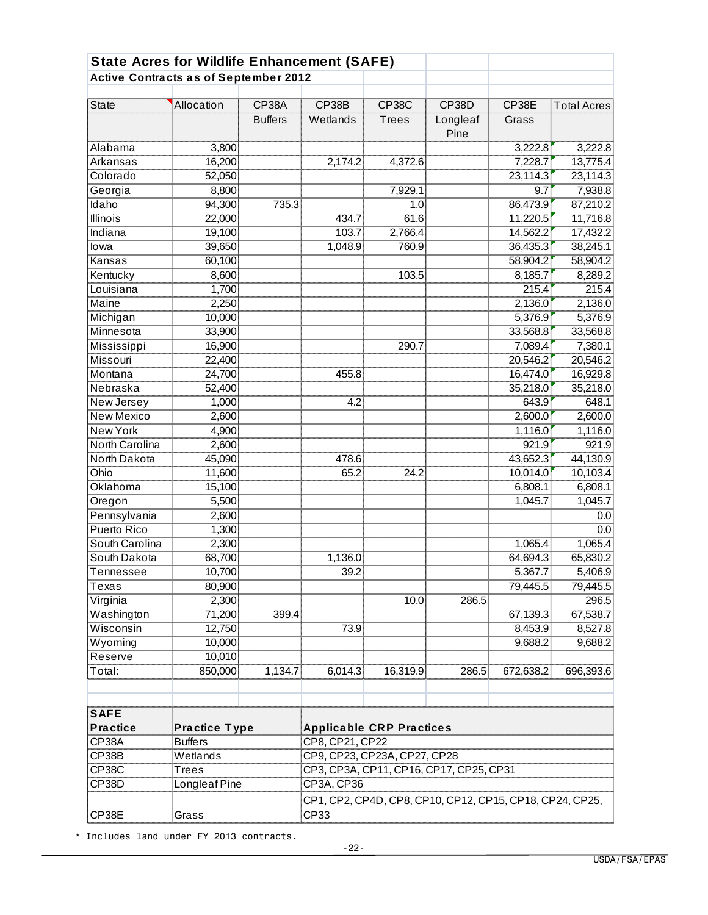| <b>State Acres for Wildlife Enhancement (SAFE)</b> |                      |                         |                                                          |                              |                           |                |                    |  |
|----------------------------------------------------|----------------------|-------------------------|----------------------------------------------------------|------------------------------|---------------------------|----------------|--------------------|--|
| <b>Active Contracts as of September 2012</b>       |                      |                         |                                                          |                              |                           |                |                    |  |
| <b>State</b>                                       | Allocation           | CP38A<br><b>Buffers</b> | CP38B<br>Wetlands                                        | <b>CP38C</b><br><b>Trees</b> | CP38D<br>Longleaf<br>Pine | CP38E<br>Grass | <b>Total Acres</b> |  |
| Alabama                                            | 3,800                |                         |                                                          |                              |                           | 3,222.8        | 3,222.8            |  |
| Arkansas                                           | 16,200               |                         | 2,174.2                                                  | 4,372.6                      |                           | 7,228.7        | 13,775.4           |  |
| Colorado                                           | 52,050               |                         |                                                          |                              |                           | 23,114.3       | 23,114.3           |  |
| Georgia                                            | 8,800                |                         |                                                          | 7,929.1                      |                           | 9.7            | 7,938.8            |  |
| Idaho                                              | 94,300               | 735.3                   |                                                          | 1.0                          |                           | 86,473.9       | 87,210.2           |  |
| <b>Illinois</b>                                    | 22,000               |                         | 434.7                                                    | 61.6                         |                           | 11,220.5       | 11,716.8           |  |
| Indiana                                            | 19,100               |                         | 103.7                                                    | 2,766.4                      |                           | 14,562.2       | 17,432.2           |  |
| lowa                                               | 39,650               |                         | 1,048.9                                                  | 760.9                        |                           | 36,435.3       | 38,245.1           |  |
| Kansas                                             | 60,100               |                         |                                                          |                              |                           | 58,904.2       | 58,904.2           |  |
| Kentucky                                           | 8,600                |                         |                                                          | 103.5                        |                           | 8,185.7        | 8,289.2            |  |
| Louisiana                                          | 1,700                |                         |                                                          |                              |                           | 215.4          | 215.4              |  |
| Maine                                              | 2,250                |                         |                                                          |                              |                           | 2,136.0        | 2,136.0            |  |
| Michigan                                           | 10,000               |                         |                                                          |                              |                           | 5,376.9        | 5,376.9            |  |
| Minnesota                                          | 33,900               |                         |                                                          |                              |                           | 33,568.8       | 33,568.8           |  |
| Mississippi                                        | 16,900               |                         |                                                          | 290.7                        |                           | 7,089.4        | 7,380.1            |  |
| <b>Missouri</b>                                    | 22,400               |                         |                                                          |                              |                           | 20,546.2       | 20,546.2           |  |
| Montana                                            | 24,700               |                         | 455.8                                                    |                              |                           | 16,474.0       | 16,929.8           |  |
| Nebraska                                           | 52,400               |                         |                                                          |                              |                           | 35,218.0       | 35,218.0           |  |
| New Jersey                                         | 1,000                |                         | 4.2                                                      |                              |                           | 643.9          | 648.1              |  |
| <b>New Mexico</b>                                  | 2,600                |                         |                                                          |                              |                           | 2,600.0        | 2,600.0            |  |
| <b>New York</b>                                    | 4,900                |                         |                                                          |                              |                           | 1,116.0        | 1,116.0            |  |
| North Carolina                                     | 2,600                |                         |                                                          |                              |                           | 921.9          | 921.9              |  |
| North Dakota                                       | 45,090               |                         | 478.6                                                    |                              |                           | 43,652.3       | 44,130.9           |  |
| Ohio                                               | 11,600               |                         | 65.2                                                     | 24.2                         |                           | 10,014.0       | 10,103.4           |  |
| Oklahoma                                           | 15,100               |                         |                                                          |                              |                           | 6,808.1        | 6,808.1            |  |
| Oregon                                             | 5,500                |                         |                                                          |                              |                           | 1,045.7        | 1,045.7            |  |
| Pennsylvania                                       | 2,600                |                         |                                                          |                              |                           |                | 0.0                |  |
| <b>Puerto Rico</b>                                 | 1,300                |                         |                                                          |                              |                           |                | 0.0                |  |
| South Carolina                                     | 2,300                |                         |                                                          |                              |                           | 1,065.4        | 1,065.4            |  |
| South Dakota                                       | 68,700               |                         | 1,136.0                                                  |                              |                           | 64,694.3       | 65,830.2           |  |
| Tennessee                                          | 10,700               |                         | 39.2                                                     |                              |                           | 5,367.7        | 5,406.9            |  |
| Texas                                              | 80,900               |                         |                                                          |                              |                           | 79,445.5       | 79,445.5           |  |
| Virginia                                           | 2,300                |                         |                                                          | 10.0                         | 286.5                     |                | 296.5              |  |
| Washington                                         | 71,200               | 399.4                   |                                                          |                              |                           | 67,139.3       | 67,538.7           |  |
| Wisconsin                                          | 12,750               |                         | 73.9                                                     |                              |                           | 8,453.9        | 8,527.8            |  |
| Wyoming                                            | 10,000               |                         |                                                          |                              |                           | 9,688.2        | 9,688.2            |  |
| Reserve                                            | 10,010               |                         |                                                          |                              |                           |                |                    |  |
| Total:                                             | 850,000              | 1,134.7                 | 6,014.3                                                  | 16,319.9                     | 286.5                     | 672,638.2      | 696,393.6          |  |
|                                                    |                      |                         |                                                          |                              |                           |                |                    |  |
| <b>SAFE</b><br><b>Practice</b>                     | <b>Practice Type</b> |                         | <b>Applicable CRP Practices</b>                          |                              |                           |                |                    |  |
| CP38A                                              | <b>Buffers</b>       |                         | CP8, CP21, CP22                                          |                              |                           |                |                    |  |
| CP38B                                              | Wetlands             |                         | CP9, CP23, CP23A, CP27, CP28                             |                              |                           |                |                    |  |
| CP38C                                              | Trees                |                         | CP3, CP3A, CP11, CP16, CP17, CP25, CP31                  |                              |                           |                |                    |  |
| CP38D                                              | Longleaf Pine        |                         | CP3A, CP36                                               |                              |                           |                |                    |  |
|                                                    |                      |                         | CP1, CP2, CP4D, CP8, CP10, CP12, CP15, CP18, CP24, CP25, |                              |                           |                |                    |  |
| CP38E                                              | Grass                |                         | CP33                                                     |                              |                           |                |                    |  |

\* Includes land under FY 2013 contracts.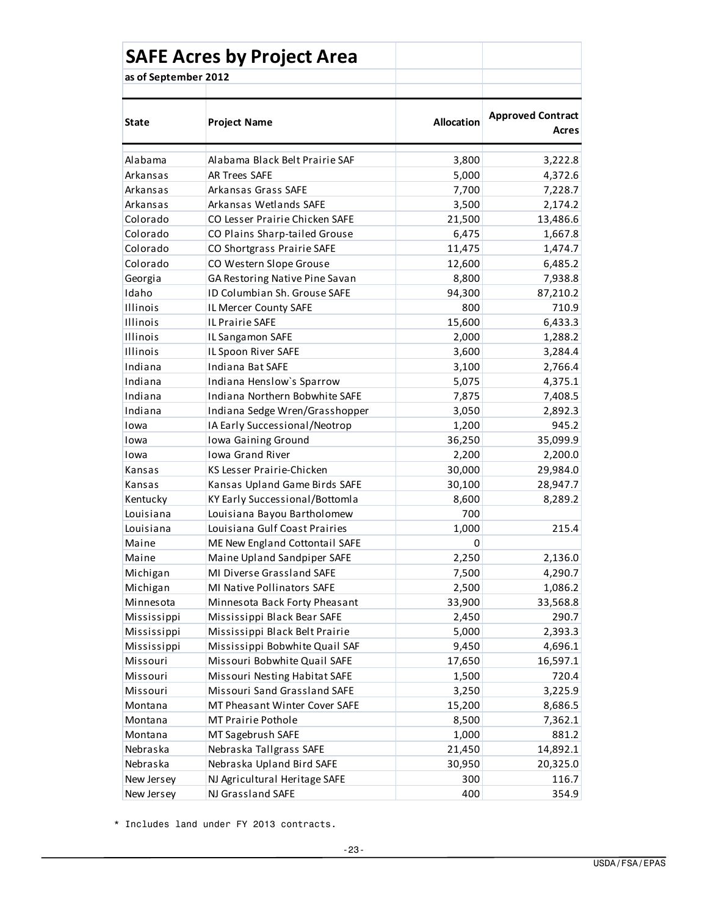|                      | <b>SAFE Acres by Project Area</b> |                  |                                   |
|----------------------|-----------------------------------|------------------|-----------------------------------|
| as of September 2012 |                                   |                  |                                   |
| State                | <b>Project Name</b>               | Allocation       | <b>Approved Contract</b><br>Acres |
| Alabama              | Alabama Black Belt Prairie SAF    | 3,800            | 3,222.8                           |
| Arkansas             | <b>AR Trees SAFE</b>              | 5,000            | 4,372.6                           |
| Arkansas             | Arkansas Grass SAFE               | 7,700            | 7,228.7                           |
| Arkansas             | Arkansas Wetlands SAFE            | 3,500            | 2,174.2                           |
| Colorado             | CO Lesser Prairie Chicken SAFE    | 21,500           | 13,486.6                          |
| Colorado             | CO Plains Sharp-tailed Grouse     | 6,475            | 1,667.8                           |
| Colorado             | CO Shortgrass Prairie SAFE        | 11,475           | 1,474.7                           |
| Colorado             | CO Western Slope Grouse           | 12,600           | 6,485.2                           |
| Georgia              | GA Restoring Native Pine Savan    | 8,800            | 7,938.8                           |
| Idaho                | ID Columbian Sh. Grouse SAFE      | 94,300           | 87,210.2                          |
| Illinois             | IL Mercer County SAFE             | 800              | 710.9                             |
| Illinois             | IL Prairie SAFE                   | 15,600           | 6,433.3                           |
| Illinois             | IL Sangamon SAFE                  | 2,000            | 1,288.2                           |
| Illinois             | IL Spoon River SAFE               | 3,600            | 3,284.4                           |
| Indiana              | Indiana Bat SAFE                  | 3,100            | 2,766.4                           |
| Indiana              | Indiana Henslow's Sparrow         | 5,075            | 4,375.1                           |
| Indiana              | Indiana Northern Bobwhite SAFE    | 7,875            | 7,408.5                           |
| Indiana              | Indiana Sedge Wren/Grasshopper    | 3,050            | 2,892.3                           |
| Iowa                 | IA Early Successional/Neotrop     | 1,200            | 945.2                             |
| Iowa                 | Iowa Gaining Ground               | 36,250           | 35,099.9                          |
| Iowa                 | <b>Iowa Grand River</b>           | 2,200            | 2,200.0                           |
| Kansas               | KS Lesser Prairie-Chicken         | 30,000           | 29,984.0                          |
| Kansas               | Kansas Upland Game Birds SAFE     | 30,100           | 28,947.7                          |
| Kentucky             | KY Early Successional/Bottomla    | 8,600            | 8,289.2                           |
| Louisiana            | Louisiana Bayou Bartholomew       | 700              |                                   |
| Louisiana            | Louisiana Gulf Coast Prairies     | 1,000            | 215.4                             |
| Maine                | ME New England Cottontail SAFE    | 0                |                                   |
| Maine                | Maine Upland Sandpiper SAFE       | 2,250            | 2,136.0                           |
| Michigan             | MI Diverse Grassland SAFE         | 7,500            | 4,290.7                           |
| Michigan             | MI Native Pollinators SAFE        | 2,500            | 1,086.2                           |
| Minnesota            | Minnesota Back Forty Pheasant     | 33,900           | 33,568.8                          |
| Mississippi          | Mississippi Black Bear SAFE       | 2,450            | 290.7                             |
| Mississippi          | Mississippi Black Belt Prairie    | 5,000            | 2,393.3                           |
| Mississippi          | Mississippi Bobwhite Quail SAF    | 9,450            | 4,696.1                           |
| Missouri             | Missouri Bobwhite Quail SAFE      | 17,650           | 16,597.1                          |
| Missouri             | Missouri Nesting Habitat SAFE     | 1,500            | 720.4                             |
| Missouri             | Missouri Sand Grassland SAFE      | 3,250            | 3,225.9                           |
| Montana              | MT Pheasant Winter Cover SAFE     | 15,200           | 8,686.5                           |
| Montana              | MT Prairie Pothole                | 8,500            | 7,362.1                           |
| Montana              | MT Sagebrush SAFE                 | 1,000            | 881.2                             |
| Nebraska             | Nebraska Tallgrass SAFE           | 21,450<br>30,950 | 14,892.1                          |
| Nebraska             | Nebraska Upland Bird SAFE         |                  | 20,325.0                          |
| New Jersey           | NJ Agricultural Heritage SAFE     | 300              | 116.7                             |
| New Jersey           | NJ Grassland SAFE                 | 400              | 354.9                             |

\* Includes land under FY 2013 contracts.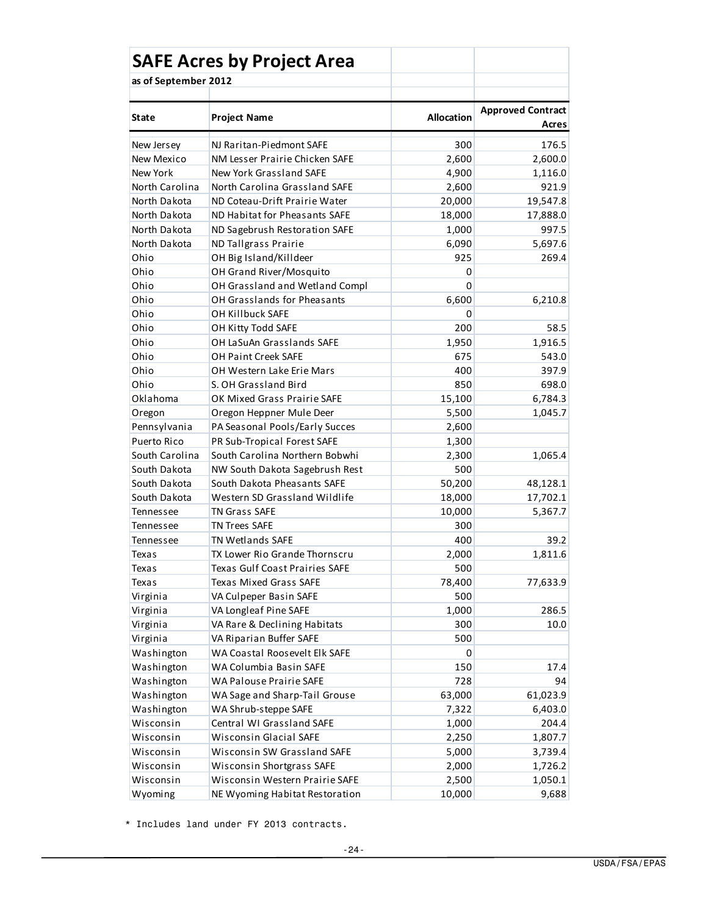|                      | <b>SAFE Acres by Project Area</b>                 |                   |                                   |  |
|----------------------|---------------------------------------------------|-------------------|-----------------------------------|--|
| as of September 2012 |                                                   |                   |                                   |  |
| State                | <b>Project Name</b>                               | <b>Allocation</b> | <b>Approved Contract</b><br>Acres |  |
| New Jersey           | NJ Raritan-Piedmont SAFE                          | 300               | 176.5                             |  |
| New Mexico           | NM Lesser Prairie Chicken SAFE                    | 2,600             | 2,600.0                           |  |
| New York             | New York Grassland SAFE                           | 4,900             | 1,116.0                           |  |
| North Carolina       | North Carolina Grassland SAFE                     | 2,600             | 921.9                             |  |
| North Dakota         | ND Coteau-Drift Prairie Water                     | 20,000            | 19,547.8                          |  |
| North Dakota         | ND Habitat for Pheasants SAFE                     | 18,000            | 17,888.0                          |  |
| North Dakota         | ND Sagebrush Restoration SAFE                     | 1,000             | 997.5                             |  |
| North Dakota         | ND Tallgrass Prairie                              | 6,090             | 5,697.6                           |  |
| Ohio                 | OH Big Island/Killdeer                            | 925               | 269.4                             |  |
| Ohio                 | OH Grand River/Mosquito                           | 0                 |                                   |  |
| Ohio                 | OH Grassland and Wetland Compl                    | $\Omega$          |                                   |  |
| Ohio                 | OH Grasslands for Pheasants                       | 6,600             | 6,210.8                           |  |
| Ohio                 | OH Killbuck SAFE                                  | 0                 |                                   |  |
| Ohio                 | OH Kitty Todd SAFE                                | 200               | 58.5                              |  |
| Ohio                 | OH LaSuAn Grasslands SAFE                         | 1,950             | 1,916.5                           |  |
| Ohio                 | OH Paint Creek SAFE                               | 675               | 543.0                             |  |
| Ohio                 | OH Western Lake Erie Mars                         | 400               | 397.9                             |  |
| Ohio                 | S. OH Grassland Bird                              | 850               | 698.0                             |  |
| Oklahoma             | OK Mixed Grass Prairie SAFE                       | 15,100            | 6,784.3                           |  |
| Oregon               | Oregon Heppner Mule Deer                          | 5,500             | 1,045.7                           |  |
| Pennsylvania         | PA Seasonal Pools/Early Succes                    | 2,600             |                                   |  |
| Puerto Rico          | PR Sub-Tropical Forest SAFE                       | 1,300             |                                   |  |
| South Carolina       | South Carolina Northern Bobwhi                    | 2,300             | 1,065.4                           |  |
| South Dakota         | NW South Dakota Sagebrush Rest                    | 500               |                                   |  |
| South Dakota         | South Dakota Pheasants SAFE                       | 50,200            | 48,128.1                          |  |
| South Dakota         | Western SD Grassland Wildlife                     | 18,000            | 17,702.1                          |  |
| Tennessee            | <b>TN Grass SAFE</b>                              | 10,000            | 5,367.7                           |  |
| Tennessee            | <b>TN Trees SAFE</b>                              | 300               |                                   |  |
|                      |                                                   | 400               | 39.2                              |  |
| Tennessee            | TN Wetlands SAFE<br>TX Lower Rio Grande Thornscru |                   |                                   |  |
| Texas                | Texas Gulf Coast Prairies SAFE                    | 2,000<br>500      | 1,811.6                           |  |
| Texas<br>Texas       | Texas Mixed Grass SAFE                            | 78,400            |                                   |  |
|                      |                                                   |                   | 77,633.9                          |  |
| Virginia             | VA Culpeper Basin SAFE<br>VA Longleaf Pine SAFE   | 500<br>1,000      | 286.5                             |  |
| Virginia             | VA Rare & Declining Habitats                      |                   |                                   |  |
| Virginia             |                                                   | 300               | 10.0                              |  |
| Virginia             | VA Riparian Buffer SAFE                           | 500               |                                   |  |
| Washington           | WA Coastal Roosevelt Elk SAFE                     | 0                 |                                   |  |
| Washington           | WA Columbia Basin SAFE                            | 150               | 17.4                              |  |
| Washington           | WA Palouse Prairie SAFE                           | 728               | 94                                |  |
| Washington           | WA Sage and Sharp-Tail Grouse                     | 63,000            | 61,023.9                          |  |
| Washington           | WA Shrub-steppe SAFE                              | 7,322             | 6,403.0                           |  |
| Wisconsin            | Central WI Grassland SAFE                         | 1,000             | 204.4                             |  |
| Wisconsin            | Wisconsin Glacial SAFE                            | 2,250             | 1,807.7                           |  |
| Wisconsin            | Wisconsin SW Grassland SAFE                       | 5,000             | 3,739.4                           |  |
| Wisconsin            | Wisconsin Shortgrass SAFE                         | 2,000             | 1,726.2                           |  |
| Wisconsin            | Wisconsin Western Prairie SAFE                    | 2,500             | 1,050.1                           |  |
| Wyoming              | NE Wyoming Habitat Restoration                    | 10,000            | 9,688                             |  |

\* Includes land under FY 2013 contracts.